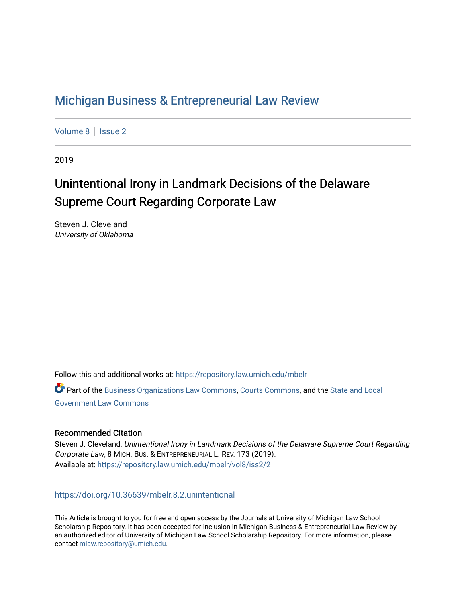# [Michigan Business & Entrepreneurial Law Review](https://repository.law.umich.edu/mbelr)

[Volume 8](https://repository.law.umich.edu/mbelr/vol8) | Issue 2

2019

# Unintentional Irony in Landmark Decisions of the Delaware Supreme Court Regarding Corporate Law

Steven J. Cleveland University of Oklahoma

Follow this and additional works at: [https://repository.law.umich.edu/mbelr](https://repository.law.umich.edu/mbelr?utm_source=repository.law.umich.edu%2Fmbelr%2Fvol8%2Fiss2%2F2&utm_medium=PDF&utm_campaign=PDFCoverPages)

**Part of the [Business Organizations Law Commons](http://network.bepress.com/hgg/discipline/900?utm_source=repository.law.umich.edu%2Fmbelr%2Fvol8%2Fiss2%2F2&utm_medium=PDF&utm_campaign=PDFCoverPages), [Courts Commons](http://network.bepress.com/hgg/discipline/839?utm_source=repository.law.umich.edu%2Fmbelr%2Fvol8%2Fiss2%2F2&utm_medium=PDF&utm_campaign=PDFCoverPages), and the State and Local** [Government Law Commons](http://network.bepress.com/hgg/discipline/879?utm_source=repository.law.umich.edu%2Fmbelr%2Fvol8%2Fiss2%2F2&utm_medium=PDF&utm_campaign=PDFCoverPages) 

### Recommended Citation

Steven J. Cleveland, Unintentional Irony in Landmark Decisions of the Delaware Supreme Court Regarding Corporate Law, 8 MICH. BUS. & ENTREPRENEURIAL L. REV. 173 (2019). Available at: [https://repository.law.umich.edu/mbelr/vol8/iss2/2](https://repository.law.umich.edu/mbelr/vol8/iss2/2?utm_source=repository.law.umich.edu%2Fmbelr%2Fvol8%2Fiss2%2F2&utm_medium=PDF&utm_campaign=PDFCoverPages) 

### <https://doi.org/10.36639/mbelr.8.2.unintentional>

This Article is brought to you for free and open access by the Journals at University of Michigan Law School Scholarship Repository. It has been accepted for inclusion in Michigan Business & Entrepreneurial Law Review by an authorized editor of University of Michigan Law School Scholarship Repository. For more information, please contact [mlaw.repository@umich.edu](mailto:mlaw.repository@umich.edu).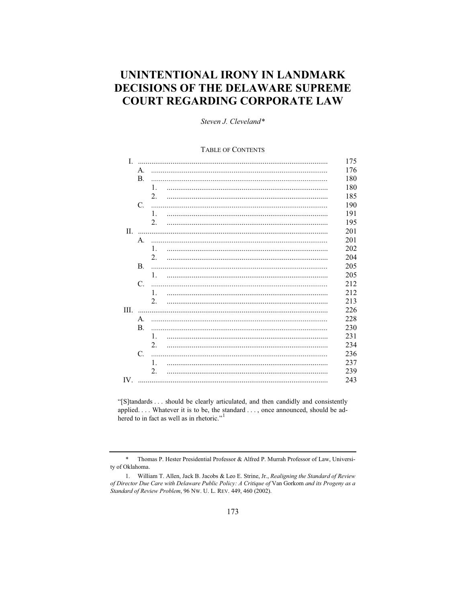## UNINTENTIONAL IRONY IN LANDMARK **DECISIONS OF THE DELAWARE SUPREME COURT REGARDING CORPORATE LAW**

Steven J. Cleveland\*

#### **TABLE OF CONTENTS**

| I.  |              |                | 175 |
|-----|--------------|----------------|-----|
|     | Α.           |                | 176 |
|     | $\mathbf{B}$ |                | 180 |
|     |              | 1.             | 180 |
|     |              | 2.             | 185 |
|     | C.           |                | 190 |
|     |              | 1.             | 191 |
|     |              | 2.             | 195 |
| П.  |              |                | 201 |
|     | A.           |                | 201 |
|     |              | 1.             | 202 |
|     |              | 2.             | 204 |
|     | <b>B.</b>    |                | 205 |
|     |              | 1.             | 205 |
|     | C.           |                | 212 |
|     |              | 1.             | 212 |
|     |              | 2.             | 213 |
| Ш.  |              |                | 226 |
|     | А.           |                | 228 |
|     | <b>B.</b>    |                | 230 |
|     |              | $\mathbf{1}$ . | 231 |
|     |              | 2.             | 234 |
|     | C.           |                | 236 |
|     |              | $\mathbf{1}$ . | 237 |
|     |              | 2.             | 239 |
| IV. |              |                | 243 |

"[S]tandards ... should be clearly articulated, and then candidly and consistently applied.... Whatever it is to be, the standard ..., once announced, should be adhered to in fact as well as in rhetoric."<sup>1</sup>

 $\ast$ Thomas P. Hester Presidential Professor & Alfred P. Murrah Professor of Law, University of Oklahoma.

<sup>1.</sup> William T. Allen, Jack B. Jacobs & Leo E. Strine, Jr., Realigning the Standard of Review of Director Due Care with Delaware Public Policy: A Critique of Van Gorkom and its Progeny as a Standard of Review Problem, 96 Nw. U. L. REV. 449, 460 (2002).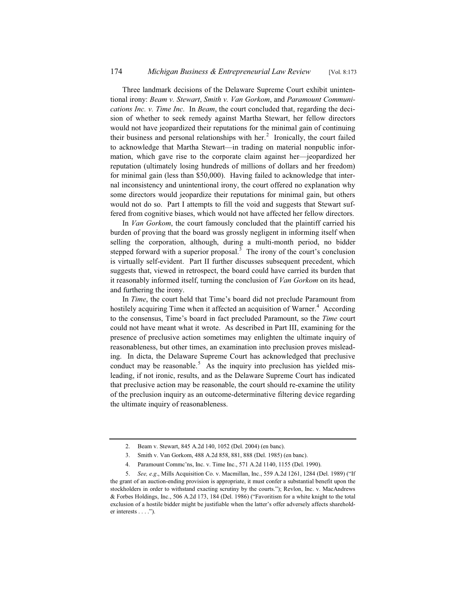Three landmark decisions of the Delaware Supreme Court exhibit unintentional irony: *Beam v. Stewart*, *Smith v. Van Gorkom*, and *Paramount Communications Inc. v. Time Inc*. In *Beam*, the court concluded that, regarding the decision of whether to seek remedy against Martha Stewart, her fellow directors would not have jeopardized their reputations for the minimal gain of continuing their business and personal relationships with her.<sup>2</sup> Ironically, the court failed to acknowledge that Martha Stewart—in trading on material nonpublic information, which gave rise to the corporate claim against her—jeopardized her reputation (ultimately losing hundreds of millions of dollars and her freedom) for minimal gain (less than \$50,000). Having failed to acknowledge that internal inconsistency and unintentional irony, the court offered no explanation why some directors would jeopardize their reputations for minimal gain, but others would not do so. Part I attempts to fill the void and suggests that Stewart suffered from cognitive biases, which would not have affected her fellow directors.

In *Van Gorkom*, the court famously concluded that the plaintiff carried his burden of proving that the board was grossly negligent in informing itself when selling the corporation, although, during a multi-month period, no bidder stepped forward with a superior proposal.<sup>3</sup> The irony of the court's conclusion is virtually self-evident. Part II further discusses subsequent precedent, which suggests that, viewed in retrospect, the board could have carried its burden that it reasonably informed itself, turning the conclusion of *Van Gorkom* on its head, and furthering the irony.

In *Time*, the court held that Time's board did not preclude Paramount from hostilely acquiring Time when it affected an acquisition of Warner.<sup>4</sup> According to the consensus, Time's board in fact precluded Paramount, so the *Time* court could not have meant what it wrote. As described in Part III, examining for the presence of preclusive action sometimes may enlighten the ultimate inquiry of reasonableness, but other times, an examination into preclusion proves misleading. In dicta, the Delaware Supreme Court has acknowledged that preclusive conduct may be reasonable.<sup>5</sup> As the inquiry into preclusion has yielded misleading, if not ironic, results, and as the Delaware Supreme Court has indicated that preclusive action may be reasonable, the court should re-examine the utility of the preclusion inquiry as an outcome-determinative filtering device regarding the ultimate inquiry of reasonableness.

<sup>2.</sup> Beam v. Stewart, 845 A.2d 140, 1052 (Del. 2004) (en banc).

<sup>3.</sup> Smith v. Van Gorkom, 488 A.2d 858, 881, 888 (Del. 1985) (en banc).

<sup>4.</sup> Paramount Commc'ns, Inc. v. Time Inc., 571 A.2d 1140, 1155 (Del. 1990).

<sup>5.</sup> *See, e.g*., Mills Acquisition Co. v. Macmillan, Inc., 559 A.2d 1261, 1284 (Del. 1989) ("If the grant of an auction-ending provision is appropriate, it must confer a substantial benefit upon the stockholders in order to withstand exacting scrutiny by the courts."); Revlon, Inc. v. MacAndrews & Forbes Holdings, Inc., 506 A.2d 173, 184 (Del. 1986) ("Favoritism for a white knight to the total exclusion of a hostile bidder might be justifiable when the latter's offer adversely affects shareholder interests . . . .").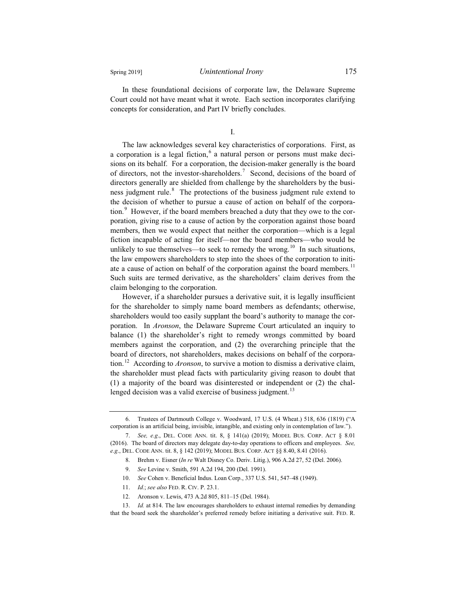In these foundational decisions of corporate law, the Delaware Supreme Court could not have meant what it wrote. Each section incorporates clarifying concepts for consideration, and Part IV briefly concludes.

I.

The law acknowledges several key characteristics of corporations. First, as a corporation is a legal fiction, $6$  a natural person or persons must make decisions on its behalf. For a corporation, the decision-maker generally is the board of directors, not the investor-shareholders.<sup>7</sup> Second, decisions of the board of directors generally are shielded from challenge by the shareholders by the business judgment rule.<sup>8</sup> The protections of the business judgment rule extend to the decision of whether to pursue a cause of action on behalf of the corporation.<sup>9</sup> However, if the board members breached a duty that they owe to the corporation, giving rise to a cause of action by the corporation against those board members, then we would expect that neither the corporation—which is a legal fiction incapable of acting for itself—nor the board members—who would be unlikely to sue themselves—to seek to remedy the wrong.<sup>10</sup> In such situations, the law empowers shareholders to step into the shoes of the corporation to initiate a cause of action on behalf of the corporation against the board members.<sup>11</sup> Such suits are termed derivative, as the shareholders' claim derives from the claim belonging to the corporation.

However, if a shareholder pursues a derivative suit, it is legally insufficient for the shareholder to simply name board members as defendants; otherwise, shareholders would too easily supplant the board's authority to manage the corporation. In *Aronson*, the Delaware Supreme Court articulated an inquiry to balance (1) the shareholder's right to remedy wrongs committed by board members against the corporation, and (2) the overarching principle that the board of directors, not shareholders, makes decisions on behalf of the corporation.<sup>12</sup> According to *Aronson*, to survive a motion to dismiss a derivative claim, the shareholder must plead facts with particularity giving reason to doubt that (1) a majority of the board was disinterested or independent or (2) the challenged decision was a valid exercise of business judgment. $13$ 

- 10. *See* Cohen v. Beneficial Indus. Loan Corp., 337 U.S. 541, 547–48 (1949).
- 11. *Id.*; *see also* FED. R. CIV. P. 23.1.

<sup>6.</sup> Trustees of Dartmouth College v. Woodward, 17 U.S. (4 Wheat.) 518, 636 (1819) ("A corporation is an artificial being, invisible, intangible, and existing only in contemplation of law.").

<sup>7.</sup> *See, e.g*., DEL. CODE ANN. tit. 8, § 141(a) (2019); MODEL BUS. CORP. ACT § 8.01 (2016). The board of directors may delegate day-to-day operations to officers and employees. *See, e.g*., DEL. CODE ANN. tit. 8, § 142 (2019); MODEL BUS. CORP. ACT §§ 8.40, 8.41 (2016).

<sup>8.</sup> Brehm v. Eisner (*In re* Walt Disney Co. Deriv. Litig.), 906 A.2d 27, 52 (Del. 2006).

<sup>9.</sup> *See* Levine v. Smith, 591 A.2d 194, 200 (Del. 1991).

<sup>12.</sup> Aronson v. Lewis, 473 A.2d 805, 811–15 (Del. 1984).

<sup>13.</sup> *Id.* at 814. The law encourages shareholders to exhaust internal remedies by demanding that the board seek the shareholder's preferred remedy before initiating a derivative suit. FED. R.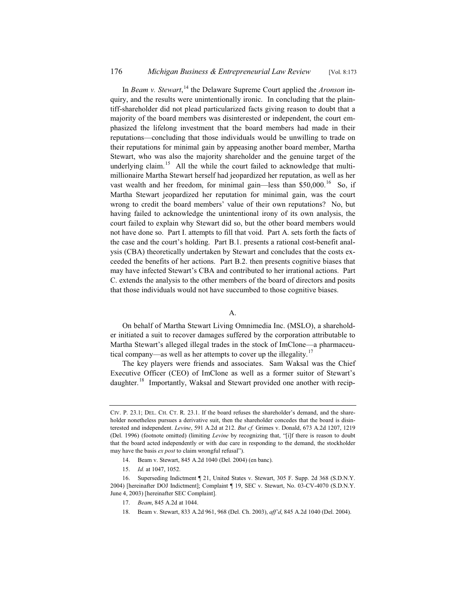In *Beam v. Stewart*, <sup>14</sup> the Delaware Supreme Court applied the *Aronson* inquiry, and the results were unintentionally ironic. In concluding that the plaintiff-shareholder did not plead particularized facts giving reason to doubt that a majority of the board members was disinterested or independent, the court emphasized the lifelong investment that the board members had made in their reputations—concluding that those individuals would be unwilling to trade on their reputations for minimal gain by appeasing another board member, Martha Stewart, who was also the majority shareholder and the genuine target of the underlying claim.<sup>15</sup> All the while the court failed to acknowledge that multimillionaire Martha Stewart herself had jeopardized her reputation, as well as her vast wealth and her freedom, for minimal gain—less than  $$50,000$ .<sup>16</sup> So, if Martha Stewart jeopardized her reputation for minimal gain, was the court wrong to credit the board members' value of their own reputations? No, but having failed to acknowledge the unintentional irony of its own analysis, the court failed to explain why Stewart did so, but the other board members would not have done so. Part I. attempts to fill that void. Part A. sets forth the facts of the case and the court's holding. Part B.1. presents a rational cost-benefit analysis (CBA) theoretically undertaken by Stewart and concludes that the costs exceeded the benefits of her actions. Part B.2. then presents cognitive biases that may have infected Stewart's CBA and contributed to her irrational actions. Part C. extends the analysis to the other members of the board of directors and posits that those individuals would not have succumbed to those cognitive biases.

A.

On behalf of Martha Stewart Living Omnimedia Inc. (MSLO), a shareholder initiated a suit to recover damages suffered by the corporation attributable to Martha Stewart's alleged illegal trades in the stock of ImClone—a pharmaceutical company—as well as her attempts to cover up the illegality.<sup>17</sup>

The key players were friends and associates. Sam Waksal was the Chief Executive Officer (CEO) of ImClone as well as a former suitor of Stewart's daughter.<sup>18</sup> Importantly, Waksal and Stewart provided one another with recip-

- 17. *Beam*, 845 A.2d at 1044.
- 18. Beam v. Stewart, 833 A.2d 961, 968 (Del. Ch. 2003), *aff'd*, 845 A.2d 1040 (Del. 2004).

CIV. P. 23.1; DEL. CH. CT. R. 23.1. If the board refuses the shareholder's demand, and the shareholder nonetheless pursues a derivative suit, then the shareholder concedes that the board is disinterested and independent. *Levine*, 591 A.2d at 212. *But cf.* Grimes v. Donald, 673 A.2d 1207, 1219 (Del. 1996) (footnote omitted) (limiting *Levine* by recognizing that, "[i]f there is reason to doubt that the board acted independently or with due care in responding to the demand, the stockholder may have the basis *ex post* to claim wrongful refusal").

<sup>14.</sup> Beam v. Stewart, 845 A.2d 1040 (Del. 2004) (en banc).

<sup>15.</sup> *Id.* at 1047, 1052.

<sup>16.</sup> Superseding Indictment ¶ 21, United States v. Stewart, 305 F. Supp. 2d 368 (S.D.N.Y. 2004) [hereinafter DOJ Indictment]; Complaint ¶ 19, SEC v. Stewart, No. 03-CV-4070 (S.D.N.Y. June 4, 2003) [hereinafter SEC Complaint].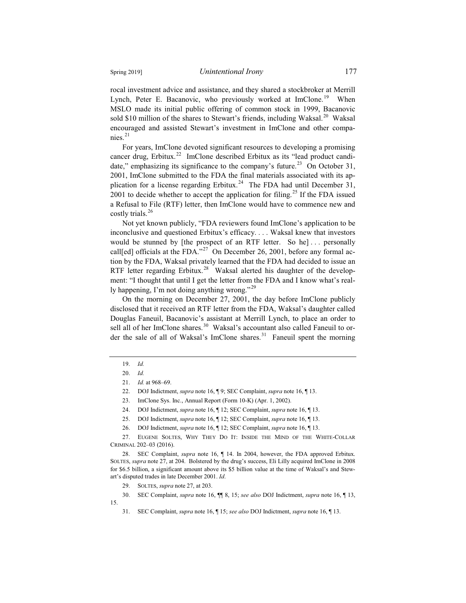rocal investment advice and assistance, and they shared a stockbroker at Merrill Lynch, Peter E. Bacanovic, who previously worked at ImClone.<sup>19</sup> When MSLO made its initial public offering of common stock in 1999, Bacanovic sold \$10 million of the shares to Stewart's friends, including Waksal.<sup>20</sup> Waksal encouraged and assisted Stewart's investment in ImClone and other compa $nies.$ <sup>21</sup>

For years, ImClone devoted significant resources to developing a promising cancer drug, Erbitux.<sup>22</sup> ImClone described Erbitux as its "lead product candidate," emphasizing its significance to the company's future.<sup>23</sup> On October 31, 2001, ImClone submitted to the FDA the final materials associated with its application for a license regarding Erbitux.<sup>24</sup> The FDA had until December 31, 2001 to decide whether to accept the application for filing.<sup>25</sup> If the FDA issued a Refusal to File (RTF) letter, then ImClone would have to commence new and costly trials.<sup>26</sup>

Not yet known publicly, "FDA reviewers found ImClone's application to be inconclusive and questioned Erbitux's efficacy. . . . Waksal knew that investors would be stunned by [the prospect of an RTF letter. So he]... personally call[ed] officials at the FDA."<sup>27</sup> On December 26, 2001, before any formal action by the FDA, Waksal privately learned that the FDA had decided to issue an RTF letter regarding Erbitux.<sup>28</sup> Waksal alerted his daughter of the development: "I thought that until I get the letter from the FDA and I know what's really happening, I'm not doing anything wrong."<sup>29</sup>

On the morning on December 27, 2001, the day before ImClone publicly disclosed that it received an RTF letter from the FDA, Waksal's daughter called Douglas Faneuil, Bacanovic's assistant at Merrill Lynch, to place an order to sell all of her ImClone shares.<sup>30</sup> Waksal's accountant also called Faneuil to order the sale of all of Waksal's ImClone shares.<sup>31</sup> Faneuil spent the morning

27. EUGENE SOLTES, WHY THEY DO IT: INSIDE THE MIND OF THE WHITE-COLLAR CRIMINAL 202–03 (2016).

28. SEC Complaint, *supra* note 16, ¶ 14. In 2004, however, the FDA approved Erbitux. SOLTES, *supra* note 27, at 204. Bolstered by the drug's success, Eli Lilly acquired ImClone in 2008 for \$6.5 billion, a significant amount above its \$5 billion value at the time of Waksal's and Stewart's disputed trades in late December 2001. *Id*.

29. SOLTES, *supra* note 27, at 203.

30. SEC Complaint, *supra* note 16, ¶¶ 8, 15; *see also* DOJ Indictment, *supra* note 16, ¶ 13,

15.

<sup>19.</sup> *Id.*

<sup>20.</sup> *Id.*

<sup>21.</sup> *Id.* at 968–69.

<sup>22.</sup> DOJ Indictment, *supra* note 16, ¶ 9; SEC Complaint, *supra* note 16, ¶ 13.

<sup>23.</sup> ImClone Sys. Inc., Annual Report (Form 10-K) (Apr. 1, 2002).

<sup>24.</sup> DOJ Indictment, *supra* note 16, ¶ 12; SEC Complaint, *supra* note 16, ¶ 13.

<sup>25.</sup> DOJ Indictment, *supra* note 16, ¶ 12; SEC Complaint, *supra* note 16, ¶ 13.

<sup>26.</sup> DOJ Indictment, *supra* note 16, ¶ 12; SEC Complaint, *supra* note 16, ¶ 13.

<sup>31.</sup> SEC Complaint, *supra* note 16, ¶ 15; *see also* DOJ Indictment, *supra* note 16, ¶ 13.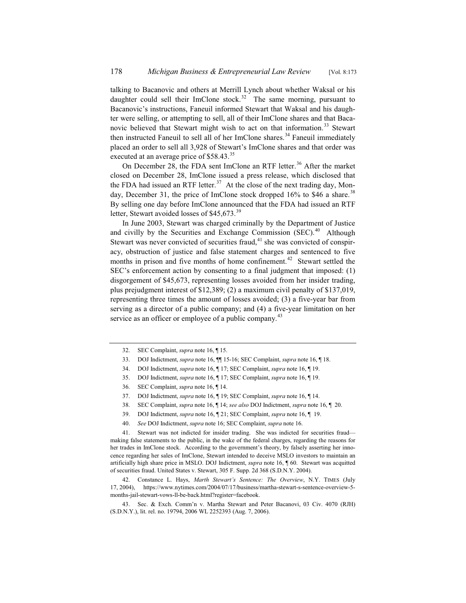talking to Bacanovic and others at Merrill Lynch about whether Waksal or his daughter could sell their ImClone stock.<sup>32</sup> The same morning, pursuant to Bacanovic's instructions, Faneuil informed Stewart that Waksal and his daughter were selling, or attempting to sell, all of their ImClone shares and that Bacanovic believed that Stewart might wish to act on that information.<sup>33</sup> Stewart then instructed Faneuil to sell all of her ImClone shares.<sup>34</sup> Faneuil immediately placed an order to sell all 3,928 of Stewart's ImClone shares and that order was executed at an average price of \$58.43.<sup>35</sup>

On December 28, the FDA sent ImClone an RTF letter.<sup>36</sup> After the market closed on December 28, ImClone issued a press release, which disclosed that the FDA had issued an RTF letter.<sup>37</sup> At the close of the next trading day, Monday, December 31, the price of ImClone stock dropped  $16\%$  to \$46 a share.<sup>38</sup> By selling one day before ImClone announced that the FDA had issued an RTF letter, Stewart avoided losses of \$45,673.<sup>39</sup>

In June 2003, Stewart was charged criminally by the Department of Justice and civilly by the Securities and Exchange Commission  $(SEC).<sup>40</sup>$  Although Stewart was never convicted of securities fraud, $41$  she was convicted of conspiracy, obstruction of justice and false statement charges and sentenced to five months in prison and five months of home confinement.<sup>42</sup> Stewart settled the SEC's enforcement action by consenting to a final judgment that imposed: (1) disgorgement of \$45,673, representing losses avoided from her insider trading, plus prejudgment interest of \$12,389; (2) a maximum civil penalty of \$137,019, representing three times the amount of losses avoided; (3) a five-year bar from serving as a director of a public company; and (4) a five-year limitation on her service as an officer or employee of a public company.<sup>43</sup>

- 38. SEC Complaint, *supra* note 16, ¶ 14; *see also* DOJ Indictment, *supra* note 16, ¶ 20.
- 39. DOJ Indictment, *supra* note 16, ¶ 21; SEC Complaint, *supra* note 16, ¶ 19.
- 40. *See* DOJ Indictment, *supra* note 16; SEC Complaint, *supra* note 16.

41. Stewart was not indicted for insider trading. She was indicted for securities fraud making false statements to the public, in the wake of the federal charges, regarding the reasons for her trades in ImClone stock. According to the government's theory, by falsely asserting her innocence regarding her sales of ImClone, Stewart intended to deceive MSLO investors to maintain an artificially high share price in MSLO. DOJ Indictment, *supra* note 16, ¶ 60. Stewart was acquitted of securities fraud. United States v. Stewart, 305 F. Supp. 2d 368 (S.D.N.Y. 2004).

42. Constance L. Hays, *Marth Stewart's Sentence: The Overview*, N.Y. TIMES (July 17, 2004), https://www.nytimes.com/2004/07/17/business/martha-stewart-s-sentence-overview-5 months-jail-stewart-vows-ll-be-back.html?register=facebook.

43. Sec. & Exch. Comm'n v. Martha Stewart and Peter Bacanovi, 03 Civ. 4070 (RJH) (S.D.N.Y.), lit. rel. no. 19794, 2006 WL 2252393 (Aug. 7, 2006).

<sup>32.</sup> SEC Complaint, *supra* note 16, ¶ 15.

<sup>33.</sup> DOJ Indictment, *supra* note 16, ¶¶ 15-16; SEC Complaint, *supra* note 16, ¶ 18.

<sup>34.</sup> DOJ Indictment, *supra* note 16, ¶ 17; SEC Complaint, *supra* note 16, ¶ 19.

<sup>35.</sup> DOJ Indictment, *supra* note 16, ¶ 17; SEC Complaint, *supra* note 16, ¶ 19.

<sup>36.</sup> SEC Complaint, *supra* note 16, ¶ 14.

<sup>37.</sup> DOJ Indictment, *supra* note 16, ¶ 19; SEC Complaint, *supra* note 16, ¶ 14.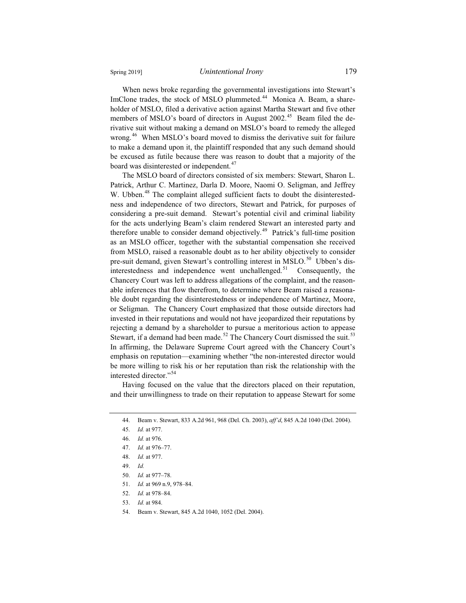When news broke regarding the governmental investigations into Stewart's ImClone trades, the stock of MSLO plummeted.<sup>44</sup> Monica A. Beam, a shareholder of MSLO, filed a derivative action against Martha Stewart and five other members of MSLO's board of directors in August 2002.<sup>45</sup> Beam filed the derivative suit without making a demand on MSLO's board to remedy the alleged wrong.<sup>46</sup> When MSLO's board moved to dismiss the derivative suit for failure to make a demand upon it, the plaintiff responded that any such demand should be excused as futile because there was reason to doubt that a majority of the board was disinterested or independent.<sup>47</sup>

The MSLO board of directors consisted of six members: Stewart, Sharon L. Patrick, Arthur C. Martinez, Darla D. Moore, Naomi O. Seligman, and Jeffrey W. Ubben.<sup>48</sup> The complaint alleged sufficient facts to doubt the disinterestedness and independence of two directors, Stewart and Patrick, for purposes of considering a pre-suit demand. Stewart's potential civil and criminal liability for the acts underlying Beam's claim rendered Stewart an interested party and therefore unable to consider demand objectively.<sup>49</sup> Patrick's full-time position as an MSLO officer, together with the substantial compensation she received from MSLO, raised a reasonable doubt as to her ability objectively to consider pre-suit demand, given Stewart's controlling interest in MSLO.<sup>50</sup> Ubben's disinterestedness and independence went unchallenged.<sup>51</sup> Consequently, the Chancery Court was left to address allegations of the complaint, and the reasonable inferences that flow therefrom, to determine where Beam raised a reasonable doubt regarding the disinterestedness or independence of Martinez, Moore, or Seligman. The Chancery Court emphasized that those outside directors had invested in their reputations and would not have jeopardized their reputations by rejecting a demand by a shareholder to pursue a meritorious action to appease Stewart, if a demand had been made.<sup>52</sup> The Chancery Court dismissed the suit.<sup>53</sup> In affirming, the Delaware Supreme Court agreed with the Chancery Court's emphasis on reputation—examining whether "the non-interested director would be more willing to risk his or her reputation than risk the relationship with the interested director."<sup>54</sup>

Having focused on the value that the directors placed on their reputation, and their unwillingness to trade on their reputation to appease Stewart for some

- 52. *Id.* at 978–84.
- 53. *Id.* at 984.
- 54. Beam v. Stewart, 845 A.2d 1040, 1052 (Del. 2004).

<sup>44.</sup> Beam v. Stewart, 833 A.2d 961, 968 (Del. Ch. 2003), *aff'd*, 845 A.2d 1040 (Del. 2004).

<sup>45.</sup> *Id.* at 977.

<sup>46.</sup> *Id.* at 976.

<sup>47.</sup> *Id.* at 976–77.

<sup>48.</sup> *Id.* at 977.

<sup>49.</sup> *Id.*

<sup>50.</sup> *Id.* at 977–78.

<sup>51.</sup> *Id.* at 969 n.9, 978–84.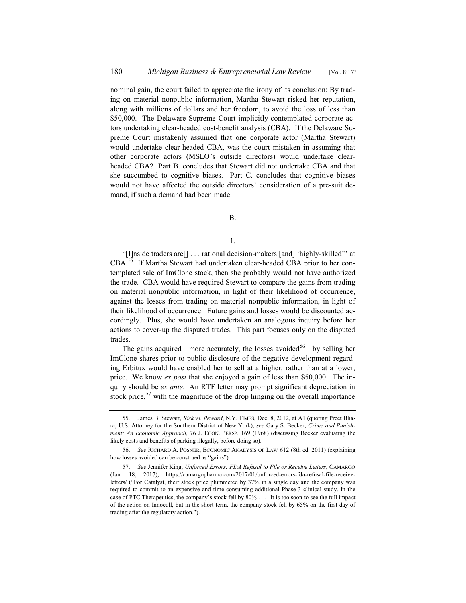nominal gain, the court failed to appreciate the irony of its conclusion: By trading on material nonpublic information, Martha Stewart risked her reputation, along with millions of dollars and her freedom, to avoid the loss of less than \$50,000. The Delaware Supreme Court implicitly contemplated corporate actors undertaking clear-headed cost-benefit analysis (CBA). If the Delaware Supreme Court mistakenly assumed that one corporate actor (Martha Stewart) would undertake clear-headed CBA, was the court mistaken in assuming that other corporate actors (MSLO's outside directors) would undertake clearheaded CBA? Part B. concludes that Stewart did not undertake CBA and that she succumbed to cognitive biases. Part C. concludes that cognitive biases would not have affected the outside directors' consideration of a pre-suit demand, if such a demand had been made.

B.

1.

"[I]nside traders are[] . . . rational decision-makers [and] 'highly-skilled'" at CBA.<sup>55</sup> If Martha Stewart had undertaken clear-headed CBA prior to her contemplated sale of ImClone stock, then she probably would not have authorized the trade. CBA would have required Stewart to compare the gains from trading on material nonpublic information, in light of their likelihood of occurrence, against the losses from trading on material nonpublic information, in light of their likelihood of occurrence. Future gains and losses would be discounted accordingly. Plus, she would have undertaken an analogous inquiry before her actions to cover-up the disputed trades. This part focuses only on the disputed trades.

The gains acquired—more accurately, the losses avoided<sup>56</sup>—by selling her ImClone shares prior to public disclosure of the negative development regarding Erbitux would have enabled her to sell at a higher, rather than at a lower, price. We know *ex post* that she enjoyed a gain of less than \$50,000. The inquiry should be *ex ante*. An RTF letter may prompt significant depreciation in stock price, $57$  with the magnitude of the drop hinging on the overall importance

<sup>55.</sup> James B. Stewart, *Risk vs. Reward*, N.Y. TIMES, Dec. 8, 2012, at A1 (quoting Preet Bhara, U.S. Attorney for the Southern District of New York); *see* Gary S. Becker, *Crime and Punishment: An Economic Approach*, 76 J. ECON. PERSP. 169 (1968) (discussing Becker evaluating the likely costs and benefits of parking illegally, before doing so).

<sup>56.</sup> *See* RICHARD A. POSNER, ECONOMIC ANALYSIS OF LAW 612 (8th ed. 2011) (explaining how losses avoided can be construed as "gains").

<sup>57.</sup> *See* Jennifer King, *Unforced Errors: FDA Refusal to File or Receive Letters*, CAMARGO (Jan. 18, 2017), https://camargopharma.com/2017/01/unforced-errors-fda-refusal-file-receiveletters/ ("For Catalyst, their stock price plummeted by 37% in a single day and the company was required to commit to an expensive and time consuming additional Phase 3 clinical study. In the case of PTC Therapeutics, the company's stock fell by 80% . . . . It is too soon to see the full impact of the action on Innocoll, but in the short term, the company stock fell by 65% on the first day of trading after the regulatory action.").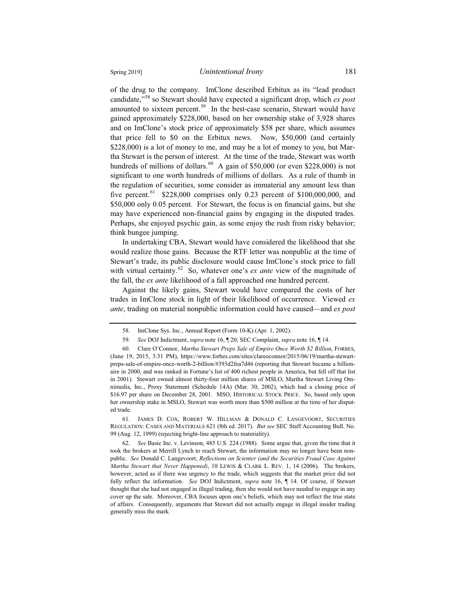of the drug to the company. ImClone described Erbitux as its "lead product candidate,"<sup>58</sup> so Stewart should have expected a significant drop, which *ex post* amounted to sixteen percent.<sup>59</sup> In the best-case scenario, Stewart would have gained approximately \$228,000, based on her ownership stake of 3,928 shares and on ImClone's stock price of approximately \$58 per share, which assumes that price fell to \$0 on the Erbitux news. Now, \$50,000 (and certainly \$228,000) is a lot of money to me, and may be a lot of money to you, but Martha Stewart is the person of interest. At the time of the trade, Stewart was worth hundreds of millions of dollars.<sup>60</sup> A gain of \$50,000 (or even \$228,000) is not significant to one worth hundreds of millions of dollars. As a rule of thumb in the regulation of securities, some consider as immaterial any amount less than five percent.<sup>61</sup> \$228,000 comprises only 0.23 percent of \$100,000,000, and \$50,000 only 0.05 percent. For Stewart, the focus is on financial gains, but she may have experienced non-financial gains by engaging in the disputed trades. Perhaps, she enjoyed psychic gain, as some enjoy the rush from risky behavior; think bungee jumping.

In undertaking CBA, Stewart would have considered the likelihood that she would realize those gains. Because the RTF letter was nonpublic at the time of Stewart's trade, its public disclosure would cause ImClone's stock price to fall with virtual certainty.<sup>62</sup> So, whatever one's *ex ante* view of the magnitude of the fall, the *ex ante* likelihood of a fall approached one hundred percent.

Against the likely gains, Stewart would have compared the costs of her trades in ImClone stock in light of their likelihood of occurrence. Viewed *ex ante*, trading on material nonpublic information could have caused—and *ex post*

61. JAMES D. COX, ROBERT W. HILLMAN & DONALD C. LANGEVOORT, SECURITIES REGULATION: CASES AND MATERIALS 621 (8th ed. 2017). *But see* SEC Staff Accounting Bull. No. 99 (Aug. 12, 1999) (rejecting bright-line approach to materiality).

<sup>58.</sup> ImClone Sys. Inc., Annual Report (Form 10-K) (Apr. 1, 2002).

<sup>59.</sup> *See* DOJ Indictment, *supra* note 16, ¶ 20; SEC Complaint, *supra* note 16, ¶ 14.

<sup>60.</sup> Clare O'Connor, *Martha Stewart Preps Sale of Empire Once Worth \$2 Billion*, FORBES, (June 19, 2015, 3:31 PM), https://www.forbes.com/sites/clareoconnor/2015/06/19/martha-stewartpreps-sale-of-empire-once-worth-2-billion/#393d2fea7d46 (reporting that Stewart became a billionaire in 2000, and was ranked in Fortune's list of 400 richest people in America, but fell off that list in 2001). Stewart owned almost thirty-four million shares of MSLO, Martha Stewart Living Omnimedia, Inc., Proxy Statement (Schedule 14A) (Mar. 30, 2002), which had a closing price of \$16.97 per share on December 28, 2001. MSO, HISTORICAL STOCK PRICE. So, based only upon her ownership stake in MSLO, Stewart was worth more than \$500 million at the time of her disputed trade.

<sup>62.</sup> *See* Basic Inc. v. Levinson, 485 U.S. 224 (1988). Some argue that, given the time that it took the brokers at Merrill Lynch to reach Stewart, the information may no longer have been nonpublic. *See* Donald C. Langevoort, *Reflections on Scienter (and the Securities Fraud Case Against Martha Stewart that Never Happened)*, 10 LEWIS & CLARK L. REV. 1, 14 (2006). The brokers, however, acted as if there was urgency to the trade, which suggests that the market price did not fully reflect the information. *See* DOJ Indictment, *supra* note 16, ¶ 14. Of course, if Stewart thought that she had not engaged in illegal trading, then she would not have needed to engage in any cover up the sale. Moreover, CBA focuses upon one's beliefs, which may not reflect the true state of affairs. Consequently, arguments that Stewart did not actually engage in illegal insider trading generally miss the mark.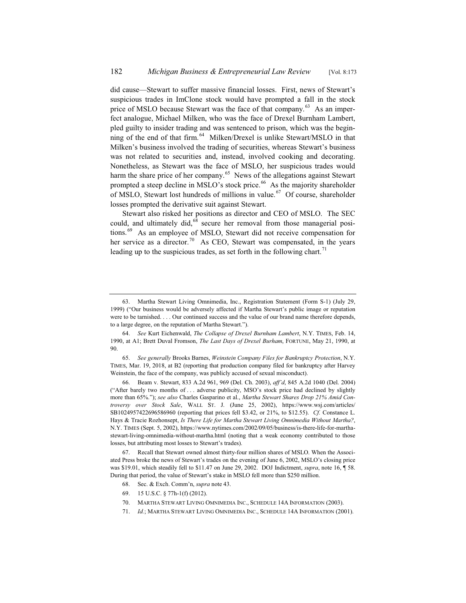did cause—Stewart to suffer massive financial losses. First, news of Stewart's suspicious trades in ImClone stock would have prompted a fall in the stock price of MSLO because Stewart was the face of that company.<sup>63</sup> As an imperfect analogue, Michael Milken, who was the face of Drexel Burnham Lambert, pled guilty to insider trading and was sentenced to prison, which was the beginning of the end of that firm.<sup>64</sup> Milken/Drexel is unlike Stewart/MSLO in that Milken's business involved the trading of securities, whereas Stewart's business was not related to securities and, instead, involved cooking and decorating. Nonetheless, as Stewart was the face of MSLO, her suspicious trades would harm the share price of her company.<sup>65</sup> News of the allegations against Stewart prompted a steep decline in MSLO's stock price.<sup>66</sup> As the majority shareholder of MSLO, Stewart lost hundreds of millions in value.<sup>67</sup> Of course, shareholder losses prompted the derivative suit against Stewart.

Stewart also risked her positions as director and CEO of MSLO. The SEC could, and ultimately did,<sup>68</sup> secure her removal from those managerial positions.<sup>69</sup> As an employee of MSLO, Stewart did not receive compensation for her service as a director.<sup>70</sup> As CEO, Stewart was compensated, in the years leading up to the suspicious trades, as set forth in the following chart.<sup>71</sup>

69. 15 U.S.C. § 77h-1(f) (2012).

71. *Id.*; MARTHA STEWART LIVING OMNIMEDIA INC., SCHEDULE 14A INFORMATION (2001).

<sup>63.</sup> Martha Stewart Living Omnimedia, Inc., Registration Statement (Form S-1) (July 29, 1999) ("Our business would be adversely affected if Martha Stewart's public image or reputation were to be tarnished. . . . Our continued success and the value of our brand name therefore depends, to a large degree, on the reputation of Martha Stewart.").

<sup>64.</sup> *See* Kurt Eichenwald, *The Collapse of Drexel Burnham Lambert*, N.Y. TIMES, Feb. 14, 1990, at A1; Brett Duval Fromson, *The Last Days of Drexel Burham*, FORTUNE, May 21, 1990, at 90.

<sup>65.</sup> *See generally* Brooks Barnes, *Weinstein Company Files for Bankruptcy Protection*, N.Y. TIMES, Mar. 19, 2018, at B2 (reporting that production company filed for bankruptcy after Harvey Weinstein, the face of the company, was publicly accused of sexual misconduct).

<sup>66.</sup> Beam v. Stewart, 833 A.2d 961, 969 (Del. Ch. 2003), *aff'd*, 845 A.2d 1040 (Del. 2004) ("After barely two months of . . . adverse publicity, MSO's stock price had declined by slightly more than 65%."); *see also* Charles Gasparino et al., *Martha Stewart Shares Drop 21% Amid Controversy over Stock Sale*, WALL ST. J. (June 25, 2002), https://www.wsj.com/articles/ SB1024957422696586960 (reporting that prices fell \$3.42, or 21%, to \$12.55). *Cf.* Constance L. Hays & Tracie Rozhonsept, *Is There Life for Martha Stewart Living Omnimedia Without Martha?*, N.Y. TIMES (Sept. 5, 2002), https://www.nytimes.com/2002/09/05/business/is-there-life-for-marthastewart-living-omnimedia-without-martha.html (noting that a weak economy contributed to those losses, but attributing most losses to Stewart's trades).

<sup>67.</sup> Recall that Stewart owned almost thirty-four million shares of MSLO. When the Associated Press broke the news of Stewart's trades on the evening of June 6, 2002, MSLO's closing price was \$19.01, which steadily fell to \$11.47 on June 29, 2002. DOJ Indictment, *supra*, note 16, ¶ 58. During that period, the value of Stewart's stake in MSLO fell more than \$250 million.

<sup>68.</sup> Sec. & Exch. Comm'n, *supra* note 43.

<sup>70.</sup> MARTHA STEWART LIVING OMNIMEDIA INC., SCHEDULE 14A INFORMATION (2003).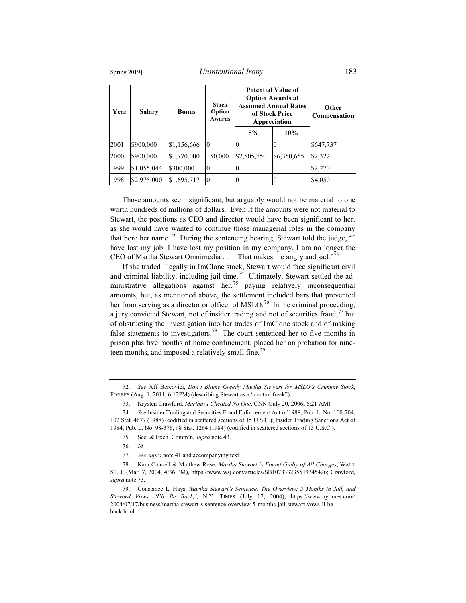Spring 2019] *Unintentional Irony* 183

| Year | <b>Salary</b> | <b>Bonus</b> | <b>Stock</b><br>Option<br>Awards | <b>Potential Value of</b><br><b>Option Awards at</b><br><b>Assumed Annual Rates</b><br>of Stock Price<br>Appreciation |             | <b>Other</b><br>Compensation |
|------|---------------|--------------|----------------------------------|-----------------------------------------------------------------------------------------------------------------------|-------------|------------------------------|
|      |               |              |                                  | 5%                                                                                                                    | 10%         |                              |
| 2001 | \$900,000     | \$1,156,666  | 10                               | O                                                                                                                     | $\theta$    | \$647,737                    |
| 2000 | \$900,000     | \$1,770,000  | 150,000                          | \$2,505,750                                                                                                           | \$6,350,655 | \$2,322                      |
| 1999 | \$1,055,044   | \$300,000    | 10                               | 0                                                                                                                     | $\theta$    | \$2,270                      |
| 1998 | \$2,975,000   | \$1,695,717  | 10                               | $\theta$                                                                                                              | 0           | \$4,050                      |

Those amounts seem significant, but arguably would not be material to one worth hundreds of millions of dollars. Even if the amounts were not material to Stewart, the positions as CEO and director would have been significant to her, as she would have wanted to continue those managerial roles in the company that bore her name.<sup>72</sup> During the sentencing hearing, Stewart told the judge, "I have lost my job. I have lost my position in my company. I am no longer the CEO of Martha Stewart Omnimedia . . . . That makes me angry and sad."<sup>73</sup>

If she traded illegally in ImClone stock, Stewart would face significant civil and criminal liability, including jail time.<sup>74</sup> Ultimately, Stewart settled the administrative allegations against her,<sup>75</sup> paying relatively inconsequential amounts, but, as mentioned above, the settlement included bars that prevented her from serving as a director or officer of MSLO.<sup>76</sup> In the criminal proceeding, a jury convicted Stewart, not of insider trading and not of securities fraud, $^{77}$  but of obstructing the investigation into her trades of ImClone stock and of making false statements to investigators.<sup>78</sup> The court sentenced her to five months in prison plus five months of home confinement, placed her on probation for nineteen months, and imposed a relatively small fine.<sup>79</sup>

<sup>72.</sup> *See* Jeff Bercovici, *Don't Blame Greedy Martha Stewart for MSLO's Crummy Stock*, FORBES (Aug. 1, 2011, 6:12PM) (describing Stewart as a "control freak").

<sup>73.</sup> Krysten Crawford, *Martha: I Cheated No One*, CNN (July 20, 2006, 6:21 AM).

<sup>74.</sup> *See* Insider Trading and Securities Fraud Enforcement Act of 1988, Pub. L. No. 100-704, 102 Stat. 4677 (1988) (codified in scattered sections of 15 U.S.C.); Insider Trading Sanctions Act of 1984, Pub. L. No. 98-376, 98 Stat. 1264 (1984) (codified in scattered sections of 15 U.S.C.).

<sup>75.</sup> Sec. & Exch. Comm'n, *supra* note 43.

<sup>76.</sup> *Id.*

<sup>77.</sup> *See supra* note 41 and accompanying text.

<sup>78.</sup> Kara Cannell & Matthew Rose, *Martha Stewart is Found Guilty of All Charges*, WALL ST. J. (Mar. 7, 2004, 4:36 PM), https://www.wsj.com/articles/SB107833235519345426; Crawford, *supra* note 73.

<sup>79.</sup> Constance L. Hays, *Martha Stewart's Sentence: The Overview; 5 Months in Jail, and Steward Vows, 'I'll Be Back,'*, N.Y. TIMES (July 17, 2004), https://www.nytimes.com/ 2004/07/17/business/martha-stewart-s-sentence-overview-5-months-jail-stewart-vows-ll-beback.html.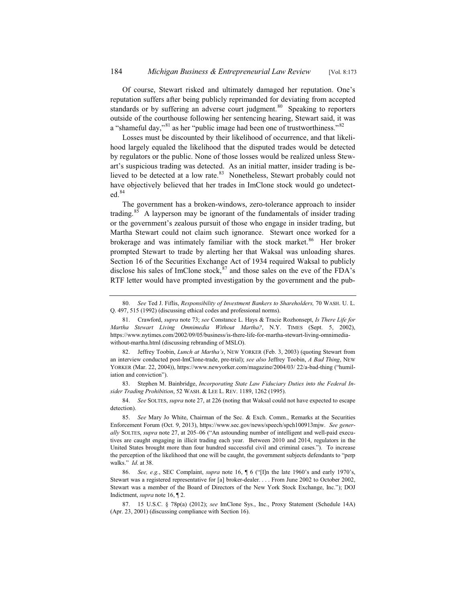Of course, Stewart risked and ultimately damaged her reputation. One's reputation suffers after being publicly reprimanded for deviating from accepted standards or by suffering an adverse court judgment.<sup>80</sup> Speaking to reporters outside of the courthouse following her sentencing hearing, Stewart said, it was a "shameful day," as her "public image had been one of trustworthiness."  $82$ 

Losses must be discounted by their likelihood of occurrence, and that likelihood largely equaled the likelihood that the disputed trades would be detected by regulators or the public. None of those losses would be realized unless Stewart's suspicious trading was detected. As an initial matter, insider trading is believed to be detected at a low rate.<sup>83</sup> Nonetheless, Stewart probably could not have objectively believed that her trades in ImClone stock would go undetected.<sup>84</sup>

The government has a broken-windows, zero-tolerance approach to insider trading.<sup>85</sup> A layperson may be ignorant of the fundamentals of insider trading or the government's zealous pursuit of those who engage in insider trading, but Martha Stewart could not claim such ignorance. Stewart once worked for a brokerage and was intimately familiar with the stock market.<sup>86</sup> Her broker prompted Stewart to trade by alerting her that Waksal was unloading shares. Section 16 of the Securities Exchange Act of 1934 required Waksal to publicly disclose his sales of ImClone stock,  $87$  and those sales on the eve of the FDA's RTF letter would have prompted investigation by the government and the pub-

83. Stephen M. Bainbridge, *Incorporating State Law Fiduciary Duties into the Federal Insider Trading Prohibition*, 52 WASH.&LEE L. REV. 1189, 1262 (1995).

84. *See* SOLTES, *supra* note 27, at 226 (noting that Waksal could not have expected to escape detection).

85. *See* Mary Jo White, Chairman of the Sec. & Exch. Comm., Remarks at the Securities Enforcement Forum (Oct. 9, 2013), https://www.sec.gov/news/speech/spch100913mjw. *See generally* SOLTES, *supra* note 27, at 205–06 ("An astounding number of intelligent and well-paid executives are caught engaging in illicit trading each year. Between 2010 and 2014, regulators in the United States brought more than four hundred successful civil and criminal cases."). To increase the perception of the likelihood that one will be caught, the government subjects defendants to "perp walks." *Id*. at 38.

86. *See, e.g.*, SEC Complaint, *supra* note 16, ¶ 6 ("[I]n the late 1960's and early 1970's, Stewart was a registered representative for [a] broker-dealer. . . . From June 2002 to October 2002, Stewart was a member of the Board of Directors of the New York Stock Exchange, Inc."); DOJ Indictment, *supra* note 16, ¶ 2.

87. 15 U.S.C. § 78p(a) (2012); *see* ImClone Sys., Inc., Proxy Statement (Schedule 14A) (Apr. 23, 2001) (discussing compliance with Section 16).

<sup>80.</sup> *See* Ted J. Fiflis, *Responsibility of Investment Bankers to Shareholders,* 70 WASH. U. L. Q. 497, 515 (1992) (discussing ethical codes and professional norms).

<sup>81.</sup> Crawford, *supra* note 73; *see* Constance L. Hays & Tracie Rozhonsept, *Is There Life for Martha Stewart Living Omnimedia Without Martha?*, N.Y. TIMES (Sept. 5, 2002), https://www.nytimes.com/2002/09/05/business/is-there-life-for-martha-stewart-living-omnimediawithout-martha.html (discussing rebranding of MSLO).

<sup>82.</sup> Jeffrey Toobin, *Lunch at Martha's*, NEW YORKER (Feb. 3, 2003) (quoting Stewart from an interview conducted post-ImClone-trade, pre-trial); *see also* Jeffrey Toobin, *A Bad Thing*, NEW YORKER (Mar. 22, 2004)), https://www.newyorker.com/magazine/2004/03/ 22/a-bad-thing ("humiliation and conviction").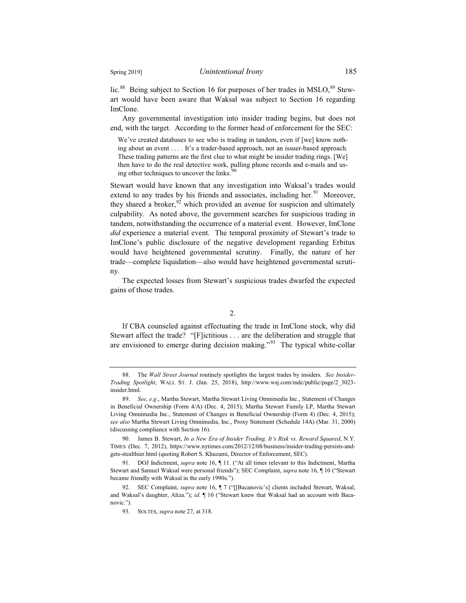lic.<sup>88</sup> Being subject to Section 16 for purposes of her trades in MSLO, $^{89}$  Stewart would have been aware that Waksal was subject to Section 16 regarding ImClone.

Any governmental investigation into insider trading begins, but does not end, with the target. According to the former head of enforcement for the SEC:

We've created databases to see who is trading in tandem, even if [we] know nothing about an event . . . . It's a trader-based approach, not an issuer-based approach. These trading patterns are the first clue to what might be insider trading rings. [We] then have to do the real detective work, pulling phone records and e-mails and using other techniques to uncover the links.

Stewart would have known that any investigation into Waksal's trades would extend to any trades by his friends and associates, including her.<sup>91</sup> Moreover, they shared a broker,  $92$  which provided an avenue for suspicion and ultimately culpability. As noted above, the government searches for suspicious trading in tandem, notwithstanding the occurrence of a material event. However, ImClone *did* experience a material event. The temporal proximity of Stewart's trade to ImClone's public disclosure of the negative development regarding Erbitux would have heightened governmental scrutiny. Finally, the nature of her trade—complete liquidation—also would have heightened governmental scrutiny.

The expected losses from Stewart's suspicious trades dwarfed the expected gains of those trades.

2.

If CBA counseled against effectuating the trade in ImClone stock, why did Stewart affect the trade? "[F]ictitious . . . are the deliberation and struggle that are envisioned to emerge during decision making."<sup>93</sup> The typical white-collar

<sup>88.</sup> The *Wall Street Journal* routinely spotlights the largest trades by insiders. *See Insider-Trading Spotlight*, WALL ST. J. (Jan. 25, 2018), http://www.wsj.com/mdc/public/page/2\_3023 insider.html.

<sup>89.</sup> *See, e.g*., Martha Stewart, Martha Stewart Living Omnimedia Inc., Statement of Changes in Beneficial Ownership (Form 4/A) (Dec. 4, 2015); Martha Stewart Family LP, Martha Stewart Living Omnimedia Inc., Statement of Changes in Beneficial Ownership (Form 4) (Dec. 4, 2015); *see also* Martha Stewart Living Omnimedia, Inc., Proxy Statement (Schedule 14A) (Mar. 31, 2000) (discussing compliance with Section 16).

<sup>90.</sup> James B. Stewart, *In a New Era of Insider Trading, It's Risk vs. Reward Squared*, N.Y. TIMES (Dec. 7, 2012), https://www.nytimes.com/2012/12/08/business/insider-trading-persists-andgets-stealthier.html (quoting Robert S. Khuzami, Director of Enforcement, SEC).

<sup>91.</sup> DOJ Indictment, *supra* note 16, ¶ 11. ("At all times relevant to this Indictment, Martha Stewart and Samuel Waksal were personal friends"); SEC Complaint, *supra* note 16, ¶ 10 ("Stewart became friendly with Waksal in the early 1990s.").

<sup>92.</sup> SEC Complaint, *supra* note 16, ¶ 7 ("[[Bacanovic's] clients included Stewart, Waksal, and Waksal's daughter, Aliza."); *id*. ¶ 10 ("Stewart knew that Waksal had an account with Bacanovic.").

<sup>93.</sup> SOLTES, *supra* note 27, at 318.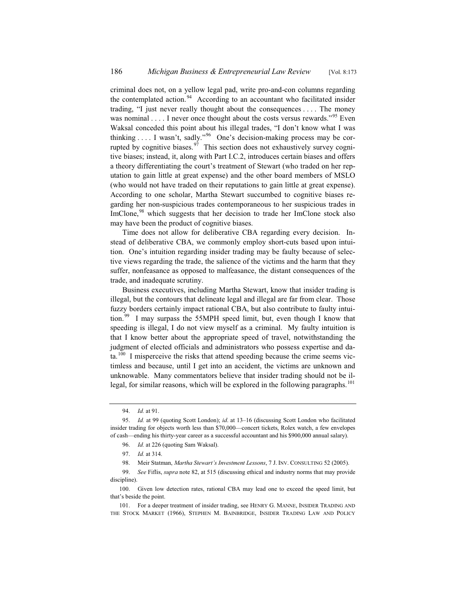criminal does not, on a yellow legal pad, write pro-and-con columns regarding the contemplated action.<sup>94</sup> According to an accountant who facilitated insider trading, "I just never really thought about the consequences . . . . The money was nominal  $\dots$  I never once thought about the costs versus rewards.<sup>"95</sup> Even Waksal conceded this point about his illegal trades, "I don't know what I was thinking . . . . I wasn't, sadly."<sup>96</sup> One's decision-making process may be corrupted by cognitive biases.  $\frac{97}{7}$  This section does not exhaustively survey cognitive biases; instead, it, along with Part I.C.2, introduces certain biases and offers a theory differentiating the court's treatment of Stewart (who traded on her reputation to gain little at great expense) and the other board members of MSLO (who would not have traded on their reputations to gain little at great expense). According to one scholar, Martha Stewart succumbed to cognitive biases regarding her non-suspicious trades contemporaneous to her suspicious trades in ImClone,<sup>98</sup> which suggests that her decision to trade her ImClone stock also may have been the product of cognitive biases.

Time does not allow for deliberative CBA regarding every decision. Instead of deliberative CBA, we commonly employ short-cuts based upon intuition. One's intuition regarding insider trading may be faulty because of selective views regarding the trade, the salience of the victims and the harm that they suffer, nonfeasance as opposed to malfeasance, the distant consequences of the trade, and inadequate scrutiny.

Business executives, including Martha Stewart, know that insider trading is illegal, but the contours that delineate legal and illegal are far from clear. Those fuzzy borders certainly impact rational CBA, but also contribute to faulty intuition.<sup>99</sup> I may surpass the 55MPH speed limit, but, even though I know that speeding is illegal, I do not view myself as a criminal. My faulty intuition is that I know better about the appropriate speed of travel, notwithstanding the judgment of elected officials and administrators who possess expertise and da $ta.<sup>100</sup>$  I misperceive the risks that attend speeding because the crime seems victimless and because, until I get into an accident, the victims are unknown and unknowable. Many commentators believe that insider trading should not be illegal, for similar reasons, which will be explored in the following paragraphs.<sup>101</sup>

<sup>94.</sup> *Id.* at 91.

<sup>95.</sup> *Id.* at 99 (quoting Scott London); *id*. at 13–16 (discussing Scott London who facilitated insider trading for objects worth less than \$70,000—concert tickets, Rolex watch, a few envelopes of cash—ending his thirty-year career as a successful accountant and his \$900,000 annual salary).

<sup>96.</sup> *Id.* at 226 (quoting Sam Waksal).

<sup>97.</sup> *Id.* at 314.

<sup>98.</sup> Meir Statman, *Martha Stewart's Investment Lessons*, 7 J. INV. CONSULTING 52 (2005).

<sup>99.</sup> *See* Fiflis, *supra* note 82, at 515 (discussing ethical and industry norms that may provide discipline).

<sup>100.</sup> Given low detection rates, rational CBA may lead one to exceed the speed limit, but that's beside the point.

<sup>101.</sup> For a deeper treatment of insider trading, see HENRY G. MANNE, INSIDER TRADING AND THE STOCK MARKET (1966), STEPHEN M. BAINBRIDGE, INSIDER TRADING LAW AND POLICY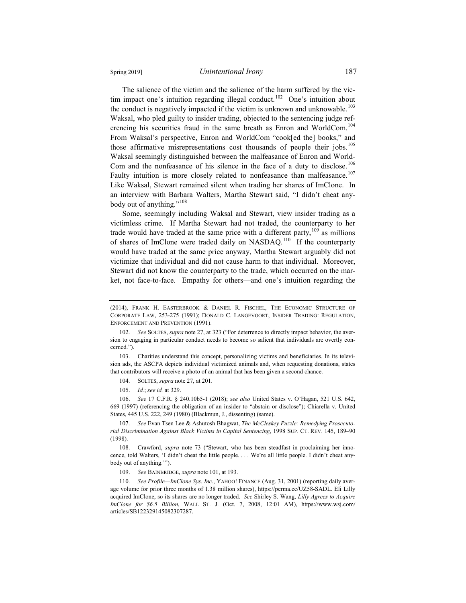The salience of the victim and the salience of the harm suffered by the victim impact one's intuition regarding illegal conduct.<sup>102</sup> One's intuition about the conduct is negatively impacted if the victim is unknown and unknowable. $103$ Waksal, who pled guilty to insider trading, objected to the sentencing judge referencing his securities fraud in the same breath as Enron and WorldCom.<sup>104</sup> From Waksal's perspective, Enron and WorldCom "cook[ed the] books," and those affirmative misrepresentations cost thousands of people their jobs.<sup>105</sup> Waksal seemingly distinguished between the malfeasance of Enron and World-Com and the nonfeasance of his silence in the face of a duty to disclose.<sup>106</sup> Faulty intuition is more closely related to nonfeasance than malfeasance.<sup>107</sup> Like Waksal, Stewart remained silent when trading her shares of ImClone. In an interview with Barbara Walters, Martha Stewart said, "I didn't cheat anybody out of anything."<sup>108</sup>

Some, seemingly including Waksal and Stewart, view insider trading as a victimless crime. If Martha Stewart had not traded, the counterparty to her trade would have traded at the same price with a different party,  $109$  as millions of shares of ImClone were traded daily on NASDAQ.<sup>110</sup> If the counterparty would have traded at the same price anyway, Martha Stewart arguably did not victimize that individual and did not cause harm to that individual. Moreover, Stewart did not know the counterparty to the trade, which occurred on the market, not face-to-face. Empathy for others—and one's intuition regarding the

103. Charities understand this concept, personalizing victims and beneficiaries. In its television ads, the ASCPA depicts individual victimized animals and, when requesting donations, states that contributors will receive a photo of an animal that has been given a second chance.

104. SOLTES, *supra* note 27, at 201.

105. *Id.*; *see id.* at 329.

106. *See* 17 C.F.R. § 240.10b5-1 (2018); *see also* United States v. O'Hagan, 521 U.S. 642, 669 (1997) (referencing the obligation of an insider to "abstain or disclose"); Chiarella v. United States, 445 U.S. 222, 249 (1980) (Blackmun, J., dissenting) (same).

107. *See* Evan Tsen Lee & Ashutosh Bhagwat, *The McCleskey Puzzle: Remedying Prosecutorial Discrimination Against Black Victims in Capital Sentencing*, 1998 SUP. CT. REV. 145, 189–90 (1998).

108. Crawford, *supra* note 73 ("Stewart, who has been steadfast in proclaiming her innocence, told Walters, 'I didn't cheat the little people. . . . We're all little people. I didn't cheat anybody out of anything.'").

109. *See* BAINBRIDGE, *supra* note 101, at 193.

110. *See Profile—ImClone Sys. Inc*., YAHOO! FINANCE (Aug. 31, 2001) (reporting daily average volume for prior three months of 1.38 million shares), https://perma.cc/UZ58-SADL. Eli Lilly acquired ImClone, so its shares are no longer traded. *See* Shirley S. Wang, *Lilly Agrees to Acquire ImClone for \$6.5 Billion*, WALL ST. J. (Oct. 7, 2008, 12:01 AM), https://www.wsj.com/ articles/SB122329145082307287.

<sup>(2014),</sup> FRANK H. EASTERBROOK & DANIEL R. FISCHEL, THE ECONOMIC STRUCTURE OF CORPORATE LAW, 253-275 (1991); DONALD C. LANGEVOORT, INSIDER TRADING: REGULATION, ENFORCEMENT AND PREVENTION (1991).

<sup>102.</sup> *See* SOLTES, *supra* note 27, at 323 ("For deterrence to directly impact behavior, the aversion to engaging in particular conduct needs to become so salient that individuals are overtly concerned.").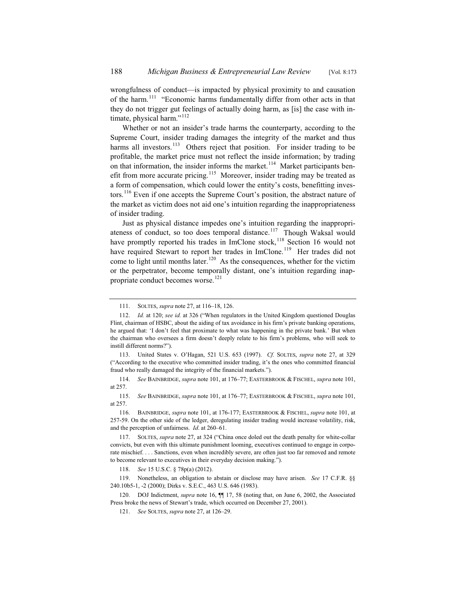wrongfulness of conduct—is impacted by physical proximity to and causation of the harm.<sup>111</sup> "Economic harms fundamentally differ from other acts in that they do not trigger gut feelings of actually doing harm, as [is] the case with intimate, physical harm." $112$ 

Whether or not an insider's trade harms the counterparty, according to the Supreme Court, insider trading damages the integrity of the market and thus harms all investors.<sup>113</sup> Others reject that position. For insider trading to be profitable, the market price must not reflect the inside information; by trading on that information, the insider informs the market.<sup>114</sup> Market participants benefit from more accurate pricing.<sup>115</sup> Moreover, insider trading may be treated as a form of compensation, which could lower the entity's costs, benefitting investors.<sup>116</sup> Even if one accepts the Supreme Court's position, the abstract nature of the market as victim does not aid one's intuition regarding the inappropriateness of insider trading.

Just as physical distance impedes one's intuition regarding the inappropriateness of conduct, so too does temporal distance.<sup>117</sup> Though Waksal would have promptly reported his trades in ImClone stock, $118$  Section 16 would not have required Stewart to report her trades in ImClone.<sup>119</sup> Her trades did not come to light until months later.<sup>120</sup> As the consequences, whether for the victim or the perpetrator, become temporally distant, one's intuition regarding inappropriate conduct becomes worse.<sup>121</sup>

113. United States v. O'Hagan, 521 U.S. 653 (1997). *Cf.* SOLTES, *supra* note 27, at 329 ("According to the executive who committed insider trading, it's the ones who committed financial fraud who really damaged the integrity of the financial markets.").

114. *See* BAINBRIDGE, *supra* note 101, at 176–77; EASTERBROOK & FISCHEL, *supra* note 101, at 257.

115. *See* BAINBRIDGE, *supra* note 101, at 176–77; EASTERBROOK & FISCHEL, *supra* note 101, at 257.

116. BAINBRIDGE, *supra* note 101, at 176-177; EASTERBROOK & FISCHEL, *supra* note 101, at 257-59. On the other side of the ledger, deregulating insider trading would increase volatility, risk, and the perception of unfairness. *Id*. at 260–61.

117. SOLTES, *supra* note 27, at 324 ("China once doled out the death penalty for white-collar convicts, but even with this ultimate punishment looming, executives continued to engage in corporate mischief. . . . Sanctions, even when incredibly severe, are often just too far removed and remote to become relevant to executives in their everyday decision making.").

118. *See* 15 U.S.C. § 78p(a) (2012).

119. Nonetheless, an obligation to abstain or disclose may have arisen. *See* 17 C.F.R. §§ 240.10b5-1, -2 (2000); Dirks v. S.E.C., 463 U.S. 646 (1983).

120. DOJ Indictment, *supra* note 16, ¶¶ 17, 58 (noting that, on June 6, 2002, the Associated Press broke the news of Stewart's trade, which occurred on December 27, 2001).

<sup>111.</sup> SOLTES, *supra* note 27, at 116–18, 126.

<sup>112.</sup> *Id.* at 120; *see id.* at 326 ("When regulators in the United Kingdom questioned Douglas Flint, chairman of HSBC, about the aiding of tax avoidance in his firm's private banking operations, he argued that: 'I don't feel that proximate to what was happening in the private bank.' But when the chairman who oversees a firm doesn't deeply relate to his firm's problems, who will seek to instill different norms?").

<sup>121.</sup> *See* SOLTES, *supra* note 27, at 126–29.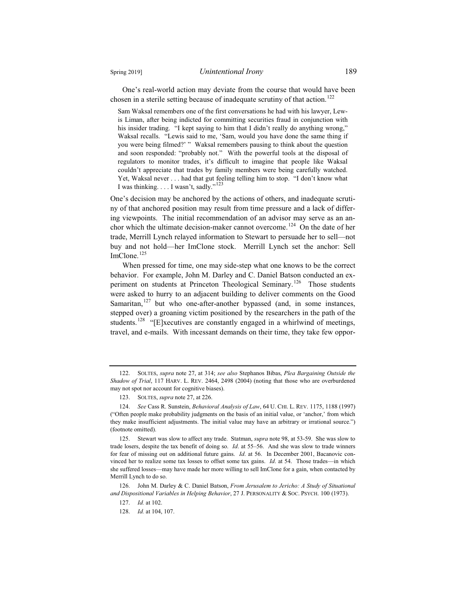One's real-world action may deviate from the course that would have been chosen in a sterile setting because of inadequate scrutiny of that action.<sup>122</sup>

Sam Waksal remembers one of the first conversations he had with his lawyer, Lewis Liman, after being indicted for committing securities fraud in conjunction with his insider trading. "I kept saying to him that I didn't really do anything wrong," Waksal recalls. "Lewis said to me, 'Sam, would you have done the same thing if you were being filmed?' " Waksal remembers pausing to think about the question and soon responded: "probably not." With the powerful tools at the disposal of regulators to monitor trades, it's difficult to imagine that people like Waksal couldn't appreciate that trades by family members were being carefully watched. Yet, Waksal never . . . had that gut feeling telling him to stop. "I don't know what I was thinking.  $\dots$  I wasn't, sadly."<sup>123</sup>

One's decision may be anchored by the actions of others, and inadequate scrutiny of that anchored position may result from time pressure and a lack of differing viewpoints. The initial recommendation of an advisor may serve as an anchor which the ultimate decision-maker cannot overcome.<sup>124</sup> On the date of her trade, Merrill Lynch relayed information to Stewart to persuade her to sell—not buy and not hold—her ImClone stock. Merrill Lynch set the anchor: Sell  $ImClone.$ <sup>125</sup>

When pressed for time, one may side-step what one knows to be the correct behavior. For example, John M. Darley and C. Daniel Batson conducted an experiment on students at Princeton Theological Seminary.<sup>126</sup> Those students were asked to hurry to an adjacent building to deliver comments on the Good Samaritan, $127$  but who one-after-another bypassed (and, in some instances, stepped over) a groaning victim positioned by the researchers in the path of the students.<sup>128</sup> "[E]xecutives are constantly engaged in a whirlwind of meetings, travel, and e-mails. With incessant demands on their time, they take few oppor-

126. John M. Darley & C. Daniel Batson, *From Jerusalem to Jericho: A Study of Situational and Dispositional Variables in Helping Behavior*, 27 J. PERSONALITY & SOC. PSYCH. 100 (1973).

<sup>122.</sup> SOLTES, *supra* note 27, at 314; *see also* Stephanos Bibas, *Plea Bargaining Outside the Shadow of Trial*, 117 HARV. L. REV. 2464, 2498 (2004) (noting that those who are overburdened may not spot nor account for cognitive biases).

<sup>123.</sup> SOLTES, *supra* note 27, at 226.

<sup>124.</sup> *See* Cass R. Sunstein, *Behavioral Analysis of Law*, 64 U. CHI. L. REV. 1175, 1188 (1997) ("Often people make probability judgments on the basis of an initial value, or 'anchor,' from which they make insufficient adjustments. The initial value may have an arbitrary or irrational source.") (footnote omitted).

<sup>125.</sup> Stewart was slow to affect any trade. Statman, *supra* note 98, at 53-59. She was slow to trade losers, despite the tax benefit of doing so. *Id*. at 55–56. And she was slow to trade winners for fear of missing out on additional future gains. *Id*. at 56. In December 2001, Bacanovic convinced her to realize some tax losses to offset some tax gains. *Id*. at 54. Those trades—in which she suffered losses—may have made her more willing to sell ImClone for a gain, when contacted by Merrill Lynch to do so.

<sup>127.</sup> *Id.* at 102.

<sup>128.</sup> *Id.* at 104, 107.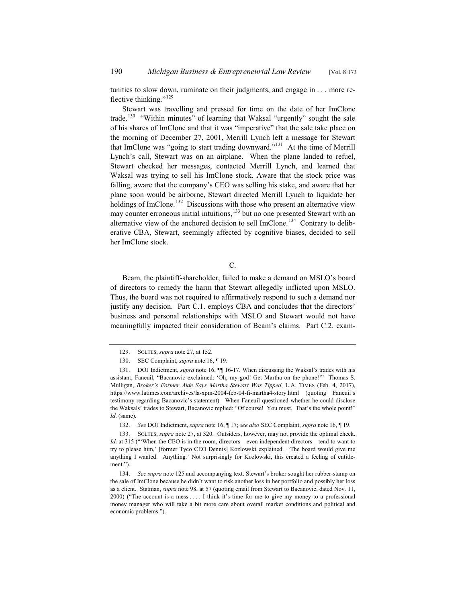tunities to slow down, ruminate on their judgments, and engage in . . . more reflective thinking."<sup>129</sup>

Stewart was travelling and pressed for time on the date of her ImClone trade.<sup>130</sup> "Within minutes" of learning that Waksal "urgently" sought the sale of his shares of ImClone and that it was "imperative" that the sale take place on the morning of December 27, 2001, Merrill Lynch left a message for Stewart that ImClone was "going to start trading downward."<sup>131</sup> At the time of Merrill Lynch's call, Stewart was on an airplane. When the plane landed to refuel, Stewart checked her messages, contacted Merrill Lynch, and learned that Waksal was trying to sell his ImClone stock. Aware that the stock price was falling, aware that the company's CEO was selling his stake, and aware that her plane soon would be airborne, Stewart directed Merrill Lynch to liquidate her holdings of ImClone.<sup>132</sup> Discussions with those who present an alternative view may counter erroneous initial intuitions,<sup>133</sup> but no one presented Stewart with an alternative view of the anchored decision to sell ImClone.<sup>134</sup> Contrary to deliberative CBA, Stewart, seemingly affected by cognitive biases, decided to sell her ImClone stock.

### C.

Beam, the plaintiff-shareholder, failed to make a demand on MSLO's board of directors to remedy the harm that Stewart allegedly inflicted upon MSLO. Thus, the board was not required to affirmatively respond to such a demand nor justify any decision. Part C.1. employs CBA and concludes that the directors' business and personal relationships with MSLO and Stewart would not have meaningfully impacted their consideration of Beam's claims. Part C.2. exam-

<sup>129.</sup> SOLTES, *supra* note 27, at 152.

<sup>130.</sup> SEC Complaint, *supra* note 16, ¶ 19.

<sup>131.</sup> DOJ Indictment, *supra* note 16, ¶¶ 16-17. When discussing the Waksal's trades with his assistant, Faneuil, "Bacanovic exclaimed: 'Oh, my god! Get Martha on the phone!'" Thomas S. Mulligan, *Broker's Former Aide Says Martha Stewart Was Tipped*, L.A. TIMES (Feb. 4, 2017), https://www.latimes.com/archives/la-xpm-2004-feb-04-fi-martha4-story.html (quoting Faneuil's testimony regarding Bacanovic's statement). When Faneuil questioned whether he could disclose the Waksals' trades to Stewart, Bacanovic replied: "Of course! You must. That's the whole point!" *Id*. (same).

<sup>132.</sup> *See* DOJ Indictment, *supra* note 16, ¶ 17; *see also* SEC Complaint, *supra* note 16, ¶ 19.

<sup>133.</sup> SOLTES, *supra* note 27, at 320. Outsiders, however, may not provide the optimal check. *Id*. at 315 ("When the CEO is in the room, directors—even independent directors—tend to want to try to please him,' [former Tyco CEO Dennis] Kozlowski explained. 'The board would give me anything I wanted. Anything.' Not surprisingly for Kozlowski, this created a feeling of entitlement.").

<sup>134.</sup> *See supra* note 125 and accompanying text. Stewart's broker sought her rubber-stamp on the sale of ImClone because he didn't want to risk another loss in her portfolio and possibly her loss as a client. Statman, *supra* note 98, at 57 (quoting email from Stewart to Bacanovic, dated Nov. 11, 2000) ("The account is a mess . . . . I think it's time for me to give my money to a professional money manager who will take a bit more care about overall market conditions and political and economic problems.").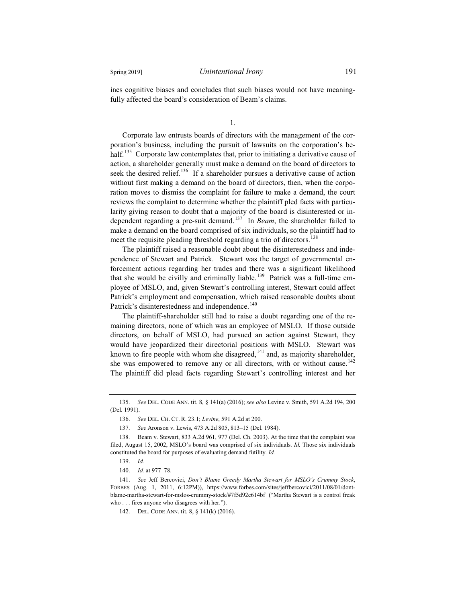ines cognitive biases and concludes that such biases would not have meaningfully affected the board's consideration of Beam's claims.

1.

Corporate law entrusts boards of directors with the management of the corporation's business, including the pursuit of lawsuits on the corporation's behalf.<sup>135</sup> Corporate law contemplates that, prior to initiating a derivative cause of action, a shareholder generally must make a demand on the board of directors to seek the desired relief.<sup>136</sup> If a shareholder pursues a derivative cause of action without first making a demand on the board of directors, then, when the corporation moves to dismiss the complaint for failure to make a demand, the court reviews the complaint to determine whether the plaintiff pled facts with particularity giving reason to doubt that a majority of the board is disinterested or independent regarding a pre-suit demand.<sup>137</sup> In *Beam*, the shareholder failed to make a demand on the board comprised of six individuals, so the plaintiff had to meet the requisite pleading threshold regarding a trio of directors.<sup>138</sup>

The plaintiff raised a reasonable doubt about the disinterestedness and independence of Stewart and Patrick. Stewart was the target of governmental enforcement actions regarding her trades and there was a significant likelihood that she would be civilly and criminally liable.<sup>139</sup> Patrick was a full-time employee of MSLO, and, given Stewart's controlling interest, Stewart could affect Patrick's employment and compensation, which raised reasonable doubts about Patrick's disinterestedness and independence.<sup>140</sup>

The plaintiff-shareholder still had to raise a doubt regarding one of the remaining directors, none of which was an employee of MSLO. If those outside directors, on behalf of MSLO, had pursued an action against Stewart, they would have jeopardized their directorial positions with MSLO. Stewart was known to fire people with whom she disagreed, $141$  and, as majority shareholder, she was empowered to remove any or all directors, with or without cause.<sup>142</sup> The plaintiff did plead facts regarding Stewart's controlling interest and her

<sup>135.</sup> *See* DEL. CODE ANN. tit. 8, § 141(a) (2016); *see also* Levine v. Smith, 591 A.2d 194, 200 (Del. 1991).

<sup>136.</sup> *See* DEL. CH. CT. R. 23.1; *Levine*, 591 A.2d at 200.

<sup>137.</sup> *See* Aronson v. Lewis, 473 A.2d 805, 813–15 (Del. 1984).

<sup>138.</sup> Beam v. Stewart, 833 A.2d 961, 977 (Del. Ch. 2003). At the time that the complaint was filed, August 15, 2002, MSLO's board was comprised of six individuals. *Id.* Those six individuals constituted the board for purposes of evaluating demand futility. *Id.*

<sup>139.</sup> *Id.*

<sup>140.</sup> *Id.* at 977–78.

<sup>141.</sup> *See* Jeff Bercovici, *Don't Blame Greedy Martha Stewart for MSLO's Crummy Stock*, FORBES (Aug. 1, 2011, 6:12PM)), https://www.forbes.com/sites/jeffbercovici/2011/08/01/dontblame-martha-stewart-for-mslos-crummy-stock/#7f5d92e614bf ("Martha Stewart is a control freak who . . . fires anyone who disagrees with her.").

<sup>142.</sup> DEL. CODE ANN. tit. 8, § 141(k) (2016).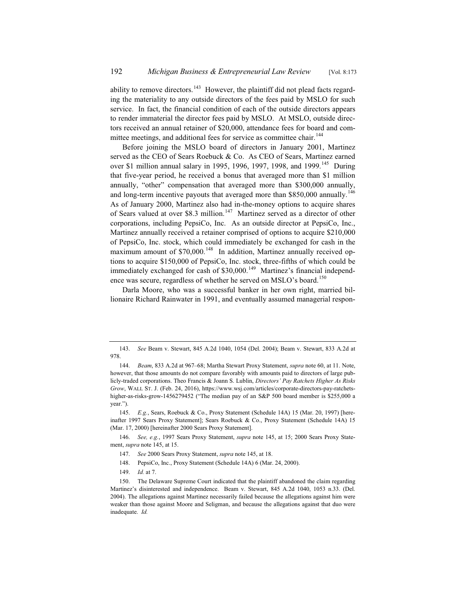ability to remove directors.<sup>143</sup> However, the plaintiff did not plead facts regarding the materiality to any outside directors of the fees paid by MSLO for such service. In fact, the financial condition of each of the outside directors appears to render immaterial the director fees paid by MSLO. At MSLO, outside directors received an annual retainer of \$20,000, attendance fees for board and committee meetings, and additional fees for service as committee chair.<sup>144</sup>

Before joining the MSLO board of directors in January 2001, Martinez served as the CEO of Sears Roebuck & Co. As CEO of Sears, Martinez earned over \$1 million annual salary in 1995, 1996, 1997, 1998, and 1999.<sup>145</sup> During that five-year period, he received a bonus that averaged more than \$1 million annually, "other" compensation that averaged more than \$300,000 annually, and long-term incentive payouts that averaged more than \$850,000 annually.<sup>146</sup> As of January 2000, Martinez also had in-the-money options to acquire shares of Sears valued at over \$8.3 million.<sup>147</sup> Martinez served as a director of other corporations, including PepsiCo, Inc. As an outside director at PepsiCo, Inc., Martinez annually received a retainer comprised of options to acquire \$210,000 of PepsiCo, Inc. stock, which could immediately be exchanged for cash in the maximum amount of \$70,000.<sup>148</sup> In addition, Martinez annually received options to acquire \$150,000 of PepsiCo, Inc. stock, three-fifths of which could be immediately exchanged for cash of  $$30,000$ .<sup>149</sup> Martinez's financial independence was secure, regardless of whether he served on MSLO's board.<sup>150</sup>

Darla Moore, who was a successful banker in her own right, married billionaire Richard Rainwater in 1991, and eventually assumed managerial respon-

<sup>143.</sup> *See* Beam v. Stewart, 845 A.2d 1040, 1054 (Del. 2004); Beam v. Stewart, 833 A.2d at 978.

<sup>144.</sup> *Beam*, 833 A.2d at 967–68; Martha Stewart Proxy Statement, *supra* note 60, at 11. Note, however, that those amounts do not compare favorably with amounts paid to directors of large publicly-traded corporations. Theo Francis & Joann S. Lublin, *Directors' Pay Ratchets Higher As Risks Grow*, WALL ST. J. (Feb. 24, 2016), https://www.wsj.com/articles/corporate-directors-pay-ratchetshigher-as-risks-grow-1456279452 ("The median pay of an S&P 500 board member is \$255,000 a year.").

<sup>145.</sup> *E.g.*, Sears, Roebuck & Co., Proxy Statement (Schedule 14A) 15 (Mar. 20, 1997) [hereinafter 1997 Sears Proxy Statement]; Sears Roebuck & Co., Proxy Statement (Schedule 14A) 15 (Mar. 17, 2000) [hereinafter 2000 Sears Proxy Statement].

<sup>146.</sup> *See, e.g.*, 1997 Sears Proxy Statement, *supra* note 145, at 15; 2000 Sears Proxy Statement, *supra* note 145, at 15.

<sup>147.</sup> *See* 2000 Sears Proxy Statement, *supra* note 145, at 18.

<sup>148.</sup> PepsiCo, Inc., Proxy Statement (Schedule 14A) 6 (Mar. 24, 2000).

<sup>149.</sup> *Id.* at 7.

<sup>150.</sup> The Delaware Supreme Court indicated that the plaintiff abandoned the claim regarding Martinez's disinterested and independence. Beam v. Stewart, 845 A.2d 1040, 1053 n.33. (Del. 2004). The allegations against Martinez necessarily failed because the allegations against him were weaker than those against Moore and Seligman, and because the allegations against that duo were inadequate. *Id.*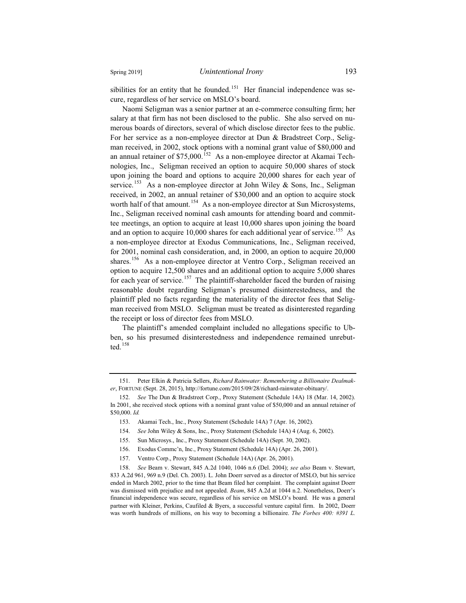sibilities for an entity that he founded.<sup>151</sup> Her financial independence was secure, regardless of her service on MSLO's board.

Naomi Seligman was a senior partner at an e-commerce consulting firm; her salary at that firm has not been disclosed to the public. She also served on numerous boards of directors, several of which disclose director fees to the public. For her service as a non-employee director at Dun & Bradstreet Corp., Seligman received, in 2002, stock options with a nominal grant value of \$80,000 and an annual retainer of  $$75,000$ .<sup>152</sup> As a non-employee director at Akamai Technologies, Inc., Seligman received an option to acquire 50,000 shares of stock upon joining the board and options to acquire 20,000 shares for each year of service.<sup>153</sup> As a non-employee director at John Wiley & Sons, Inc., Seligman received, in 2002, an annual retainer of \$30,000 and an option to acquire stock worth half of that amount.<sup>154</sup> As a non-employee director at Sun Microsystems, Inc., Seligman received nominal cash amounts for attending board and committee meetings, an option to acquire at least 10,000 shares upon joining the board and an option to acquire 10,000 shares for each additional year of service.<sup>155</sup> As a non-employee director at Exodus Communications, Inc., Seligman received, for 2001, nominal cash consideration, and, in 2000, an option to acquire 20,000 shares.<sup>156</sup> As a non-employee director at Ventro Corp., Seligman received an option to acquire 12,500 shares and an additional option to acquire 5,000 shares for each year of service.<sup>157</sup> The plaintiff-shareholder faced the burden of raising reasonable doubt regarding Seligman's presumed disinterestedness, and the plaintiff pled no facts regarding the materiality of the director fees that Seligman received from MSLO. Seligman must be treated as disinterested regarding the receipt or loss of director fees from MSLO.

The plaintiff's amended complaint included no allegations specific to Ubben, so his presumed disinterestedness and independence remained unrebutted.<sup>158</sup>

<sup>151.</sup> Peter Elkin & Patricia Sellers, *Richard Rainwater: Remembering a Billionaire Dealmaker*, FORTUNE (Sept. 28, 2015), http://fortune.com/2015/09/28/richard-rainwater-obituary/.

<sup>152.</sup> *See* The Dun & Bradstreet Corp., Proxy Statement (Schedule 14A) 18 (Mar. 14, 2002). In 2001, she received stock options with a nominal grant value of \$50,000 and an annual retainer of \$50,000. *Id.*

<sup>153.</sup> Akamai Tech., Inc., Proxy Statement (Schedule 14A) 7 (Apr. 16, 2002).

<sup>154.</sup> *See* John Wiley & Sons, Inc., Proxy Statement (Schedule 14A) 4 (Aug. 6, 2002).

<sup>155.</sup> Sun Microsys., Inc., Proxy Statement (Schedule 14A) (Sept. 30, 2002).

<sup>156.</sup> Exodus Commc'n, Inc., Proxy Statement (Schedule 14A) (Apr. 26, 2001).

<sup>157.</sup> Ventro Corp., Proxy Statement (Schedule 14A) (Apr. 26, 2001).

<sup>158.</sup> *See* Beam v. Stewart, 845 A.2d 1040, 1046 n.6 (Del. 2004); *see also* Beam v. Stewart, 833 A.2d 961, 969 n.9 (Del. Ch. 2003). L. John Doerr served as a director of MSLO, but his service ended in March 2002, prior to the time that Beam filed her complaint. The complaint against Doerr was dismissed with prejudice and not appealed. *Beam*, 845 A.2d at 1044 n.2. Nonetheless, Doerr's financial independence was secure, regardless of his service on MSLO's board. He was a general partner with Kleiner, Perkins, Caufiled & Byers, a successful venture capital firm. In 2002, Doerr was worth hundreds of millions, on his way to becoming a billionaire. *The Forbes 400: #391 L.*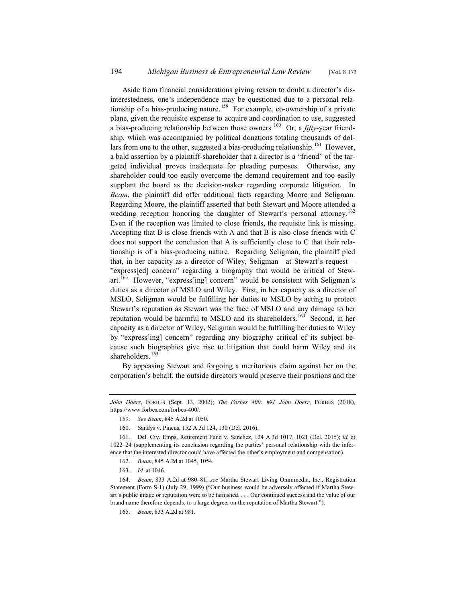Aside from financial considerations giving reason to doubt a director's disinterestedness, one's independence may be questioned due to a personal relationship of a bias-producing nature.<sup>159</sup> For example, co-ownership of a private plane, given the requisite expense to acquire and coordination to use, suggested a bias-producing relationship between those owners.<sup>160</sup> Or, a *fifty*-year friendship, which was accompanied by political donations totaling thousands of dollars from one to the other, suggested a bias-producing relationship.<sup>161</sup> However, a bald assertion by a plaintiff-shareholder that a director is a "friend" of the targeted individual proves inadequate for pleading purposes. Otherwise, any shareholder could too easily overcome the demand requirement and too easily supplant the board as the decision-maker regarding corporate litigation. In *Beam*, the plaintiff did offer additional facts regarding Moore and Seligman. Regarding Moore, the plaintiff asserted that both Stewart and Moore attended a wedding reception honoring the daughter of Stewart's personal attorney.<sup>162</sup> Even if the reception was limited to close friends, the requisite link is missing. Accepting that B is close friends with A and that B is also close friends with C does not support the conclusion that A is sufficiently close to C that their relationship is of a bias-producing nature. Regarding Seligman, the plaintiff pled that, in her capacity as a director of Wiley, Seligman—at Stewart's request— "express[ed] concern" regarding a biography that would be critical of Stewart.<sup>163</sup> However, "express[ing] concern" would be consistent with Seligman's duties as a director of MSLO and Wiley. First, in her capacity as a director of MSLO, Seligman would be fulfilling her duties to MSLO by acting to protect Stewart's reputation as Stewart was the face of MSLO and any damage to her reputation would be harmful to MSLO and its shareholders.<sup>164</sup> Second, in her capacity as a director of Wiley, Seligman would be fulfilling her duties to Wiley by "express[ing] concern" regarding any biography critical of its subject because such biographies give rise to litigation that could harm Wiley and its shareholders.<sup>165</sup>

By appeasing Stewart and forgoing a meritorious claim against her on the corporation's behalf, the outside directors would preserve their positions and the

163. *Id.* at 1046.

*John Doerr*, FORBES (Sept. 13, 2002); *The Forbes 400: #91 John Doerr*, FORBES (2018), https://www.forbes.com/forbes-400/.

<sup>159.</sup> *See Beam*, 845 A.2d at 1050.

<sup>160.</sup> Sandys v. Pincus, 152 A.3d 124, 130 (Del. 2016).

<sup>161.</sup> Del. Cty. Emps. Retirement Fund v. Sanchez, 124 A.3d 1017, 1021 (Del. 2015); *id.* at 1022–24 (supplementing its conclusion regarding the parties' personal relationship with the inference that the interested director could have affected the other's employment and compensation).

<sup>162.</sup> *Beam*, 845 A.2d at 1045, 1054.

<sup>164.</sup> *Beam*, 833 A.2d at 980–81; *see* Martha Stewart Living Omnimedia, Inc., Registration Statement (Form S-1) (July 29, 1999) ("Our business would be adversely affected if Martha Stewart's public image or reputation were to be tarnished. . . . Our continued success and the value of our brand name therefore depends, to a large degree, on the reputation of Martha Stewart.").

<sup>165.</sup> *Beam*, 833 A.2d at 981.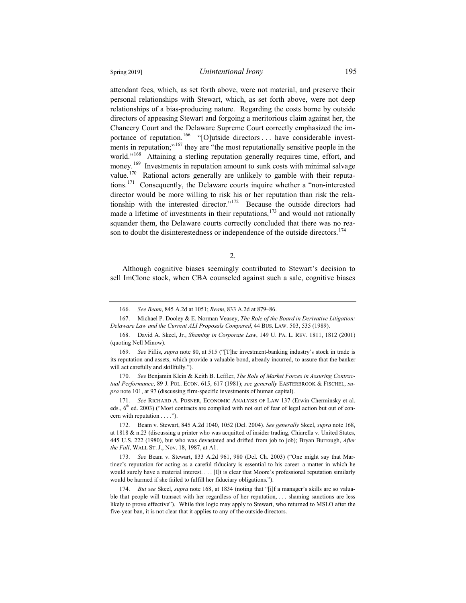attendant fees, which, as set forth above, were not material, and preserve their personal relationships with Stewart, which, as set forth above, were not deep relationships of a bias-producing nature. Regarding the costs borne by outside directors of appeasing Stewart and forgoing a meritorious claim against her, the Chancery Court and the Delaware Supreme Court correctly emphasized the importance of reputation.<sup>166</sup> "[O]utside directors ... have considerable investments in reputation;"<sup>167</sup> they are "the most reputationally sensitive people in the world."<sup>168</sup> Attaining a sterling reputation generally requires time, effort, and money.<sup>169</sup> Investments in reputation amount to sunk costs with minimal salvage value.<sup>170</sup> Rational actors generally are unlikely to gamble with their reputations.<sup>171</sup> Consequently, the Delaware courts inquire whether a "non-interested director would be more willing to risk his or her reputation than risk the relationship with the interested director."<sup>172</sup> Because the outside directors had made a lifetime of investments in their reputations, $173$  and would not rationally squander them, the Delaware courts correctly concluded that there was no reason to doubt the disinterestedness or independence of the outside directors.<sup>174</sup>

2.

Although cognitive biases seemingly contributed to Stewart's decision to sell ImClone stock, when CBA counseled against such a sale, cognitive biases

167. Michael P. Dooley & E. Norman Veasey, *The Role of the Board in Derivative Litigation: Delaware Law and the Current ALI Proposals Compared*, 44 BUS. LAW. 503, 535 (1989).

<sup>166.</sup> *See Beam*, 845 A.2d at 1051; *Beam*, 833 A.2d at 879–86.

<sup>168.</sup> David A. Skeel, Jr., *Shaming in Corporate Law*, 149 U. PA. L. REV. 1811, 1812 (2001) (quoting Nell Minow).

<sup>169.</sup> *See* Fiflis, *supra* note 80, at 515 ("[T]he investment-banking industry's stock in trade is its reputation and assets, which provide a valuable bond, already incurred, to assure that the banker will act carefully and skillfully.").

<sup>170.</sup> *See* Benjamin Klein & Keith B. Leffler, *The Role of Market Forces in Assuring Contractual Performance*, 89 J. POL. ECON. 615, 617 (1981); *see generally* EASTERBROOK & FISCHEL, *supra* note 101, at 97 (discussing firm-specific investments of human capital).

<sup>171.</sup> *See* RICHARD A. POSNER, ECONOMIC ANALYSIS OF LAW 137 (Erwin Cherminsky et al. eds.,  $6<sup>th</sup>$  ed. 2003) ("Most contracts are complied with not out of fear of legal action but out of concern with reputation . . . .").

<sup>172.</sup> Beam v. Stewart, 845 A.2d 1040, 1052 (Del. 2004)*. See generally* Skeel, *supra* note 168, at 1818 & n.23 (discussing a printer who was acquitted of insider trading, Chiarella v. United States, 445 U.S. 222 (1980), but who was devastated and drifted from job to job); Bryan Burrough, *After the Fall*, WALL ST. J., Nov. 18, 1987, at A1.

<sup>173.</sup> *See* Beam v. Stewart, 833 A.2d 961, 980 (Del. Ch. 2003) ("One might say that Martinez's reputation for acting as a careful fiduciary is essential to his career–a matter in which he would surely have a material interest. . . . [I]t is clear that Moore's professional reputation similarly would be harmed if she failed to fulfill her fiduciary obligations.").

<sup>174.</sup> *But see* Skeel, *supra* note 168, at 1834 (noting that "[i]f a manager's skills are so valuable that people will transact with her regardless of her reputation, . . . shaming sanctions are less likely to prove effective"). While this logic may apply to Stewart, who returned to MSLO after the five-year ban, it is not clear that it applies to any of the outside directors.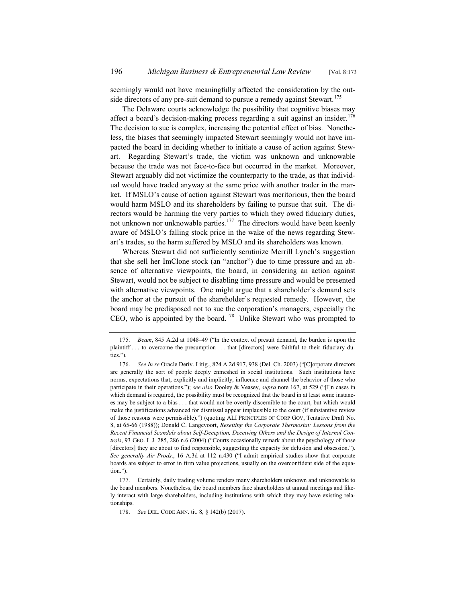seemingly would not have meaningfully affected the consideration by the outside directors of any pre-suit demand to pursue a remedy against Stewart.<sup>175</sup>

The Delaware courts acknowledge the possibility that cognitive biases may affect a board's decision-making process regarding a suit against an insider.<sup>176</sup> The decision to sue is complex, increasing the potential effect of bias. Nonetheless, the biases that seemingly impacted Stewart seemingly would not have impacted the board in deciding whether to initiate a cause of action against Stewart. Regarding Stewart's trade, the victim was unknown and unknowable because the trade was not face-to-face but occurred in the market. Moreover, Stewart arguably did not victimize the counterparty to the trade, as that individual would have traded anyway at the same price with another trader in the market. If MSLO's cause of action against Stewart was meritorious, then the board would harm MSLO and its shareholders by failing to pursue that suit. The directors would be harming the very parties to which they owed fiduciary duties, not unknown nor unknowable parties.<sup>177</sup> The directors would have been keenly aware of MSLO's falling stock price in the wake of the news regarding Stewart's trades, so the harm suffered by MSLO and its shareholders was known.

Whereas Stewart did not sufficiently scrutinize Merrill Lynch's suggestion that she sell her ImClone stock (an "anchor") due to time pressure and an absence of alternative viewpoints, the board, in considering an action against Stewart, would not be subject to disabling time pressure and would be presented with alternative viewpoints. One might argue that a shareholder's demand sets the anchor at the pursuit of the shareholder's requested remedy. However, the board may be predisposed not to sue the corporation's managers, especially the CEO, who is appointed by the board.<sup>178</sup> Unlike Stewart who was prompted to

<sup>175.</sup> *Beam*, 845 A.2d at 1048–49 ("In the context of presuit demand, the burden is upon the plaintiff . . . to overcome the presumption . . . that [directors] were faithful to their fiduciary duties.").

<sup>176.</sup> *See In re* Oracle Deriv. Litig., 824 A.2d 917, 938 (Del. Ch. 2003) ("[C]orporate directors are generally the sort of people deeply enmeshed in social institutions. Such institutions have norms, expectations that, explicitly and implicitly, influence and channel the behavior of those who participate in their operations."); *see also* Dooley & Veasey, *supra* note 167, at 529 ("[I]n cases in which demand is required, the possibility must be recognized that the board in at least some instances may be subject to a bias . . . that would not be overtly discernible to the court, but which would make the justifications advanced for dismissal appear implausible to the court (if substantive review of those reasons were permissible).") (quoting ALI PRINCIPLES OF CORP GOV, Tentative Draft No. 8, at 65-66 (1988)); Donald C. Langevoort, *Resetting the Corporate Thermostat: Lessons from the Recent Financial Scandals about Self-Deception, Deceiving Others and the Design of Internal Controls*, 93 GEO. L.J. 285, 286 n.6 (2004) ("Courts occasionally remark about the psychology of those [directors] they are about to find responsible, suggesting the capacity for delusion and obsession."). *See generally Air Prods*., 16 A.3d at 112 n.430 ("I admit empirical studies show that corporate boards are subject to error in firm value projections, usually on the overconfident side of the equation.").

<sup>177.</sup> Certainly, daily trading volume renders many shareholders unknown and unknowable to the board members. Nonetheless, the board members face shareholders at annual meetings and likely interact with large shareholders, including institutions with which they may have existing relationships.

<sup>178.</sup> *See* DEL. CODE ANN. tit. 8, § 142(b) (2017).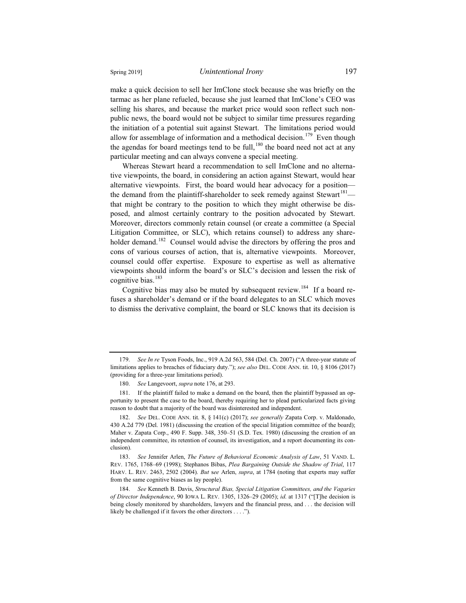make a quick decision to sell her ImClone stock because she was briefly on the tarmac as her plane refueled, because she just learned that ImClone's CEO was selling his shares, and because the market price would soon reflect such nonpublic news, the board would not be subject to similar time pressures regarding the initiation of a potential suit against Stewart. The limitations period would allow for assemblage of information and a methodical decision.<sup>179</sup> Even though the agendas for board meetings tend to be full,  $^{180}$  the board need not act at any particular meeting and can always convene a special meeting.

Whereas Stewart heard a recommendation to sell ImClone and no alternative viewpoints, the board, in considering an action against Stewart, would hear alternative viewpoints. First, the board would hear advocacy for a position the demand from the plaintiff-shareholder to seek remedy against Stewart<sup>181</sup> that might be contrary to the position to which they might otherwise be disposed, and almost certainly contrary to the position advocated by Stewart. Moreover, directors commonly retain counsel (or create a committee (a Special Litigation Committee, or SLC), which retains counsel) to address any shareholder demand.<sup>182</sup> Counsel would advise the directors by offering the pros and cons of various courses of action, that is, alternative viewpoints. Moreover, counsel could offer expertise. Exposure to expertise as well as alternative viewpoints should inform the board's or SLC's decision and lessen the risk of cognitive bias.<sup>183</sup>

Cognitive bias may also be muted by subsequent review.<sup>184</sup> If a board refuses a shareholder's demand or if the board delegates to an SLC which moves to dismiss the derivative complaint, the board or SLC knows that its decision is

<sup>179.</sup> *See In re* Tyson Foods, Inc., 919 A.2d 563, 584 (Del. Ch. 2007) ("A three-year statute of limitations applies to breaches of fiduciary duty."); *see also* DEL. CODE ANN. tit. 10, § 8106 (2017) (providing for a three-year limitations period).

<sup>180.</sup> *See* Langevoort, *supra* note 176, at 293.

<sup>181.</sup> If the plaintiff failed to make a demand on the board, then the plaintiff bypassed an opportunity to present the case to the board, thereby requiring her to plead particularized facts giving reason to doubt that a majority of the board was disinterested and independent.

<sup>182.</sup> *See* DEL. CODE ANN. tit. 8, § 141(c) (2017); *see generally* Zapata Corp. v. Maldonado, 430 A.2d 779 (Del. 1981) (discussing the creation of the special litigation committee of the board); Maher v. Zapata Corp., 490 F. Supp. 348, 350–51 (S.D. Tex. 1980) (discussing the creation of an independent committee, its retention of counsel, its investigation, and a report documenting its conclusion).

<sup>183.</sup> *See* Jennifer Arlen, *The Future of Behavioral Economic Analysis of Law*, 51 VAND. L. REV. 1765, 1768–69 (1998); Stephanos Bibas, *Plea Bargaining Outside the Shadow of Trial*, 117 HARV. L. REV. 2463, 2502 (2004). *But* s*ee* Arlen, *supra*, at 1784 (noting that experts may suffer from the same cognitive biases as lay people).

<sup>184.</sup> *See* Kenneth B. Davis, *Structural Bias, Special Litigation Committees, and the Vagaries of Director Independence*, 90 IOWA L. REV. 1305, 1326–29 (2005); *id*. at 1317 ("[T]he decision is being closely monitored by shareholders, lawyers and the financial press, and . . . the decision will likely be challenged if it favors the other directors . . . .").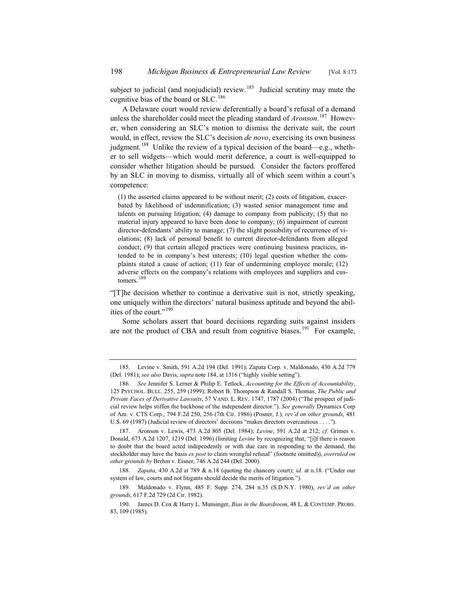subject to judicial (and nonjudicial) review.<sup>185</sup> Judicial scrutiny may mute the cognitive bias of the board or SLC.<sup>186</sup>

A Delaware court would review deferentially a board's refusal of a demand unless the shareholder could meet the pleading standard of *Aronson*. <sup>187</sup> However, when considering an SLC's motion to dismiss the derivate suit, the court would, in effect, review the SLC's decision *de novo*, exercising its own business judgment.<sup>188</sup> Unlike the review of a typical decision of the board—e.g., whether to sell widgets—which would merit deference, a court is well-equipped to consider whether litigation should be pursued. Consider the factors proffered by an SLC in moving to dismiss, virtually all of which seem within a court's competence:

(1) the asserted claims appeared to be without merit; (2) costs of litigation, exacerbated by likelihood of indemnification; (3) wasted senior management time and talents on pursuing litigation; (4) damage to company from publicity; (5) that no material injury appeared to have been done to company; (6) impairment of current director-defendants' ability to manage; (7) the slight possibility of recurrence of violations; (8) lack of personal benefit to current director-defendants from alleged conduct; (9) that certain alleged practices were continuing business practices, intended to be in company's best interests; (10) legal question whether the complaints stated a cause of action; (11) fear of undermining employee morale; (12) adverse effects on the company's relations with employees and suppliers and customers.<sup>189</sup>

"[T]he decision whether to continue a derivative suit is not, strictly speaking, one uniquely within the directors' natural business aptitude and beyond the abilities of the court."<sup>190</sup>

Some scholars assert that board decisions regarding suits against insiders are not the product of CBA and result from cognitive biases.<sup>191</sup> For example,

<sup>185.</sup> Levine v. Smith, 591 A.2d 194 (Del. 1991); Zapata Corp. v. Maldonado, 430 A.2d 779 (Del. 1981); *see also* Davis, *supra* note 184, at 1316 ("highly visible setting").

<sup>186.</sup> *See* Jennifer S. Lerner & Philip E. Tetlock, *Accounting for the Effects of Accountability*, 125 PSYCHOL. BULL. 255, 259 (1999); Robert B. Thompson & Randall S. Thomas, *The Public and Private Faces of Derivative Lawsuits*, 57 VAND. L. REV. 1747, 1787 (2004) ("The prospect of judicial review helps stiffen the backbone of the independent director."). *See generally* Dynamics Corp of Am. v. CTS Corp., 794 F.2d 250, 256 (7th Cir. 1986) (Posner, J.), *rev'd on other grounds*, 481 U.S. 69 (1987) (Judicial review of directors' decisions "makes directors overcautious . . . .").

<sup>187.</sup> Aronson v. Lewis, 473 A.2d 805 (Del. 1984); *Levine*, 591 A.2d at 212; *cf.* Grimes v. Donald, 673 A.2d 1207, 1219 (Del. 1996) (limiting *Levine* by recognizing that, "[i]f there is reason to doubt that the board acted independently or with due care in responding to the demand, the stockholder may have the basis *ex post* to claim wrongful refusal" (footnote omitted)), *overruled on other grounds by* Brehm v. Eisner, 746 A.2d 244 (Del. 2000).

<sup>188.</sup> *Zapata*, 430 A.2d at 789 & n.18 (quoting the chancery court); *id.* at n.18. ("Under our system of law, courts and not litigants should decide the merits of litigation.").

<sup>189.</sup> Maldonado v. Flynn, 485 F. Supp. 274, 284 n.35 (S.D.N.Y. 1980), *rev'd on other grounds*, 617 F.2d 729 (2d Cir. 1982).

<sup>190.</sup> James D. Cox & Harry L. Munsinger, *Bias in the Boardroom*, 48 L. & CONTEMP. PROBS. 83, 109 (1985).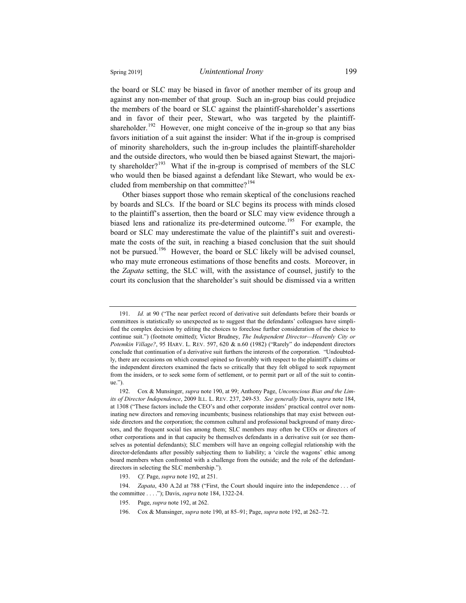the board or SLC may be biased in favor of another member of its group and against any non-member of that group. Such an in-group bias could prejudice the members of the board or SLC against the plaintiff-shareholder's assertions and in favor of their peer, Stewart, who was targeted by the plaintiffshareholder.<sup>192</sup> However, one might conceive of the in-group so that any bias favors initiation of a suit against the insider: What if the in-group is comprised of minority shareholders, such the in-group includes the plaintiff-shareholder and the outside directors, who would then be biased against Stewart, the majority shareholder?<sup>193</sup> What if the in-group is comprised of members of the SLC who would then be biased against a defendant like Stewart, who would be excluded from membership on that committee? $194$ 

Other biases support those who remain skeptical of the conclusions reached by boards and SLCs. If the board or SLC begins its process with minds closed to the plaintiff's assertion, then the board or SLC may view evidence through a biased lens and rationalize its pre-determined outcome.<sup>195</sup> For example, the board or SLC may underestimate the value of the plaintiff's suit and overestimate the costs of the suit, in reaching a biased conclusion that the suit should not be pursued.<sup>196</sup> However, the board or SLC likely will be advised counsel, who may mute erroneous estimations of those benefits and costs. Moreover, in the *Zapata* setting, the SLC will, with the assistance of counsel, justify to the court its conclusion that the shareholder's suit should be dismissed via a written

<sup>191.</sup> *Id.* at 90 ("The near perfect record of derivative suit defendants before their boards or committees is statistically so unexpected as to suggest that the defendants' colleagues have simplified the complex decision by editing the choices to foreclose further consideration of the choice to continue suit.") (footnote omitted); Victor Brudney, *The Independent Director—Heavenly City or Potemkin Village?*, 95 HARV. L. REV. 597, 620 & n.60 (1982) ("Rarely" do independent directors conclude that continuation of a derivative suit furthers the interests of the corporation. "Undoubtedly, there are occasions on which counsel opined so favorably with respect to the plaintiff's claims or the independent directors examined the facts so critically that they felt obliged to seek repayment from the insiders, or to seek some form of settlement, or to permit part or all of the suit to continue.").

<sup>192.</sup> Cox & Munsinger, *supra* note 190, at 99; Anthony Page, *Unconscious Bias and the Limits of Director Independence*, 2009 ILL. L. REV. 237, 249-53. *See generally* Davis, *supra* note 184, at 1308 ("These factors include the CEO's and other corporate insiders' practical control over nominating new directors and removing incumbents; business relationships that may exist between outside directors and the corporation; the common cultural and professional background of many directors, and the frequent social ties among them; SLC members may often be CEOs or directors of other corporations and in that capacity be themselves defendants in a derivative suit (or see themselves as potential defendants); SLC members will have an ongoing collegial relationship with the director-defendants after possibly subjecting them to liability; a 'circle the wagons' ethic among board members when confronted with a challenge from the outside; and the role of the defendantdirectors in selecting the SLC membership.").

<sup>193.</sup> *Cf.* Page, *supra* note 192, at 251.

<sup>194.</sup> *Zapata*, 430 A.2d at 788 ("First, the Court should inquire into the independence . . . of the committee . . . ."); Davis, *supra* note 184, 1322-24.

<sup>195.</sup> Page, *supra* note 192, at 262.

<sup>196.</sup> Cox & Munsinger, *supra* note 190, at 85–91; Page, *supra* note 192, at 262–72.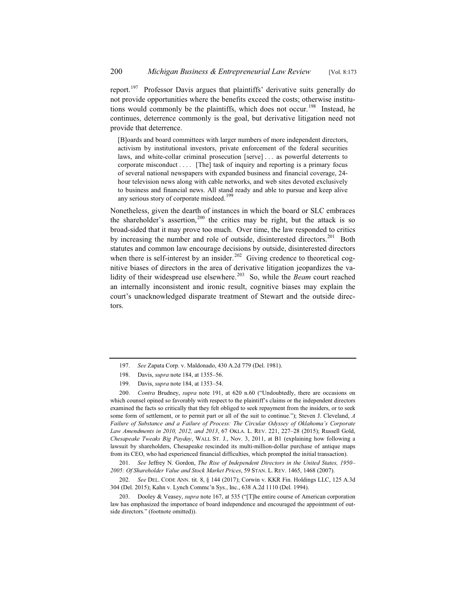report.<sup>197</sup> Professor Davis argues that plaintiffs' derivative suits generally do not provide opportunities where the benefits exceed the costs; otherwise institutions would commonly be the plaintiffs, which does not occur.<sup>198</sup> Instead, he continues, deterrence commonly is the goal, but derivative litigation need not provide that deterrence.

[B]oards and board committees with larger numbers of more independent directors, activism by institutional investors, private enforcement of the federal securities laws, and white-collar criminal prosecution [serve] . . . as powerful deterrents to corporate misconduct . . . . [The] task of inquiry and reporting is a primary focus of several national newspapers with expanded business and financial coverage, 24 hour television news along with cable networks, and web sites devoted exclusively to business and financial news. All stand ready and able to pursue and keep alive any serious story of corporate misdeed.<sup>1</sup>

Nonetheless, given the dearth of instances in which the board or SLC embraces the shareholder's assertion,  $200$  the critics may be right, but the attack is so broad-sided that it may prove too much. Over time, the law responded to critics by increasing the number and role of outside, disinterested directors.<sup>201</sup> Both statutes and common law encourage decisions by outside, disinterested directors when there is self-interest by an insider.<sup>202</sup> Giving credence to theoretical cognitive biases of directors in the area of derivative litigation jeopardizes the validity of their widespread use elsewhere.<sup>203</sup> So, while the *Beam* court reached an internally inconsistent and ironic result, cognitive biases may explain the court's unacknowledged disparate treatment of Stewart and the outside directors.

200. *Contra* Brudney, *supra* note 191, at 620 n.60 ("Undoubtedly, there are occasions on which counsel opined so favorably with respect to the plaintiff's claims or the independent directors examined the facts so critically that they felt obliged to seek repayment from the insiders, or to seek some form of settlement, or to permit part or all of the suit to continue."); Steven J. Cleveland, *A Failure of Substance and a Failure of Process: The Circular Odyssey of Oklahoma's Corporate Law Amendments in 2010, 2012, and 2013*, 67 OKLA. L. REV. 221, 227–28 (2015); Russell Gold, *Chesapeake Tweaks Big Payday*, WALL ST. J., Nov. 3, 2011, at B1 (explaining how following a lawsuit by shareholders, Chesapeake rescinded its multi-million-dollar purchase of antique maps from its CEO, who had experienced financial difficulties, which prompted the initial transaction).

201. *See* Jeffrey N. Gordon, *The Rise of Independent Directors in the United States, 1950*– *2005: Of Shareholder Value and Stock Market Prices*, 59 STAN. L. REV. 1465, 1468 (2007).

202. *See* DEL. CODE ANN. tit. 8, § 144 (2017); Corwin v. KKR Fin. Holdings LLC, 125 A.3d 304 (Del. 2015); Kahn v. Lynch Commc'n Sys., Inc., 638 A.2d 1110 (Del. 1994).

203. Dooley & Veasey, *supra* note 167, at 535 ("[T]he entire course of American corporation law has emphasized the importance of board independence and encouraged the appointment of outside directors." (footnote omitted)).

<sup>197.</sup> *See* Zapata Corp. v. Maldonado, 430 A.2d 779 (Del. 1981).

<sup>198.</sup> Davis, *supra* note 184, at 1355–56.

<sup>199.</sup> Davis, *supra* note 184, at 1353–54.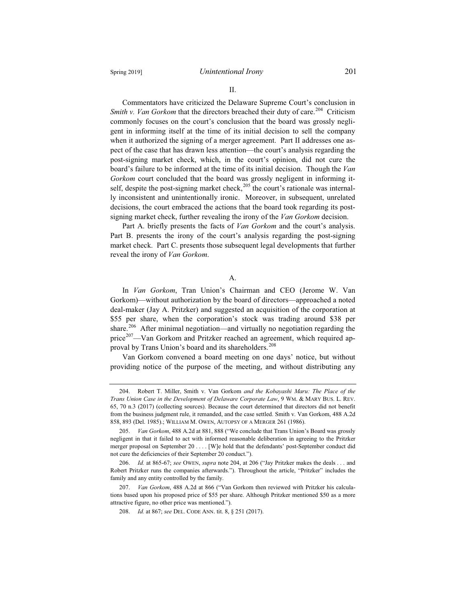II.

Commentators have criticized the Delaware Supreme Court's conclusion in *Smith v. Van Gorkom* that the directors breached their duty of care.<sup>204</sup> Criticism commonly focuses on the court's conclusion that the board was grossly negligent in informing itself at the time of its initial decision to sell the company when it authorized the signing of a merger agreement. Part II addresses one aspect of the case that has drawn less attention—the court's analysis regarding the post-signing market check, which, in the court's opinion, did not cure the board's failure to be informed at the time of its initial decision. Though the *Van Gorkom* court concluded that the board was grossly negligent in informing itself, despite the post-signing market check,  $205$  the court's rationale was internally inconsistent and unintentionally ironic. Moreover, in subsequent, unrelated decisions, the court embraced the actions that the board took regarding its postsigning market check, further revealing the irony of the *Van Gorkom* decision.

Part A. briefly presents the facts of *Van Gorkom* and the court's analysis. Part B. presents the irony of the court's analysis regarding the post-signing market check. Part C. presents those subsequent legal developments that further reveal the irony of *Van Gorkom*.

A.

In *Van Gorkom*, Tran Union's Chairman and CEO (Jerome W. Van Gorkom)—without authorization by the board of directors—approached a noted deal-maker (Jay A. Pritzker) and suggested an acquisition of the corporation at \$55 per share, when the corporation's stock was trading around \$38 per share.<sup>206</sup> After minimal negotiation—and virtually no negotiation regarding the price<sup>207</sup>—Van Gorkom and Pritzker reached an agreement, which required approval by Trans Union's board and its shareholders.<sup>208</sup>

Van Gorkom convened a board meeting on one days' notice, but without providing notice of the purpose of the meeting, and without distributing any

<sup>204.</sup> Robert T. Miller, Smith v. Van Gorkom *and the Kobayashi Maru: The Place of the Trans Union Case in the Development of Delaware Corporate Law*, 9 WM. & MARY BUS. L. REV. 65, 70 n.3 (2017) (collecting sources). Because the court determined that directors did not benefit from the business judgment rule, it remanded, and the case settled. Smith v. Van Gorkom, 488 A.2d 858, 893 (Del. 1985).; WILLIAM M. OWEN, AUTOPSY OF A MERGER 261 (1986).

<sup>205.</sup> *Van Gorkom*, 488 A.2d at 881, 888 ("We conclude that Trans Union's Board was grossly negligent in that it failed to act with informed reasonable deliberation in agreeing to the Pritzker merger proposal on September 20 . . . . [W]e hold that the defendants' post-September conduct did not cure the deficiencies of their September 20 conduct.").

<sup>206.</sup> *Id.* at 865-67; *see* OWEN, *supra* note 204, at 206 ("Jay Pritzker makes the deals . . . and Robert Pritzker runs the companies afterwards."). Throughout the article, "Pritzker" includes the family and any entity controlled by the family.

<sup>207.</sup> *Van Gorkom*, 488 A.2d at 866 ("Van Gorkom then reviewed with Pritzker his calculations based upon his proposed price of \$55 per share. Although Pritzker mentioned \$50 as a more attractive figure, no other price was mentioned.").

<sup>208.</sup> *Id.* at 867; *see* DEL. CODE ANN. tit. 8, § 251 (2017).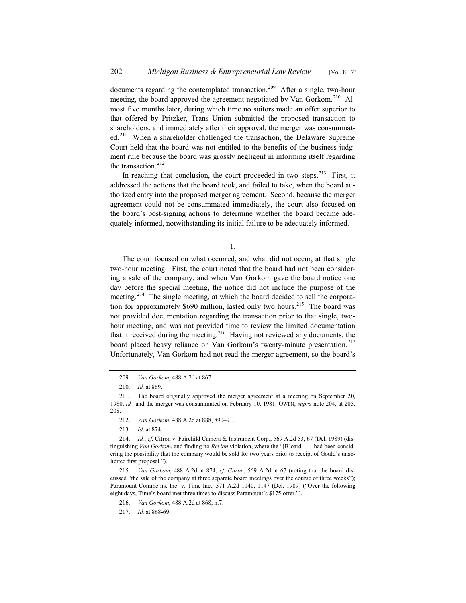documents regarding the contemplated transaction.<sup>209</sup> After a single, two-hour meeting, the board approved the agreement negotiated by Van Gorkom.<sup>210</sup> Almost five months later, during which time no suitors made an offer superior to that offered by Pritzker, Trans Union submitted the proposed transaction to shareholders, and immediately after their approval, the merger was consummated.<sup>211</sup> When a shareholder challenged the transaction, the Delaware Supreme Court held that the board was not entitled to the benefits of the business judgment rule because the board was grossly negligent in informing itself regarding the transaction.<sup>212</sup>

In reaching that conclusion, the court proceeded in two steps.<sup>213</sup> First, it addressed the actions that the board took, and failed to take, when the board authorized entry into the proposed merger agreement. Second, because the merger agreement could not be consummated immediately, the court also focused on the board's post-signing actions to determine whether the board became adequately informed, notwithstanding its initial failure to be adequately informed.

1.

The court focused on what occurred, and what did not occur, at that single two-hour meeting. First, the court noted that the board had not been considering a sale of the company, and when Van Gorkom gave the board notice one day before the special meeting, the notice did not include the purpose of the meeting.<sup>214</sup> The single meeting, at which the board decided to sell the corporation for approximately  $$690$  million, lasted only two hours.<sup>215</sup> The board was not provided documentation regarding the transaction prior to that single, twohour meeting, and was not provided time to review the limited documentation that it received during the meeting.<sup>216</sup> Having not reviewed any documents, the board placed heavy reliance on Van Gorkom's twenty-minute presentation.<sup>217</sup> Unfortunately, Van Gorkom had not read the merger agreement, so the board's

<sup>209.</sup> *Van Gorkom*, 488 A.2d at 867.

<sup>210.</sup> *Id.* at 869.

<sup>211.</sup> The board originally approved the merger agreement at a meeting on September 20, 1980, *id.*, and the merger was consummated on February 10, 1981, OWEN, *supra* note 204, at 205, 208.

<sup>212.</sup> *Van Gorkom*, 488 A.2d at 888, 890–91.

<sup>213.</sup> *Id*. at 874.

<sup>214.</sup> *Id.*; *cf.* Citron v. Fairchild Camera & Instrument Corp., 569 A.2d 53, 67 (Del. 1989) (distinguishing *Van Gorkom*, and finding no *Revlon* violation, where the "[B]oard . . . had been considering the possibility that the company would be sold for two years prior to receipt of Gould's unsolicited first proposal.").

<sup>215.</sup> *Van Gorkom*, 488 A.2d at 874; *cf. Citron*, 569 A.2d at 67 (noting that the board discussed "the sale of the company at three separate board meetings over the course of three weeks"); Paramount Commc'ns, Inc. v. Time Inc., 571 A.2d 1140, 1147 (Del. 1989) ("Over the following eight days, Time's board met three times to discuss Paramount's \$175 offer.").

<sup>216.</sup> *Van Gorkom*, 488 A.2d at 868, n.7.

<sup>217.</sup> *Id.* at 868-69.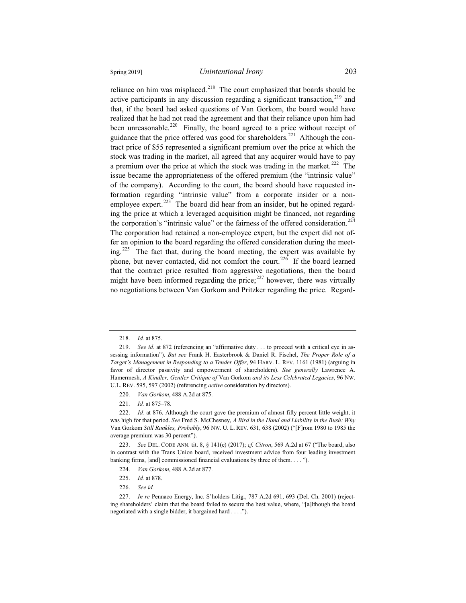reliance on him was misplaced.<sup>218</sup> The court emphasized that boards should be active participants in any discussion regarding a significant transaction,  $219$  and that, if the board had asked questions of Van Gorkom, the board would have realized that he had not read the agreement and that their reliance upon him had been unreasonable.<sup>220</sup> Finally, the board agreed to a price without receipt of guidance that the price offered was good for shareholders.<sup>221</sup> Although the contract price of \$55 represented a significant premium over the price at which the stock was trading in the market, all agreed that any acquirer would have to pay a premium over the price at which the stock was trading in the market.<sup>222</sup> The issue became the appropriateness of the offered premium (the "intrinsic value" of the company). According to the court, the board should have requested information regarding "intrinsic value" from a corporate insider or a nonemployee expert.<sup>223</sup> The board did hear from an insider, but he opined regarding the price at which a leveraged acquisition might be financed, not regarding the corporation's "intrinsic value" or the fairness of the offered consideration.<sup>224</sup> The corporation had retained a non-employee expert, but the expert did not offer an opinion to the board regarding the offered consideration during the meeting.<sup>225</sup> The fact that, during the board meeting, the expert was available by phone, but never contacted, did not comfort the court.<sup>226</sup> If the board learned that the contract price resulted from aggressive negotiations, then the board might have been informed regarding the price; $^{227}$  however, there was virtually no negotiations between Van Gorkom and Pritzker regarding the price. Regard-

<sup>218.</sup> *Id.* at 875.

<sup>219.</sup> *See id.* at 872 (referencing an "affirmative duty . . . to proceed with a critical eye in assessing information"). *But see* Frank H. Easterbrook & Daniel R. Fischel, *The Proper Role of a Target's Management in Responding to a Tender Offer*, 94 HARV. L. REV. 1161 (1981) (arguing in favor of director passivity and empowerment of shareholders). *See generally* Lawrence A. Hamermesh, *A Kindler, Gentler Critique of* Van Gorkom *and its Less Celebrated Legacies*, 96 NW. U.L. REV. 595, 597 (2002) (referencing *active* consideration by directors).

<sup>220.</sup> *Van Gorkom*, 488 A.2d at 875.

<sup>221.</sup> *Id.* at 875–78.

<sup>222.</sup> *Id.* at 876. Although the court gave the premium of almost fifty percent little weight, it was high for that period. *See* Fred S. McChesney, *A Bird in the Hand and Liability in the Bush: Why* Van Gorkom *Still Rankles, Probably*, 96 NW. U. L. REV. 631, 638 (2002) ("[F]rom 1980 to 1985 the average premium was 30 percent").

<sup>223.</sup> *See* DEL. CODE ANN. tit. 8, § 141(e) (2017); *cf. Citron*, 569 A.2d at 67 ("The board, also in contrast with the Trans Union board, received investment advice from four leading investment banking firms, [and] commissioned financial evaluations by three of them. . . . ").

<sup>224.</sup> *Van Gorkom*, 488 A.2d at 877.

<sup>225.</sup> *Id.* at 878.

<sup>226.</sup> *See id.*

<sup>227.</sup> *In re* Pennaco Energy, Inc. S'holders Litig., 787 A.2d 691, 693 (Del. Ch. 2001) (rejecting shareholders' claim that the board failed to secure the best value, where, "[a]lthough the board negotiated with a single bidder, it bargained hard . . . .").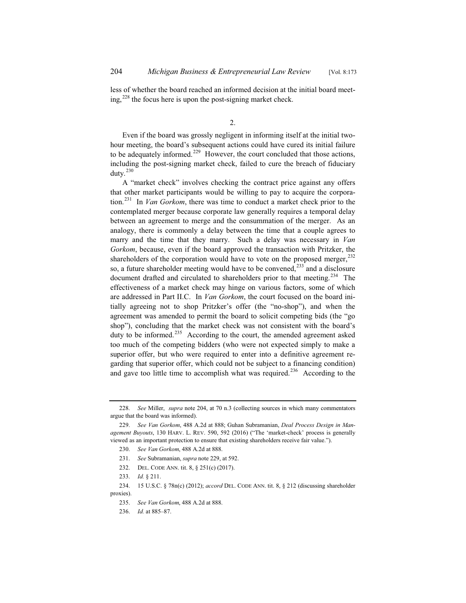less of whether the board reached an informed decision at the initial board meeting,  $228$  the focus here is upon the post-signing market check.

2.

Even if the board was grossly negligent in informing itself at the initial twohour meeting, the board's subsequent actions could have cured its initial failure to be adequately informed.<sup>229</sup> However, the court concluded that those actions, including the post-signing market check, failed to cure the breach of fiduciary duty. $230$ 

A "market check" involves checking the contract price against any offers that other market participants would be willing to pay to acquire the corporation.<sup>231</sup> In *Van Gorkom*, there was time to conduct a market check prior to the contemplated merger because corporate law generally requires a temporal delay between an agreement to merge and the consummation of the merger. As an analogy, there is commonly a delay between the time that a couple agrees to marry and the time that they marry. Such a delay was necessary in *Van Gorkom*, because, even if the board approved the transaction with Pritzker, the shareholders of the corporation would have to vote on the proposed merger,  $^{232}$ so, a future shareholder meeting would have to be convened, $233$  and a disclosure document drafted and circulated to shareholders prior to that meeting.<sup>234</sup> The effectiveness of a market check may hinge on various factors, some of which are addressed in Part II.C. In *Van Gorkom*, the court focused on the board initially agreeing not to shop Pritzker's offer (the "no-shop"), and when the agreement was amended to permit the board to solicit competing bids (the "go shop"), concluding that the market check was not consistent with the board's duty to be informed.<sup>235</sup> According to the court, the amended agreement asked too much of the competing bidders (who were not expected simply to make a superior offer, but who were required to enter into a definitive agreement regarding that superior offer, which could not be subject to a financing condition) and gave too little time to accomplish what was required.<sup>236</sup> According to the

<sup>228.</sup> *See* Miller, *supra* note 204, at 70 n.3 (collecting sources in which many commentators argue that the board was informed).

<sup>229.</sup> *See Van Gorkom*, 488 A.2d at 888; Guhan Subramanian, *Deal Process Design in Management Buyouts*, 130 HARV. L. REV. 590, 592 (2016) ("The 'market-check' process is generally viewed as an important protection to ensure that existing shareholders receive fair value.").

<sup>230.</sup> *See Van Gorkom*, 488 A.2d at 888.

<sup>231.</sup> *See* Subramanian, *supra* note 229, at 592.

<sup>232.</sup> DEL. CODE ANN. tit. 8, § 251(c) (2017).

<sup>233.</sup> *Id.* § 211.

<sup>234. 15</sup> U.S.C. § 78n(c) (2012); *accord* DEL. CODE ANN. tit. 8, § 212 (discussing shareholder proxies).

<sup>235.</sup> *See Van Gorkom*, 488 A.2d at 888.

<sup>236.</sup> *Id.* at 885–87.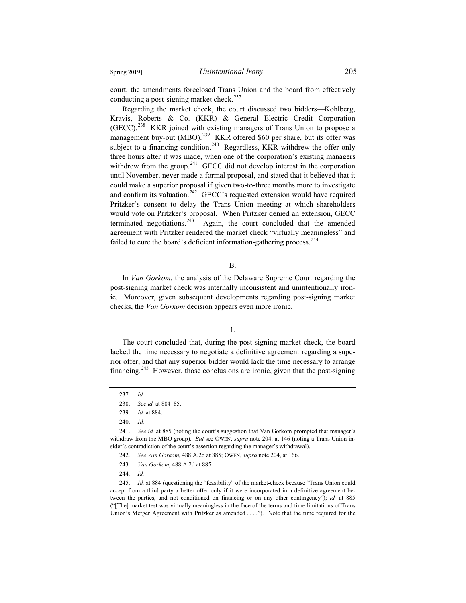court, the amendments foreclosed Trans Union and the board from effectively

conducting a post-signing market check.<sup>237</sup> Regarding the market check, the court discussed two bidders—Kohlberg, Kravis, Roberts & Co. (KKR) & General Electric Credit Corporation (GECC).<sup>238</sup> KKR joined with existing managers of Trans Union to propose a management buy-out (MBO).<sup>239</sup> KKR offered \$60 per share, but its offer was subject to a financing condition.<sup>240</sup> Regardless, KKR withdrew the offer only three hours after it was made, when one of the corporation's existing managers withdrew from the group.<sup>241</sup> GECC did not develop interest in the corporation until November, never made a formal proposal, and stated that it believed that it could make a superior proposal if given two-to-three months more to investigate and confirm its valuation.<sup>242</sup> GECC's requested extension would have required Pritzker's consent to delay the Trans Union meeting at which shareholders would vote on Pritzker's proposal. When Pritzker denied an extension, GECC terminated negotiations. $2\overline{43}$  Again, the court concluded that the amended agreement with Pritzker rendered the market check "virtually meaningless" and failed to cure the board's deficient information-gathering process.<sup>244</sup>

#### B.

In *Van Gorkom*, the analysis of the Delaware Supreme Court regarding the post-signing market check was internally inconsistent and unintentionally ironic. Moreover, given subsequent developments regarding post-signing market checks, the *Van Gorkom* decision appears even more ironic.

1.

The court concluded that, during the post-signing market check, the board lacked the time necessary to negotiate a definitive agreement regarding a superior offer, and that any superior bidder would lack the time necessary to arrange financing.<sup>245</sup> However, those conclusions are ironic, given that the post-signing

241. *See id.* at 885 (noting the court's suggestion that Van Gorkom prompted that manager's withdraw from the MBO group). *But* see OWEN, *supra* note 204, at 146 (noting a Trans Union insider's contradiction of the court's assertion regarding the manager's withdrawal).

- 243. *Van Gorkom*, 488 A.2d at 885.
- 244. *Id.*

245. *Id.* at 884 (questioning the "feasibility" of the market-check because "Trans Union could accept from a third party a better offer only if it were incorporated in a definitive agreement between the parties, and not conditioned on financing or on any other contingency"); *id.* at 885 ("[The] market test was virtually meaningless in the face of the terms and time limitations of Trans Union's Merger Agreement with Pritzker as amended . . . ."). Note that the time required for the

<sup>237.</sup> *Id.*

<sup>238.</sup> *See id.* at 884–85.

<sup>239.</sup> *Id.* at 884.

<sup>240.</sup> *Id.*

<sup>242.</sup> *See Van Gorkom*, 488 A.2d at 885; OWEN, *supra* note 204, at 166.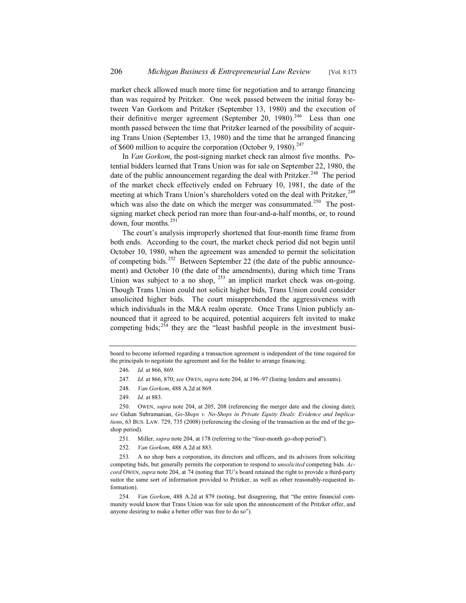market check allowed much more time for negotiation and to arrange financing than was required by Pritzker. One week passed between the initial foray between Van Gorkom and Pritzker (September 13, 1980) and the execution of their definitive merger agreement (September 20,  $1980$ ).<sup>246</sup> Less than one month passed between the time that Pritzker learned of the possibility of acquiring Trans Union (September 13, 1980) and the time that he arranged financing of \$600 million to acquire the corporation (October 9, 1980).<sup>247</sup>

In *Van Gorkom*, the post-signing market check ran almost five months. Potential bidders learned that Trans Union was for sale on September 22, 1980, the date of the public announcement regarding the deal with Pritzker.<sup>248</sup> The period of the market check effectively ended on February 10, 1981, the date of the meeting at which Trans Union's shareholders voted on the deal with Pritzker, <sup>249</sup> which was also the date on which the merger was consummated.<sup>250</sup> The postsigning market check period ran more than four-and-a-half months, or, to round down, four months. $^{251}$ 

The court's analysis improperly shortened that four-month time frame from both ends. According to the court, the market check period did not begin until October 10, 1980, when the agreement was amended to permit the solicitation of competing bids.<sup>252</sup> Between September 22 (the date of the public announcement) and October 10 (the date of the amendments), during which time Trans Union was subject to a no shop,  $^{253}$  an implicit market check was on-going. Though Trans Union could not solicit higher bids, Trans Union could consider unsolicited higher bids. The court misapprehended the aggressiveness with which individuals in the M&A realm operate. Once Trans Union publicly announced that it agreed to be acquired, potential acquirers felt invited to make competing bids;<sup>254</sup> they are the "least bashful people in the investment busi-

- 251. Miller, *supra* note 204, at 178 (referring to the "four-month go-shop period").
- 252. *Van Gorkom*, 488 A.2d at 883.

board to become informed regarding a transaction agreement is independent of the time required for the principals to negotiate the agreement and for the bidder to arrange financing.

<sup>246.</sup> *Id.* at 866, 869.

<sup>247.</sup> *Id.* at 866, 870; *see* OWEN, *supra* note 204, at 196–97 (listing lenders and amounts).

<sup>248.</sup> *Van Gorkom*, 488 A.2d at 869.

<sup>249.</sup> *Id.* at 883.

<sup>250.</sup> OWEN, *supra* note 204, at 205, 208 (referencing the merger date and the closing date); *see* Guhan Subramanian, *Go-Shops v. No-Shops in Private Equity Deals: Evidence and Implications*, 63 BUS. LAW. 729, 735 (2008) (referencing the closing of the transaction as the end of the goshop period).

<sup>253.</sup> A no shop bars a corporation, its directors and officers, and its advisors from soliciting competing bids, but generally permits the corporation to respond to *unsolicited* competing bids. *Accord* OWEN, *supra* note 204, at 74 (noting that TU's board retained the right to provide a third-party suitor the same sort of information provided to Pritzker, as well as other reasonably-requested information).

<sup>254.</sup> *Van Gorkom*, 488 A.2d at 879 (noting, but disagreeing, that "the entire financial community would know that Trans Union was for sale upon the announcement of the Pritzker offer, and anyone desiring to make a better offer was free to do so").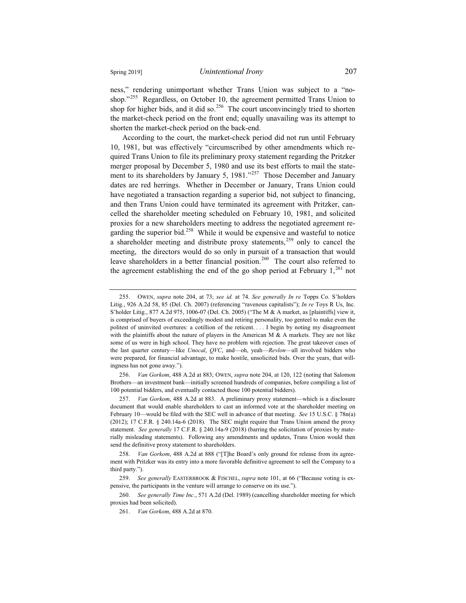ness," rendering unimportant whether Trans Union was subject to a "noshop."<sup>255</sup> Regardless, on October 10, the agreement permitted Trans Union to shop for higher bids, and it did so.<sup>256</sup> The court unconvincingly tried to shorten the market-check period on the front end; equally unavailing was its attempt to shorten the market-check period on the back-end.

According to the court, the market-check period did not run until February 10, 1981, but was effectively "circumscribed by other amendments which required Trans Union to file its preliminary proxy statement regarding the Pritzker merger proposal by December 5, 1980 and use its best efforts to mail the statement to its shareholders by January 5, 1981."<sup>257</sup> Those December and January dates are red herrings. Whether in December or January, Trans Union could have negotiated a transaction regarding a superior bid, not subject to financing, and then Trans Union could have terminated its agreement with Pritzker, cancelled the shareholder meeting scheduled on February 10, 1981, and solicited proxies for a new shareholders meeting to address the negotiated agreement regarding the superior bid.<sup>258</sup> While it would be expensive and wasteful to notice a shareholder meeting and distribute proxy statements,  $259$  only to cancel the meeting, the directors would do so only in pursuit of a transaction that would leave shareholders in a better financial position.<sup>260</sup> The court also referred to the agreement establishing the end of the go shop period at February  $1,^{261}$  not

256. *Van Gorkom*, 488 A.2d at 883; OWEN, *supra* note 204, at 120, 122 (noting that Salomon Brothers—an investment bank—initially screened hundreds of companies, before compiling a list of 100 potential bidders, and eventually contacted those 100 potential bidders).

257. *Van Gorkom*, 488 A.2d at 883. A preliminary proxy statement—which is a disclosure document that would enable shareholders to cast an informed vote at the shareholder meeting on February 10—would be filed with the SEC well in advance of that meeting. *See* 15 U.S.C. § 78n(a) (2012); 17 C.F.R. § 240.14a-6 (2018). The SEC might require that Trans Union amend the proxy statement. *See generally* 17 C.F.R. § 240.14a-9 (2018) (barring the solicitation of proxies by materially misleading statements). Following any amendments and updates, Trans Union would then send the definitive proxy statement to shareholders.

<sup>255.</sup> OWEN, *supra* note 204, at 73; *see id.* at 74. *See generally In re* Topps Co. S'holders Litig., 926 A.2d 58, 85 (Del. Ch. 2007) (referencing "ravenous capitalists"); *In re* Toys R Us, Inc. S'holder Litig., 877 A.2d 975, 1006-07 (Del. Ch. 2005) ("The M & A market, as [plaintiffs] view it, is comprised of buyers of exceedingly modest and retiring personality, too genteel to make even the politest of uninvited overtures: a cotillion of the reticent. . . . I begin by noting my disagreement with the plaintiffs about the nature of players in the American M  $\&$  A markets. They are not like some of us were in high school. They have no problem with rejection. The great takeover cases of the last quarter century—like *Unocal*, *QVC*, and—oh, yeah—*Revlon*—all involved bidders who were prepared, for financial advantage, to make hostile, unsolicited bids. Over the years, that willingness has not gone away.").

Van Gorkom, 488 A.2d at 888 ("[T]he Board's only ground for release from its agreement with Pritzker was its entry into a more favorable definitive agreement to sell the Company to a third party.").

<sup>259.</sup> *See generally* EASTERBROOK & FISCHEL, *supra* note 101, at 66 ("Because voting is expensive, the participants in the venture will arrange to conserve on its use.").

<sup>260.</sup> *See generally Time Inc.*, 571 A.2d (Del. 1989) (cancelling shareholder meeting for which proxies had been solicited).

<sup>261.</sup> *Van Gorkom*, 488 A.2d at 870.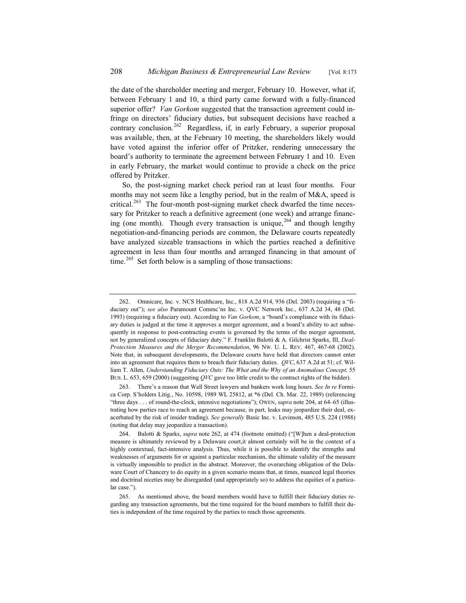the date of the shareholder meeting and merger, February 10. However, what if, between February 1 and 10, a third party came forward with a fully-financed superior offer? *Van Gorkom* suggested that the transaction agreement could infringe on directors' fiduciary duties, but subsequent decisions have reached a contrary conclusion.<sup>262</sup> Regardless, if, in early February, a superior proposal was available, then, at the February 10 meeting, the shareholders likely would have voted against the inferior offer of Pritzker, rendering unnecessary the board's authority to terminate the agreement between February 1 and 10. Even in early February, the market would continue to provide a check on the price offered by Pritzker.

So, the post-signing market check period ran at least four months. Four months may not seem like a lengthy period, but in the realm of M&A, speed is critical.<sup>263</sup> The four-month post-signing market check dwarfed the time necessary for Pritzker to reach a definitive agreement (one week) and arrange financing (one month). Though every transaction is unique,  $264$  and though lengthy negotiation-and-financing periods are common, the Delaware courts repeatedly have analyzed sizeable transactions in which the parties reached a definitive agreement in less than four months and arranged financing in that amount of time.<sup>265</sup> Set forth below is a sampling of those transactions:

<sup>262.</sup> Omnicare, Inc. v. NCS Healthcare, Inc., 818 A.2d 914, 936 (Del. 2003) (requiring a "fiduciary out"); *see also* Paramount Commc'ns Inc. v. QVC Network Inc., 637 A.2d 34, 48 (Del. 1993) (requiring a fiduciary out). According to *Van Gorkom*, a "board's compliance with its fiduciary duties is judged at the time it approves a merger agreement, and a board's ability to act subsequently in response to post-contracting events is governed by the terms of the merger agreement. not by generalized concepts of fiduciary duty." F. Franklin Balotti & A. Gilchrist Sparks, III, *Deal-Protection Measures and the Merger Recommendation*, 96 NW. U. L. REV. 467, 467-68 (2002). Note that, in subsequent developments, the Delaware courts have held that directors cannot enter into an agreement that requires them to breach their fiduciary duties. *QVC*, 637 A.2d at 51; cf. William T. Allen, *Understanding Fiduciary Outs: The What and the Why of an Anomalous Concept,* 55 BUS. L. 653, 659 (2000) (suggesting *QVC* gave too little credit to the contract rights of the bidder).

<sup>263.</sup> There's a reason that Wall Street lawyers and bankers work long hours. *See In re* Formica Corp. S'holders Litig., No. 10598, 1989 WL 25812, at \*6 (Del. Ch. Mar. 22, 1989) (referencing "three days . . . of round-the-clock, intensive negotiations"); OWEN, *supra* note 204, at 64–65 (illustrating how parties race to reach an agreement because, in part, leaks may jeopardize their deal, exacerbated by the risk of insider trading). *See generally* Basic Inc. v. Levinson, 485 U.S. 224 (1988) (noting that delay may jeopardize a transaction).

<sup>264.</sup> Balotti & Sparks, *supra* note 262, at 474 (footnote omitted) ("[W]hen a deal-protection measure is ultimately reviewed by a Delaware court,it almost certainly will be in the context of a highly contextual, fact-intensive analysis. Thus, while it is possible to identify the strengths and weaknesses of arguments for or against a particular mechanism, the ultimate validity of the measure is virtually impossible to predict in the abstract. Moreover, the overarching obligation of the Delaware Court of Chancery to do equity in a given scenario means that, at times, nuanced legal theories and doctrinal niceties may be disregarded (and appropriately so) to address the equities of a particular case.").

<sup>265.</sup> As mentioned above, the board members would have to fulfill their fiduciary duties regarding any transaction agreements, but the time required for the board members to fulfill their duties is independent of the time required by the parties to reach those agreements.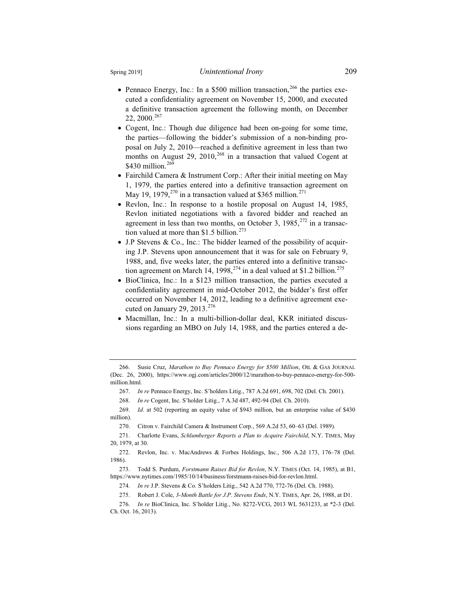- Pennaco Energy, Inc.: In a \$500 million transaction,<sup>266</sup> the parties executed a confidentiality agreement on November 15, 2000, and executed a definitive transaction agreement the following month, on December 22, 2000.<sup>267</sup>
- Cogent, Inc.: Though due diligence had been on-going for some time, the parties—following the bidder's submission of a non-binding proposal on July 2, 2010—reached a definitive agreement in less than two months on August 29,  $2010$ ,<sup>268</sup> in a transaction that valued Cogent at \$430 million. $26\overline{9}$
- Fairchild Camera & Instrument Corp.: After their initial meeting on May 1, 1979, the parties entered into a definitive transaction agreement on May 19, 1979,<sup>270</sup> in a transaction valued at \$365 million.<sup>271</sup>
- Revlon, Inc.: In response to a hostile proposal on August 14, 1985, Revlon initiated negotiations with a favored bidder and reached an agreement in less than two months, on October 3,  $1985$ <sup>272</sup> in a transaction valued at more than  $$1.5$  billion.<sup>273</sup>
- $\bullet$  J.P Stevens & Co., Inc.: The bidder learned of the possibility of acquiring J.P. Stevens upon announcement that it was for sale on February 9, 1988, and, five weeks later, the parties entered into a definitive transaction agreement on March 14, 1998,<sup>274</sup> in a deal valued at \$1.2 billion.<sup>275</sup>
- BioClinica, Inc.: In a \$123 million transaction, the parties executed a confidentiality agreement in mid-October 2012, the bidder's first offer occurred on November 14, 2012, leading to a definitive agreement executed on January 29, 2013. $276$
- x Macmillan, Inc.: In a multi-billion-dollar deal, KKR initiated discussions regarding an MBO on July 14, 1988, and the parties entered a de-

268. *In re* Cogent, Inc. S'holder Litig., 7 A.3d 487, 492-94 (Del. Ch. 2010).

<sup>266.</sup> Susie Cruz, *Marathon to Buy Pennaco Energy for \$500 Million*, OIL & GAS JOURNAL (Dec. 26, 2000), https://www.ogj.com/articles/2000/12/marathon-to-buy-pennaco-energy-for-500 million.html.

<sup>267.</sup> *In re* Pennaco Energy, Inc. S'holders Litig., 787 A.2d 691, 698, 702 (Del. Ch. 2001).

<sup>269.</sup> *Id*. at 502 (reporting an equity value of \$943 million, but an enterprise value of \$430 million).

<sup>270.</sup> Citron v. Fairchild Camera & Instrument Corp., 569 A.2d 53, 60–63 (Del. 1989).

<sup>271.</sup> Charlotte Evans, *Schlumberger Reports a Plan to Acquire Fairchild*, N.Y. TIMES, May 20, 1979, at 30.

<sup>272.</sup> Revlon, Inc. v. MacAndrews & Forbes Holdings, Inc., 506 A.2d 173, 176–78 (Del. 1986).

<sup>273.</sup> Todd S. Purdum, *Forstmann Raises Bid for Revlon*, N.Y. TIMES (Oct. 14, 1985), at B1, https://www.nytimes.com/1985/10/14/business/forstmann-raises-bid-for-revlon.html.

<sup>274.</sup> *In re* J.P. Stevens & Co. S'holders Litig., 542 A.2d 770, 772-76 (Del. Ch. 1988).

<sup>275.</sup> Robert J. Cole, *3-Month Battle for J.P. Stevens Ends*, N.Y. TIMES, Apr. 26, 1988, at D1.

<sup>276.</sup> *In re* BioClinica, Inc. S'holder Litig., No. 8272-VCG, 2013 WL 5631233, at \*2-3 (Del. Ch. Oct. 16, 2013).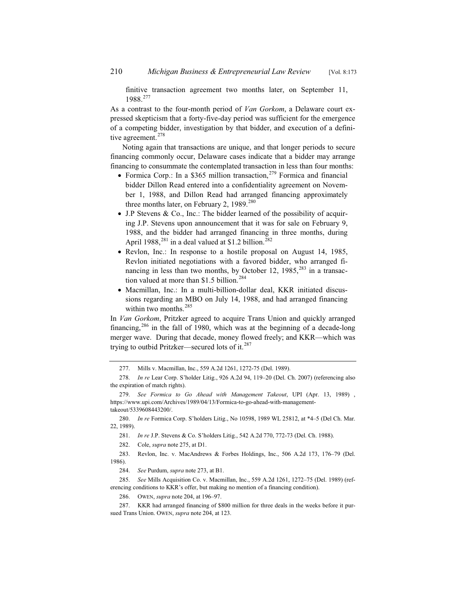finitive transaction agreement two months later, on September 11, 1988.<sup>277</sup>

As a contrast to the four-month period of *Van Gorkom*, a Delaware court expressed skepticism that a forty-five-day period was sufficient for the emergence of a competing bidder, investigation by that bidder, and execution of a definitive agreement.<sup>278</sup>

Noting again that transactions are unique, and that longer periods to secure financing commonly occur, Delaware cases indicate that a bidder may arrange financing to consummate the contemplated transaction in less than four months:

- Formica Corp.: In a \$365 million transaction,  $279$  Formica and financial bidder Dillon Read entered into a confidentiality agreement on November 1, 1988, and Dillon Read had arranged financing approximately three months later, on February 2, 1989. $280$
- $\bullet$  J.P Stevens & Co., Inc.: The bidder learned of the possibility of acquiring J.P. Stevens upon announcement that it was for sale on February 9, 1988, and the bidder had arranged financing in three months, during April 1988,<sup>281</sup> in a deal valued at \$1.2 billion.<sup>28</sup>
- Revlon, Inc.: In response to a hostile proposal on August 14, 1985, Revlon initiated negotiations with a favored bidder, who arranged financing in less than two months, by October 12, 1985,<sup>283</sup> in a transaction valued at more than \$1.5 billion.<sup>284</sup>
- Macmillan, Inc.: In a multi-billion-dollar deal, KKR initiated discussions regarding an MBO on July 14, 1988, and had arranged financing within two months.<sup>285</sup>

In *Van Gorkom*, Pritzker agreed to acquire Trans Union and quickly arranged financing,<sup>286</sup> in the fall of 1980, which was at the beginning of a decade-long merger wave. During that decade, money flowed freely; and KKR—which was trying to outbid Pritzker—secured lots of it.<sup>287</sup>

280. *In re* Formica Corp. S'holders Litig., No 10598, 1989 WL 25812, at \*4–5 (Del Ch. Mar. 22, 1989).

281. *In re* J.P. Stevens & Co. S'holders Litig., 542 A.2d 770, 772-73 (Del. Ch. 1988).

<sup>277.</sup> Mills v. Macmillan, Inc., 559 A.2d 1261, 1272-75 (Del. 1989).

<sup>278.</sup> *In re* Lear Corp. S'holder Litig., 926 A.2d 94, 119–20 (Del. Ch. 2007) (referencing also the expiration of match rights).

<sup>279.</sup> *See Formica to Go Ahead with Management Takeout*, UPI (Apr. 13, 1989) , https://www.upi.com/Archives/1989/04/13/Formica-to-go-ahead-with-managementtakeout/5339608443200/.

<sup>282.</sup> Cole, *supra* note 275, at D1.

<sup>283.</sup> Revlon, Inc. v. MacAndrews & Forbes Holdings, Inc., 506 A.2d 173, 176–79 (Del. 1986).

<sup>284.</sup> *See* Purdum, *supra* note 273, at B1.

<sup>285.</sup> *See* Mills Acquisition Co. v. Macmillan, Inc., 559 A.2d 1261, 1272–75 (Del. 1989) (referencing conditions to KKR's offer, but making no mention of a financing condition).

<sup>286.</sup> OWEN, *supra* note 204, at 196–97.

<sup>287.</sup> KKR had arranged financing of \$800 million for three deals in the weeks before it pursued Trans Union. OWEN, *supra* note 204, at 123.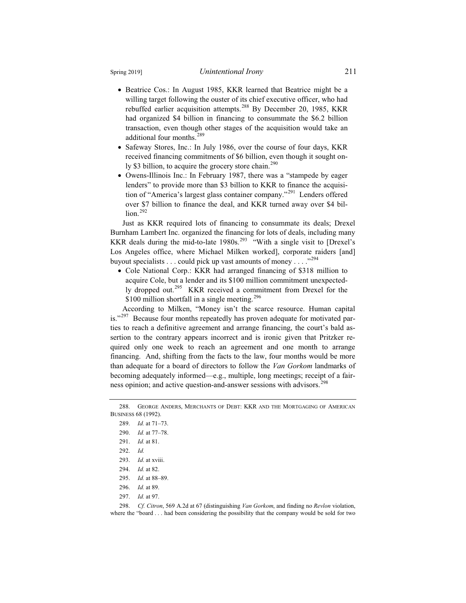- Beatrice Cos.: In August 1985, KKR learned that Beatrice might be a willing target following the ouster of its chief executive officer, who had rebuffed earlier acquisition attempts.<sup>288</sup> By December 20, 1985, KKR had organized \$4 billion in financing to consummate the \$6.2 billion transaction, even though other stages of the acquisition would take an additional four months.<sup>289</sup>
- Safeway Stores, Inc.: In July 1986, over the course of four days, KKR received financing commitments of \$6 billion, even though it sought only \$3 billion, to acquire the grocery store chain.<sup>290</sup>
- Owens-Illinois Inc.: In February 1987, there was a "stampede by eager lenders" to provide more than \$3 billion to KKR to finance the acquisition of "America's largest glass container company."<sup>291</sup> Lenders offered over \$7 billion to finance the deal, and KKR turned away over \$4 billion.<sup>292</sup>

Just as KKR required lots of financing to consummate its deals; Drexel Burnham Lambert Inc. organized the financing for lots of deals, including many KKR deals during the mid-to-late  $1980s^{293}$  "With a single visit to [Drexel's Los Angeles office, where Michael Milken worked], corporate raiders [and] buyout specialists . . . could pick up vast amounts of money . . . .  $\cdot$ <sup>294</sup>

• Cole National Corp.: KKR had arranged financing of \$318 million to acquire Cole, but a lender and its \$100 million commitment unexpectedly dropped out.<sup>295</sup> KKR received a commitment from Drexel for the \$100 million shortfall in a single meeting.<sup>296</sup>

According to Milken, "Money isn't the scarce resource. Human capital is."<sup>297</sup> Because four months repeatedly has proven adequate for motivated parties to reach a definitive agreement and arrange financing, the court's bald assertion to the contrary appears incorrect and is ironic given that Pritzker required only one week to reach an agreement and one month to arrange financing. And, shifting from the facts to the law, four months would be more than adequate for a board of directors to follow the *Van Gorkom* landmarks of becoming adequately informed—e.g., multiple, long meetings; receipt of a fairness opinion; and active question-and-answer sessions with advisors.<sup>298</sup>

<sup>288.</sup> GEORGE ANDERS, MERCHANTS OF DEBT: KKR AND THE MORTGAGING OF AMERICAN BUSINESS 68 (1992).

<sup>289.</sup> *Id.* at 71–73.

<sup>290.</sup> *Id.* at 77–78.

<sup>291.</sup> *Id.* at 81.

<sup>292.</sup> *Id.*

<sup>293.</sup> *Id*. at xviii.

<sup>294.</sup> *Id.* at 82.

<sup>295.</sup> *Id.* at 88–89.

<sup>296.</sup> *Id.* at 89.

<sup>297.</sup> *Id.* at 97.

<sup>298.</sup> *Cf. Citron*, 569 A.2d at 67 (distinguishing *Van Gorkom*, and finding no *Revlon* violation, where the "board . . . had been considering the possibility that the company would be sold for two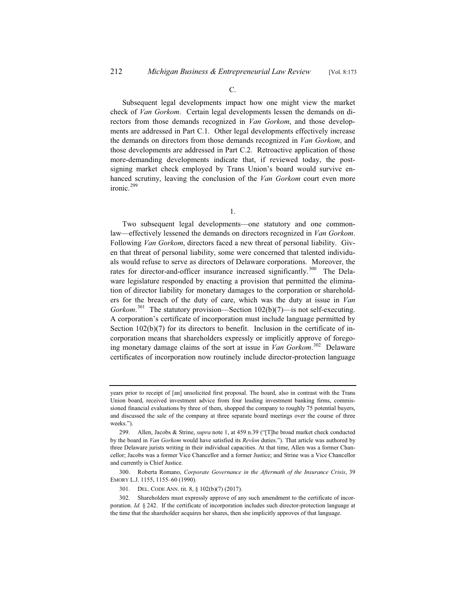Subsequent legal developments impact how one might view the market check of *Van Gorkom*. Certain legal developments lessen the demands on directors from those demands recognized in *Van Gorkom*, and those developments are addressed in Part C.1. Other legal developments effectively increase the demands on directors from those demands recognized in *Van Gorkom*, and those developments are addressed in Part C.2. Retroactive application of those more-demanding developments indicate that, if reviewed today, the postsigning market check employed by Trans Union's board would survive enhanced scrutiny, leaving the conclusion of the *Van Gorkom* court even more ironic.<sup>299</sup>

1.

Two subsequent legal developments—one statutory and one commonlaw—effectively lessened the demands on directors recognized in *Van Gorkom*. Following *Van Gorkom*, directors faced a new threat of personal liability. Given that threat of personal liability, some were concerned that talented individuals would refuse to serve as directors of Delaware corporations. Moreover, the rates for director-and-officer insurance increased significantly.<sup>300</sup> The Delaware legislature responded by enacting a provision that permitted the elimination of director liability for monetary damages to the corporation or shareholders for the breach of the duty of care, which was the duty at issue in *Van*  Gorkom.<sup>301</sup> The statutory provision—Section 102(b)(7)—is not self-executing. A corporation's certificate of incorporation must include language permitted by Section 102(b)(7) for its directors to benefit. Inclusion in the certificate of incorporation means that shareholders expressly or implicitly approve of foregoing monetary damage claims of the sort at issue in *Van Gorkom*. <sup>302</sup> Delaware certificates of incorporation now routinely include director-protection language

years prior to receipt of [an] unsolicited first proposal. The board, also in contrast with the Trans Union board, received investment advice from four leading investment banking firms, commissioned financial evaluations by three of them, shopped the company to roughly 75 potential buyers, and discussed the sale of the company at three separate board meetings over the course of three weeks.").

<sup>299.</sup> Allen, Jacobs & Strine, *supra* note 1, at 459 n.39 ("[T]he broad market check conducted by the board in *Van Gorkom* would have satisfied its *Revlon* duties."). That article was authored by three Delaware jurists writing in their individual capacities. At that time, Allen was a former Chancellor; Jacobs was a former Vice Chancellor and a former Justice; and Strine was a Vice Chancellor and currently is Chief Justice.

<sup>300.</sup> Roberta Romano, *Corporate Governance in the Aftermath of the Insurance Crisis*, 39 EMORY L.J. 1155, 1155–60 (1990).

<sup>301.</sup> DEL. CODE ANN. tit. 8, § 102(b)(7) (2017).

<sup>302.</sup> Shareholders must expressly approve of any such amendment to the certificate of incorporation. *Id.* § 242. If the certificate of incorporation includes such director-protection language at the time that the shareholder acquires her shares, then she implicitly approves of that language.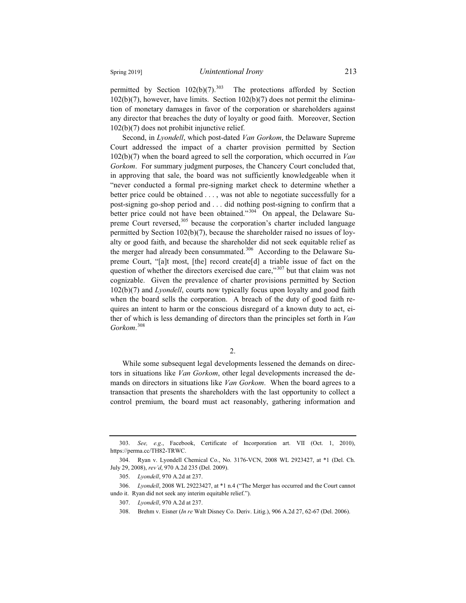permitted by Section  $102(b)(7)$ <sup>303</sup> The protections afforded by Section 102(b)(7), however, have limits. Section 102(b)(7) does not permit the elimination of monetary damages in favor of the corporation or shareholders against any director that breaches the duty of loyalty or good faith. Moreover, Section 102(b)(7) does not prohibit injunctive relief.

Second, in *Lyondell*, which post-dated *Van Gorkom*, the Delaware Supreme Court addressed the impact of a charter provision permitted by Section 102(b)(7) when the board agreed to sell the corporation, which occurred in *Van Gorkom*. For summary judgment purposes, the Chancery Court concluded that, in approving that sale, the board was not sufficiently knowledgeable when it "never conducted a formal pre-signing market check to determine whether a better price could be obtained . . . , was not able to negotiate successfully for a post-signing go-shop period and . . . did nothing post-signing to confirm that a better price could not have been obtained."<sup>304</sup> On appeal, the Delaware Supreme Court reversed,<sup>305</sup> because the corporation's charter included language permitted by Section 102(b)(7), because the shareholder raised no issues of loyalty or good faith, and because the shareholder did not seek equitable relief as the merger had already been consummated.<sup>306</sup> According to the Delaware Supreme Court, "[a]t most, [the] record create[d] a triable issue of fact on the question of whether the directors exercised due care," $307$  but that claim was not cognizable. Given the prevalence of charter provisions permitted by Section 102(b)(7) and *Lyondell*, courts now typically focus upon loyalty and good faith when the board sells the corporation. A breach of the duty of good faith requires an intent to harm or the conscious disregard of a known duty to act, either of which is less demanding of directors than the principles set forth in *Van Gorkom*. 308

2.

While some subsequent legal developments lessened the demands on directors in situations like *Van Gorkom*, other legal developments increased the demands on directors in situations like *Van Gorkom*. When the board agrees to a transaction that presents the shareholders with the last opportunity to collect a control premium, the board must act reasonably, gathering information and

<sup>303.</sup> *See, e.g*., Facebook, Certificate of Incorporation art. VII (Oct. 1, 2010), https://perma.cc/TH82-TRWC.

<sup>304.</sup> Ryan v. Lyondell Chemical Co., No. 3176-VCN, 2008 WL 2923427, at \*1 (Del. Ch. July 29, 2008), *rev'd*, 970 A.2d 235 (Del. 2009).

<sup>305.</sup> *Lyondell*, 970 A.2d at 237.

<sup>306.</sup> *Lyondell*, 2008 WL 29223427, at \*1 n.4 ("The Merger has occurred and the Court cannot undo it. Ryan did not seek any interim equitable relief.").

<sup>307.</sup> *Lyondell*, 970 A.2d at 237.

<sup>308.</sup> Brehm v. Eisner (*In re* Walt Disney Co. Deriv. Litig.), 906 A.2d 27, 62-67 (Del. 2006).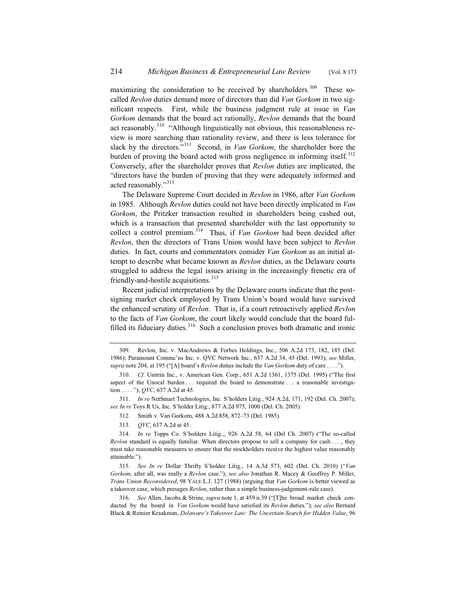maximizing the consideration to be received by shareholders.<sup>309</sup> These socalled *Revlon* duties demand more of directors than did *Van Gorkom* in two significant respects. First, while the business judgment rule at issue in *Van Gorkom* demands that the board act rationally, *Revlon* demands that the board act reasonably.<sup>310</sup> "Although linguistically not obvious, this reasonableness review is more searching than rationality review, and there is less tolerance for slack by the directors."<sup>311</sup> Second, in *Van Gorkom*, the shareholder bore the burden of proving the board acted with gross negligence in informing itself.<sup>312</sup> Conversely, after the shareholder proves that *Revlon* duties are implicated, the "directors have the burden of proving that they were adequately informed and acted reasonably."<sup>313</sup>

The Delaware Supreme Court decided in *Revlon* in 1986, after *Van Gorkom* in 1985. Although *Revlon* duties could not have been directly implicated in *Van Gorkom*, the Pritzker transaction resulted in shareholders being cashed out, which is a transaction that presented shareholder with the last opportunity to collect a control premium.<sup>314</sup> Thus, if *Van Gorkom* had been decided after *Revlon*, then the directors of Trans Union would have been subject to *Revlon* duties. In fact, courts and commentators consider *Van Gorkom* as an initial attempt to describe what became known as *Revlon* duties, as the Delaware courts struggled to address the legal issues arising in the increasingly frenetic era of friendly-and-hostile acquisitions.<sup>315</sup>

Recent judicial interpretations by the Delaware courts indicate that the postsigning market check employed by Trans Union's board would have survived the enhanced scrutiny of *Revlon*. That is, if a court retroactively applied *Revlon* to the facts of *Van Gorkom*, the court likely would conclude that the board fulfilled its fiduciary duties. $316$  Such a conclusion proves both dramatic and ironic

311. *In re* NetSmart Technologies, Inc. S'holders Litig., 924 A.2d, 171, 192 (Del. Ch. 2007); *see In re* Toys R Us, Inc. S'holder Litig., 877 A.2d 975, 1000 (Del. Ch. 2005)*.*

312. Smith v. Van Gorkom, 488 A.2d 858, 872–73 (Del. 1985).

313. *QVC*, 637 A.2d at 45.

<sup>309.</sup> Revlon, Inc. v. MacAndrews & Forbes Holdings, Inc., 506 A.2d 173, 182, 185 (Del. 1986); Paramount Commc'ns Inc. v. QVC Network Inc., 637 A.2d 34, 45 (Del. 1993); *see* Miller, *supra* note 204, at 195 ("[A] board's *Revlon* duties include the *Van Gorkom* duty of care . . . .").

<sup>310.</sup> *Cf.* Unitrin Inc., v. American Gen. Corp., 651 A.2d 1361, 1375 (Del. 1995) ("The first aspect of the Unocal burden . . . required the board to demonstrate . . . a reasonable investigation . . . . "); *QVC*, 637 A.2d at 45.

<sup>314.</sup> *In re* Topps Co. S'holders Litig.,, 926 A.2d 58, 64 (Del Ch. 2007) ("The so-called *Revlon* standard is equally familiar. When directors propose to sell a company for cash . . . , they must take reasonable measures to ensure that the stockholders receive the highest value reasonably attainable.").

<sup>315.</sup> *See In re* Dollar Thrifty S'holder Litig., 14 A.3d 573, 602 (Del. Ch. 2010) ("*Van Gorkom*, after all, was really a *Revlon* case."); *see also* Jonathan R. Macey & Geoffrey P. Miller, *Trans Union Reconsidered*, 98 YALE L.J. 127 (1988) (arguing that *Van Gorkom* is better viewed as a takeover case, which presages *Revlon*, rather than a simple business-judgement-rule case).

<sup>316.</sup> *See* Allen, Jacobs & Strine, *supra* note 1, at 459 n.39 ("[T]he broad market check conducted by the board in *Van Gorkom* would have satisfied its *Revlon* duties."); *see also* Bernard Black & Reinier Kraakman, *Delaware's Takeover Law: The Uncertain Search for Hidden Value*, 96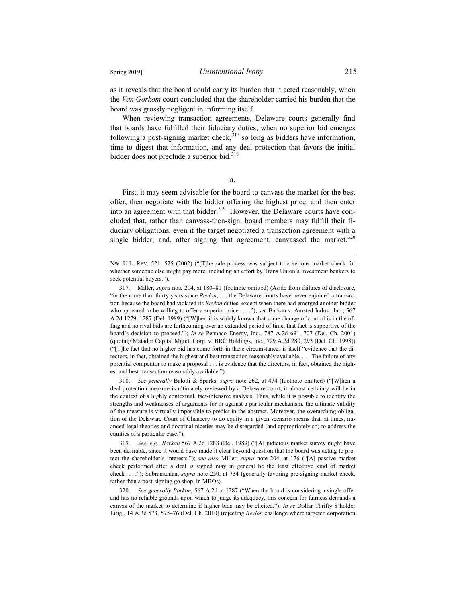as it reveals that the board could carry its burden that it acted reasonably, when the *Van Gorkom* court concluded that the shareholder carried his burden that the board was grossly negligent in informing itself.

When reviewing transaction agreements, Delaware courts generally find that boards have fulfilled their fiduciary duties, when no superior bid emerges following a post-signing market check,  $317$  so long as bidders have information, time to digest that information, and any deal protection that favors the initial bidder does not preclude a superior bid.<sup>318</sup>

a.

First, it may seem advisable for the board to canvass the market for the best offer, then negotiate with the bidder offering the highest price, and then enter into an agreement with that bidder. $319$  However, the Delaware courts have concluded that, rather than canvass-then-sign, board members may fulfill their fiduciary obligations, even if the target negotiated a transaction agreement with a single bidder, and, after signing that agreement, canvassed the market.<sup>320</sup>

318. *See generally* Balotti & Sparks, *supra* note 262, at 474 (footnote omitted) ("[W]hen a deal-protection measure is ultimately reviewed by a Delaware court, it almost certainly will be in the context of a highly contextual, fact-intensive analysis. Thus, while it is possible to identify the strengths and weaknesses of arguments for or against a particular mechanism, the ultimate validity of the measure is virtually impossible to predict in the abstract. Moreover, the overarching obligation of the Delaware Court of Chancery to do equity in a given scenario means that, at times, nuanced legal theories and doctrinal niceties may be disregarded (and appropriately so) to address the equities of a particular case.").

319. *See, e.g.*, *Barkan* 567 A.2d 1288 (Del. 1989) ("[A] judicious market survey might have been desirable, since it would have made it clear beyond question that the board was acting to protect the shareholder's interests."); *see also* Miller, *supra* note 204, at 176 ("[A] passive market check performed after a deal is signed may in general be the least effective kind of market check . . . ."); Subramanian, *supra* note 250, at 734 (generally favoring pre-signing market check, rather than a post-signing go shop, in MBOs).

320. *See generally Barkan*, 567 A.2d at 1287 ("When the board is considering a single offer and has no reliable grounds upon which to judge its adequacy, this concern for fairness demands a canvas of the market to determine if higher bids may be elicited."); *In re* Dollar Thrifty S'holder Litig., 14 A.3d 573, 575–76 (Del. Ch. 2010) (rejecting *Revlon* challenge where targeted corporation

NW. U.L. REV. 521, 525 (2002) ("[T]he sale process was subject to a serious market check for whether someone else might pay more, including an effort by Trans Union's investment bankers to seek potential buyers.").

<sup>317.</sup> Miller, *supra* note 204, at 180–81 (footnote omitted) (Aside from failures of disclosure, "in the more than thirty years since *Revlon*, . . . the Delaware courts have never enjoined a transaction because the board had violated its *Revlon* duties, except when there had emerged another bidder who appeared to be willing to offer a superior price . . . ."); *see* Barkan v. Amsted Indus., Inc., 567 A.2d 1279, 1287 (Del. 1989) ("[W]hen it is widely known that some change of control is in the offing and no rival bids are forthcoming over an extended period of time, that fact is supportive of the board's decision to proceed."); *In re* Pennaco Energy, Inc., 787 A.2d 691, 707 (Del. Ch. 2001) (quoting Matador Capital Mgmt. Corp. v. BRC Holdings, Inc., 729 A.2d 280, 293 (Del. Ch. 1998)) ("[T]he fact that no higher bid has come forth in these circumstances is itself "evidence that the directors, in fact, obtained the highest and best transaction reasonably available. . . . The failure of any potential competitor to make a proposal . . . is evidence that the directors, in fact, obtained the highest and best transaction reasonably available.").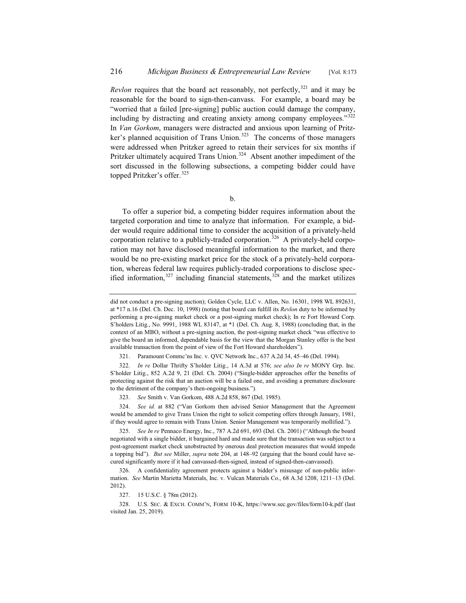*Revlon* requires that the board act reasonably, not perfectly,  $321$  and it may be reasonable for the board to sign-then-canvass. For example, a board may be "worried that a failed [pre-signing] public auction could damage the company, including by distracting and creating anxiety among company employees."<sup>322</sup> In *Van Gorkom*, managers were distracted and anxious upon learning of Pritzker's planned acquisition of Trans Union.<sup>323</sup> The concerns of those managers were addressed when Pritzker agreed to retain their services for six months if Pritzker ultimately acquired Trans Union.<sup>324</sup> Absent another impediment of the sort discussed in the following subsections, a competing bidder could have topped Pritzker's offer.<sup>325</sup>

b.

To offer a superior bid, a competing bidder requires information about the targeted corporation and time to analyze that information. For example, a bidder would require additional time to consider the acquisition of a privately-held corporation relative to a publicly-traded corporation.<sup>326</sup> A privately-held corporation may not have disclosed meaningful information to the market, and there would be no pre-existing market price for the stock of a privately-held corporation, whereas federal law requires publicly-traded corporations to disclose specified information, $327$  including financial statements,  $328$  and the market utilizes

327. 15 U.S.C. § 78m (2012).

did not conduct a pre-signing auction); Golden Cycle, LLC v. Allen, No. 16301, 1998 WL 892631, at \*17 n.16 (Del. Ch. Dec. 10, 1998) (noting that board can fulfill its *Revlon* duty to be informed by performing a pre-signing market check or a post-signing market check); In re Fort Howard Corp. S'holders Litig., No. 9991, 1988 WL 83147, at \*1 (Del. Ch. Aug. 8, 1988) (concluding that, in the context of an MBO, without a pre-signing auction, the post-signing market check "was effective to give the board an informed, dependable basis for the view that the Morgan Stanley offer is the best available transaction from the point of view of the Fort Howard shareholders").

<sup>321.</sup> Paramount Commc'ns Inc. v. QVC Network Inc., 637 A.2d 34, 45–46 (Del. 1994).

<sup>322.</sup> *In re* Dollar Thrifty S'holder Litig., 14 A.3d at 576; *see also In re* MONY Grp. Inc. S'holder Litig., 852 A.2d 9, 21 (Del. Ch. 2004) ("Single-bidder approaches offer the benefits of protecting against the risk that an auction will be a failed one, and avoiding a premature disclosure to the detriment of the company's then-ongoing business.").

<sup>323.</sup> *See* Smith v. Van Gorkom, 488 A.2d 858, 867 (Del. 1985).

<sup>324.</sup> *See id.* at 882 ("Van Gorkom then advised Senior Management that the Agreement would be amended to give Trans Union the right to solicit competing offers through January, 1981, if they would agree to remain with Trans Union. Senior Management was temporarily mollified.").

<sup>325.</sup> *See In re* Pennaco Energy, Inc., 787 A.2d 691, 693 (Del. Ch. 2001) ("Although the board negotiated with a single bidder, it bargained hard and made sure that the transaction was subject to a post-agreement market check unobstructed by onerous deal protection measures that would impede a topping bid"). *But see* Miller, *supra* note 204, at 148–92 (arguing that the board could have secured significantly more if it had canvassed-then-signed, instead of signed-then-canvassed).

<sup>326.</sup> A confidentiality agreement protects against a bidder's misusage of non-public information. *See* Martin Marietta Materials, Inc. v. Vulcan Materials Co., 68 A.3d 1208, 1211–13 (Del. 2012).

<sup>328.</sup> U.S. SEC.&EXCH. COMM'N, FORM 10-K, https://www.sec.gov/files/form10-k.pdf (last visited Jan. 25, 2019).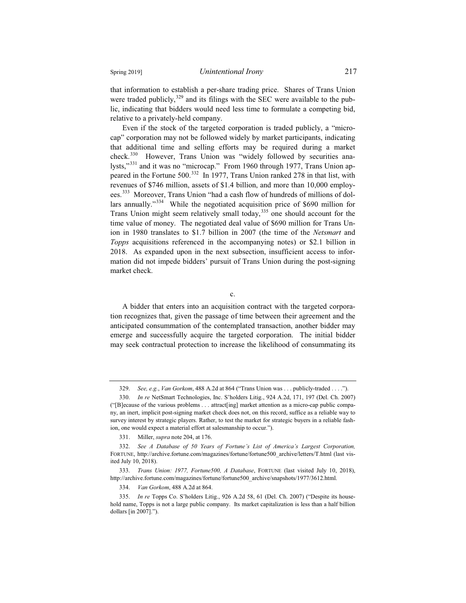that information to establish a per-share trading price. Shares of Trans Union were traded publicly, $329$  and its filings with the SEC were available to the public, indicating that bidders would need less time to formulate a competing bid, relative to a privately-held company.

Even if the stock of the targeted corporation is traded publicly, a "microcap" corporation may not be followed widely by market participants, indicating that additional time and selling efforts may be required during a market check.<sup>330</sup> However, Trans Union was "widely followed by securities analysts,"<sup>331</sup> and it was no "microcap." From 1960 through 1977, Trans Union appeared in the Fortune 500.<sup>332</sup> In 1977, Trans Union ranked 278 in that list, with revenues of \$746 million, assets of \$1.4 billion, and more than 10,000 employees.<sup>333</sup> Moreover, Trans Union "had a cash flow of hundreds of millions of dollars annually."<sup>334</sup> While the negotiated acquisition price of \$690 million for Trans Union might seem relatively small today,<sup>335</sup> one should account for the time value of money. The negotiated deal value of \$690 million for Trans Union in 1980 translates to \$1.7 billion in 2007 (the time of the *Netsmart* and *Topps* acquisitions referenced in the accompanying notes) or \$2.1 billion in 2018. As expanded upon in the next subsection, insufficient access to information did not impede bidders' pursuit of Trans Union during the post-signing market check.

c.

A bidder that enters into an acquisition contract with the targeted corporation recognizes that, given the passage of time between their agreement and the anticipated consummation of the contemplated transaction, another bidder may emerge and successfully acquire the targeted corporation. The initial bidder may seek contractual protection to increase the likelihood of consummating its

<sup>329.</sup> *See, e.g.*, *Van Gorkom*, 488 A.2d at 864 ("Trans Union was . . . publicly-traded . . . .").

<sup>330.</sup> *In re* NetSmart Technologies, Inc. S'holders Litig., 924 A.2d, 171, 197 (Del. Ch. 2007) ("[B]ecause of the various problems . . . attract[ing] market attention as a micro-cap public company, an inert, implicit post-signing market check does not, on this record, suffice as a reliable way to survey interest by strategic players. Rather, to test the market for strategic buyers in a reliable fashion, one would expect a material effort at salesmanship to occur.").

<sup>331.</sup> Miller, *supra* note 204, at 176.

<sup>332.</sup> *See A Database of 50 Years of Fortune's List of America's Largest Corporation,*  FORTUNE, http://archive.fortune.com/magazines/fortune/fortune500\_archive/letters/T.html (last visited July 10, 2018).

<sup>333.</sup> *Trans Union: 1977, Fortune500, A Database*, FORTUNE (last visited July 10, 2018), http://archive.fortune.com/magazines/fortune/fortune500\_archive/snapshots/1977/3612.html.

<sup>334.</sup> *Van Gorkom*, 488 A.2d at 864.

<sup>335.</sup> *In re* Topps Co. S'holders Litig., 926 A.2d 58, 61 (Del. Ch. 2007) ("Despite its household name, Topps is not a large public company. Its market capitalization is less than a half billion dollars [in 2007].").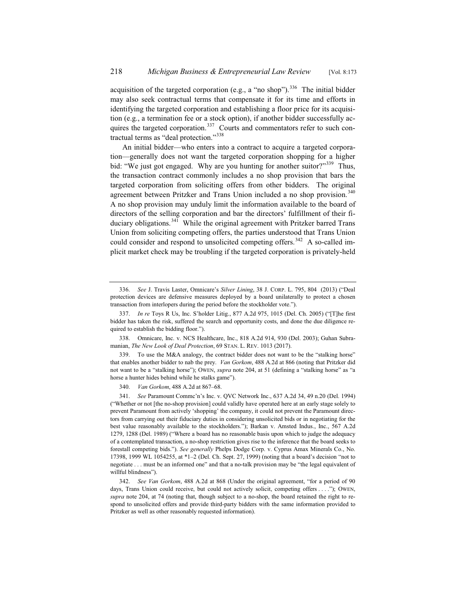acquisition of the targeted corporation (e.g., a "no shop").<sup>336</sup> The initial bidder may also seek contractual terms that compensate it for its time and efforts in identifying the targeted corporation and establishing a floor price for its acquisition (e.g., a termination fee or a stock option), if another bidder successfully acquires the targeted corporation.<sup>337</sup> Courts and commentators refer to such contractual terms as "deal protection."<sup>338</sup>

An initial bidder—who enters into a contract to acquire a targeted corporation—generally does not want the targeted corporation shopping for a higher bid: "We just got engaged. Why are you hunting for another suitor?"<sup>339</sup> Thus, the transaction contract commonly includes a no shop provision that bars the targeted corporation from soliciting offers from other bidders. The original agreement between Pritzker and Trans Union included a no shop provision.<sup>340</sup> A no shop provision may unduly limit the information available to the board of directors of the selling corporation and bar the directors' fulfillment of their fiduciary obligations.<sup>341</sup> While the original agreement with Pritzker barred Trans Union from soliciting competing offers, the parties understood that Trans Union could consider and respond to unsolicited competing offers.<sup>342</sup> A so-called implicit market check may be troubling if the targeted corporation is privately-held

<sup>336.</sup> *See* J. Travis Laster, Omnicare's *Silver Lining*, 38 J. CORP. L. 795, 804 (2013) ("Deal protection devices are defensive measures deployed by a board unilaterally to protect a chosen transaction from interlopers during the period before the stockholder vote.").

<sup>337.</sup> *In re* Toys R Us, Inc. S'holder Litig., 877 A.2d 975, 1015 (Del. Ch. 2005) ("[T]he first bidder has taken the risk, suffered the search and opportunity costs, and done the due diligence required to establish the bidding floor.").

<sup>338.</sup> Omnicare, Inc. v. NCS Healthcare, Inc., 818 A.2d 914, 930 (Del. 2003); Guhan Subramanian, *The New Look of Deal Protection*, 69 STAN. L. REV. 1013 (2017).

<sup>339.</sup> To use the M&A analogy, the contract bidder does not want to be the "stalking horse" that enables another bidder to nab the prey. *Van Gorkom*, 488 A.2d at 866 (noting that Pritzker did not want to be a "stalking horse"); OWEN, *supra* note 204, at 51 (defining a "stalking horse" as "a horse a hunter hides behind while he stalks game").

<sup>340.</sup> *Van Gorkom*, 488 A.2d at 867–68.

<sup>341.</sup> *See* Paramount Commc'n's Inc. v. QVC Network Inc., 637 A.2d 34, 49 n.20 (Del. 1994) ("Whether or not [the no-shop provision] could validly have operated here at an early stage solely to prevent Paramount from actively 'shopping' the company, it could not prevent the Paramount directors from carrying out their fiduciary duties in considering unsolicited bids or in negotiating for the best value reasonably available to the stockholders."); Barkan v. Amsted Indus., Inc., 567 A.2d 1279, 1288 (Del. 1989) ("Where a board has no reasonable basis upon which to judge the adequacy of a contemplated transaction, a no-shop restriction gives rise to the inference that the board seeks to forestall competing bids."). *See generally* Phelps Dodge Corp. v. Cyprus Amax Minerals Co., No. 17398, 1999 WL 1054255, at \*1–2 (Del. Ch. Sept. 27, 1999) (noting that a board's decision "not to negotiate . . . must be an informed one" and that a no-talk provision may be "the legal equivalent of willful blindness").

<sup>342.</sup> *See Van Gorkom*, 488 A.2d at 868 (Under the original agreement, "for a period of 90 days, Trans Union could receive, but could not actively solicit, competing offers . . . ."); OWEN, *supra* note 204, at 74 (noting that, though subject to a no-shop, the board retained the right to respond to unsolicited offers and provide third-party bidders with the same information provided to Pritzker as well as other reasonably requested information).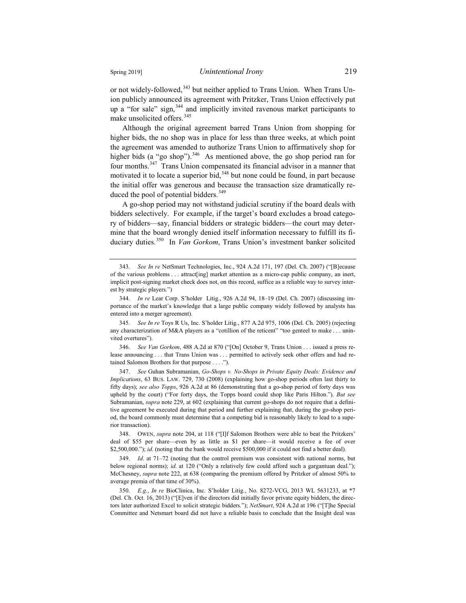or not widely-followed,<sup>343</sup> but neither applied to Trans Union. When Trans Union publicly announced its agreement with Pritzker, Trans Union effectively put up a "for sale" sign,<sup>344</sup> and implicitly invited ravenous market participants to make unsolicited offers.<sup>345</sup>

Although the original agreement barred Trans Union from shopping for higher bids, the no shop was in place for less than three weeks, at which point the agreement was amended to authorize Trans Union to affirmatively shop for higher bids (a "go shop").<sup>346</sup> As mentioned above, the go shop period ran for four months.<sup>347</sup> Trans Union compensated its financial advisor in a manner that motivated it to locate a superior bid,  $348$  but none could be found, in part because the initial offer was generous and because the transaction size dramatically reduced the pool of potential bidders.<sup>349</sup>

A go-shop period may not withstand judicial scrutiny if the board deals with bidders selectively. For example, if the target's board excludes a broad category of bidders—say, financial bidders or strategic bidders—the court may determine that the board wrongly denied itself information necessary to fulfill its fiduciary duties.<sup>350</sup> In *Van Gorkom*, Trans Union's investment banker solicited

346. *See Van Gorkom*, 488 A.2d at 870 ("[On] October 9, Trans Union . . . issued a press release announcing . . . that Trans Union was . . . permitted to actively seek other offers and had retained Salomon Brothers for that purpose . . . .").

347. *See* Guhan Subramanian, *Go-Shops v. No-Shops in Private Equity Deals: Evidence and Implications*, 63 BUS. LAW. 729, 730 (2008) (explaining how go-shop periods often last thirty to fifty days); *see also Topps*, 926 A.2d at 86 (demonstrating that a go-shop period of forty days was upheld by the court) ("For forty days, the Topps board could shop like Paris Hilton."). *But see* Subramanian, *supra* note 229, at 602 (explaining that current go-shops do not require that a definitive agreement be executed during that period and further explaining that, during the go-shop period, the board commonly must determine that a competing bid is reasonably likely to lead to a superior transaction).

348. OWEN, *supra* note 204, at 118 ("[I]f Salomon Brothers were able to beat the Pritzkers' deal of \$55 per share—even by as little as \$1 per share—it would receive a fee of over \$2,500,000."); *id*. (noting that the bank would receive \$500,000 if it could not find a better deal).

349. *Id*. at 71–72 (noting that the control premium was consistent with national norms, but below regional norms); *id*. at 120 ("Only a relatively few could afford such a gargantuan deal."); McChesney, *supra* note 222, at 638 (comparing the premium offered by Pritzker of almost 50% to average premia of that time of 30%).

350. *E.g.*, *In re* BioClinica, Inc. S'holder Litig., No. 8272-VCG, 2013 WL 5631233, at \*7 (Del. Ch. Oct. 16, 2013) ("[E]ven if the directors did initially favor private equity bidders, the directors later authorized Excel to solicit strategic bidders."); *NetSmart*, 924 A.2d at 196 ("[T]he Special Committee and Netsmart board did not have a reliable basis to conclude that the Insight deal was

<sup>343.</sup> *See In re* NetSmart Technologies, Inc., 924 A.2d 171, 197 (Del. Ch. 2007) ("[B]ecause of the various problems . . . attract[ing] market attention as a micro-cap public company, an inert, implicit post-signing market check does not, on this record, suffice as a reliable way to survey interest by strategic players.")

<sup>344.</sup> *In re* Lear Corp. S'holder Litig., 926 A.2d 94, 18–19 (Del. Ch. 2007) (discussing importance of the market's knowledge that a large public company widely followed by analysts has entered into a merger agreement).

<sup>345.</sup> *See In re* Toys R Us, Inc. S'holder Litig., 877 A.2d 975, 1006 (Del. Ch. 2005) (rejecting any characterization of M&A players as a "cotillion of the reticent" "too genteel to make . . . uninvited overtures").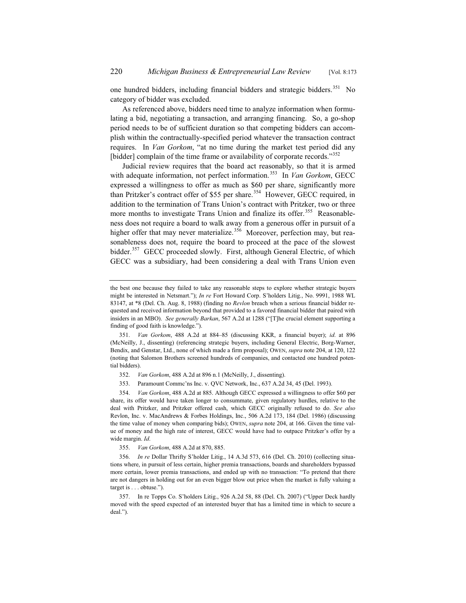one hundred bidders, including financial bidders and strategic bidders.<sup>351</sup> No category of bidder was excluded.

As referenced above, bidders need time to analyze information when formulating a bid, negotiating a transaction, and arranging financing. So, a go-shop period needs to be of sufficient duration so that competing bidders can accomplish within the contractually-specified period whatever the transaction contract requires. In *Van Gorkom*, "at no time during the market test period did any [bidder] complain of the time frame or availability of corporate records."<sup>352</sup>

Judicial review requires that the board act reasonably, so that it is armed with adequate information, not perfect information.<sup>353</sup> In *Van Gorkom*, GECC expressed a willingness to offer as much as \$60 per share, significantly more than Pritzker's contract offer of \$55 per share.<sup>354</sup> However, GECC required, in addition to the termination of Trans Union's contract with Pritzker, two or three more months to investigate Trans Union and finalize its offer.<sup>355</sup> Reasonableness does not require a board to walk away from a generous offer in pursuit of a higher offer that may never materialize.<sup>356</sup> Moreover, perfection may, but reasonableness does not, require the board to proceed at the pace of the slowest bidder.<sup>357</sup> GECC proceeded slowly. First, although General Electric, of which GECC was a subsidiary, had been considering a deal with Trans Union even

the best one because they failed to take any reasonable steps to explore whether strategic buyers might be interested in Netsmart."); *In re* Fort Howard Corp. S'holders Litig., No. 9991, 1988 WL 83147, at \*8 (Del. Ch. Aug. 8, 1988) (finding no *Revlon* breach when a serious financial bidder requested and received information beyond that provided to a favored financial bidder that paired with insiders in an MBO). *See generally Barkan*, 567 A.2d at 1288 ("[T]he crucial element supporting a finding of good faith is knowledge.").

<sup>351.</sup> *Van Gorkom*, 488 A.2d at 884–85 (discussing KKR, a financial buyer); *id*. at 896 (McNeilly, J., dissenting) (referencing strategic buyers, including General Electric, Borg-Warner, Bendix, and Genstar, Ltd., none of which made a firm proposal); OWEN, *supra* note 204, at 120, 122 (noting that Salomon Brothers screened hundreds of companies, and contacted one hundred potential bidders).

<sup>352.</sup> *Van Gorkom*, 488 A.2d at 896 n.1 (McNeilly, J., dissenting).

<sup>353.</sup> Paramount Commc'ns Inc. v. QVC Network, Inc., 637 A.2d 34, 45 (Del. 1993).

<sup>354.</sup> *Van Gorkom*, 488 A.2d at 885. Although GECC expressed a willingness to offer \$60 per share, its offer would have taken longer to consummate, given regulatory hurdles, relative to the deal with Pritzker, and Pritzker offered cash, which GECC originally refused to do. *See also*  Revlon, Inc. v. MacAndrews & Forbes Holdings, Inc., 506 A.2d 173, 184 (Del. 1986) (discussing the time value of money when comparing bids); OWEN, *supra* note 204, at 166. Given the time value of money and the high rate of interest, GECC would have had to outpace Pritzker's offer by a wide margin. *Id*.

<sup>355.</sup> *Van Gorkom*, 488 A.2d at 870, 885.

<sup>356.</sup> *In re* Dollar Thrifty S'holder Litig., 14 A.3d 573, 616 (Del. Ch. 2010) (collecting situations where, in pursuit of less certain, higher premia transactions, boards and shareholders bypassed more certain, lower premia transactions, and ended up with no transaction: "To pretend that there are not dangers in holding out for an even bigger blow out price when the market is fully valuing a target is . . . obtuse.").

<sup>357.</sup> In re Topps Co. S'holders Litig., 926 A.2d 58, 88 (Del. Ch. 2007) ("Upper Deck hardly moved with the speed expected of an interested buyer that has a limited time in which to secure a deal.").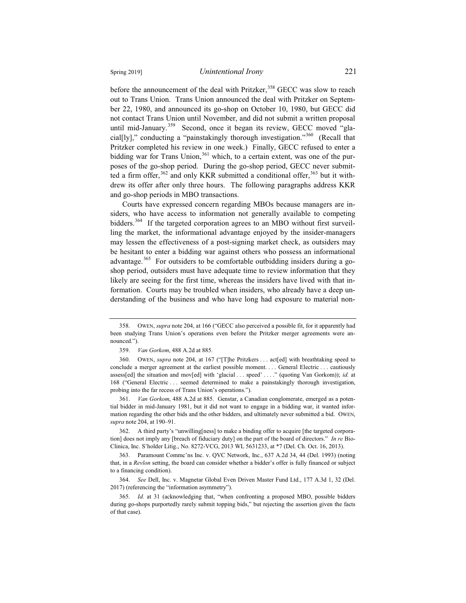before the announcement of the deal with Pritzker,<sup>358</sup> GECC was slow to reach out to Trans Union. Trans Union announced the deal with Pritzker on September 22, 1980, and announced its go-shop on October 10, 1980, but GECC did not contact Trans Union until November, and did not submit a written proposal until mid-January. $359$  Second, once it began its review, GECC moved "glacial[ly]," conducting a "painstakingly thorough investigation."360 (Recall that Pritzker completed his review in one week.) Finally, GECC refused to enter a bidding war for Trans Union,<sup>361</sup> which, to a certain extent, was one of the purposes of the go-shop period. During the go-shop period, GECC never submitted a firm offer,  $362$  and only KKR submitted a conditional offer,  $363$  but it withdrew its offer after only three hours. The following paragraphs address KKR and go-shop periods in MBO transactions.

Courts have expressed concern regarding MBOs because managers are insiders, who have access to information not generally available to competing bidders.<sup>364</sup> If the targeted corporation agrees to an MBO without first surveilling the market, the informational advantage enjoyed by the insider-managers may lessen the effectiveness of a post-signing market check, as outsiders may be hesitant to enter a bidding war against others who possess an informational advantage.<sup>365</sup> For outsiders to be comfortable outbidding insiders during a goshop period, outsiders must have adequate time to review information that they likely are seeing for the first time, whereas the insiders have lived with that information. Courts may be troubled when insiders, who already have a deep understanding of the business and who have long had exposure to material non-

361. *Van Gorkom*, 488 A.2d at 885. Genstar, a Canadian conglomerate, emerged as a potential bidder in mid-January 1981, but it did not want to engage in a bidding war, it wanted information regarding the other bids and the other bidders, and ultimately never submitted a bid. OWEN, *supra* note 204, at 190–91.

362. A third party's "unwilling[ness] to make a binding offer to acquire [the targeted corporation] does not imply any [breach of fiduciary duty] on the part of the board of directors." *In re* Bio-Clinica, Inc. S'holder Litig., No. 8272-VCG, 2013 WL 5631233, at \*7 (Del. Ch. Oct. 16, 2013).

363. Paramount Commc'ns Inc. v. QVC Network, Inc., 637 A.2d 34, 44 (Del. 1993) (noting that, in a *Revlon* setting, the board can consider whether a bidder's offer is fully financed or subject to a financing condition).

364. *See* Dell, Inc. v. Magnetar Global Even Driven Master Fund Ltd., 177 A.3d 1, 32 (Del. 2017) (referencing the "information asymmetry").

365. *Id.* at 31 (acknowledging that, "when confronting a proposed MBO, possible bidders during go-shops purportedly rarely submit topping bids," but rejecting the assertion given the facts of that case).

<sup>358.</sup> OWEN, *supra* note 204, at 166 ("GECC also perceived a possible fit, for it apparently had been studying Trans Union's operations even before the Pritzker merger agreements were announced.").

<sup>359.</sup> *Van Gorkom*, 488 A.2d at 885.

<sup>360.</sup> OWEN, *supra* note 204, at 167 ("[T]he Pritzkers . . . act[ed] with breathtaking speed to conclude a merger agreement at the earliest possible moment. . . . General Electric . . . cautiously assess[ed] the situation and mov[ed] with 'glacial . . . speed' . . . ." (quoting Van Gorkom)); *id.* at 168 ("General Electric . . . seemed determined to make a painstakingly thorough investigation, probing into the far recess of Trans Union's operations.").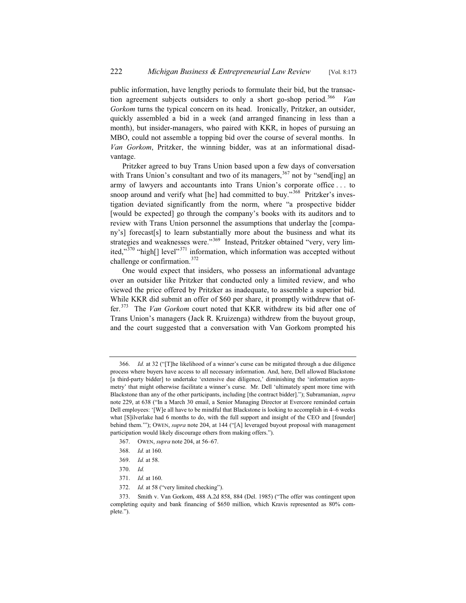public information, have lengthy periods to formulate their bid, but the transaction agreement subjects outsiders to only a short go-shop period.<sup>366</sup> *Van Gorkom* turns the typical concern on its head. Ironically, Pritzker, an outsider, quickly assembled a bid in a week (and arranged financing in less than a month), but insider-managers, who paired with KKR, in hopes of pursuing an MBO, could not assemble a topping bid over the course of several months. In *Van Gorkom*, Pritzker, the winning bidder, was at an informational disadvantage.

Pritzker agreed to buy Trans Union based upon a few days of conversation with Trans Union's consultant and two of its managers,  $367$  not by "send[ing] an army of lawyers and accountants into Trans Union's corporate office . . . to snoop around and verify what [he] had committed to buy."<sup>368</sup> Pritzker's investigation deviated significantly from the norm, where "a prospective bidder [would be expected] go through the company's books with its auditors and to review with Trans Union personnel the assumptions that underlay the [company's] forecast[s] to learn substantially more about the business and what its strategies and weaknesses were."<sup>369</sup> Instead, Pritzker obtained "very, very limited,"<sup>370</sup> "high[] level"<sup>371</sup> information, which information was accepted without challenge or confirmation.<sup>372</sup>

One would expect that insiders, who possess an informational advantage over an outsider like Pritzker that conducted only a limited review, and who viewed the price offered by Pritzker as inadequate, to assemble a superior bid. While KKR did submit an offer of \$60 per share, it promptly withdrew that offer.373 The *Van Gorkom* court noted that KKR withdrew its bid after one of Trans Union's managers (Jack R. Kruizenga) withdrew from the buyout group, and the court suggested that a conversation with Van Gorkom prompted his

- 367. OWEN, *supra* note 204, at 56–67.
- 368. *Id.* at 160.
- 369. *Id.* at 58.

- 371. *Id.* at 160.
- 372. *Id.* at 58 ("very limited checking").

<sup>366.</sup> *Id.* at 32 ("[T]he likelihood of a winner's curse can be mitigated through a due diligence process where buyers have access to all necessary information. And, here, Dell allowed Blackstone [a third-party bidder] to undertake 'extensive due diligence,' diminishing the 'information asymmetry' that might otherwise facilitate a winner's curse. Mr. Dell 'ultimately spent more time with Blackstone than any of the other participants, including [the contract bidder]."); Subramanian, *supra* note 229, at 638 ("In a March 30 email, a Senior Managing Director at Evercore reminded certain Dell employees: '[W]e all have to be mindful that Blackstone is looking to accomplish in 4–6 weeks what [S]ilverlake had 6 months to do, with the full support and insight of the CEO and [founder] behind them.'"); OWEN, *supra* note 204, at 144 ("[A] leveraged buyout proposal with management participation would likely discourage others from making offers.").

<sup>370.</sup> *Id.*

<sup>373.</sup> Smith v. Van Gorkom, 488 A.2d 858, 884 (Del. 1985) ("The offer was contingent upon completing equity and bank financing of \$650 million, which Kravis represented as 80% complete.").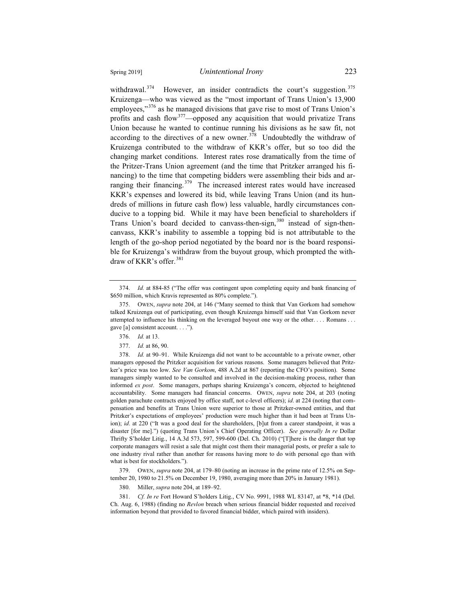withdrawal. $374$  However, an insider contradicts the court's suggestion.  $375$ Kruizenga—who was viewed as the "most important of Trans Union's 13,900 employees,"<sup>376</sup> as he managed divisions that gave rise to most of Trans Union's profits and cash flow<sup>377</sup>—opposed any acquisition that would privatize Trans Union because he wanted to continue running his divisions as he saw fit, not according to the directives of a new owner.<sup>378</sup> Undoubtedly the withdraw of Kruizenga contributed to the withdraw of KKR's offer, but so too did the changing market conditions. Interest rates rose dramatically from the time of the Pritzer-Trans Union agreement (and the time that Pritzker arranged his financing) to the time that competing bidders were assembling their bids and arranging their financing.<sup>379</sup> The increased interest rates would have increased KKR's expenses and lowered its bid, while leaving Trans Union (and its hundreds of millions in future cash flow) less valuable, hardly circumstances conducive to a topping bid. While it may have been beneficial to shareholders if Trans Union's board decided to canvass-then-sign,<sup>380</sup> instead of sign-thencanvass, KKR's inability to assemble a topping bid is not attributable to the length of the go-shop period negotiated by the board nor is the board responsible for Kruizenga's withdraw from the buyout group, which prompted the withdraw of KKR's offer.<sup>381</sup>

378. *Id.* at 90–91. While Kruizenga did not want to be accountable to a private owner, other managers opposed the Pritzker acquisition for various reasons. Some managers believed that Pritzker's price was too low. *See Van Gorkom*, 488 A.2d at 867 (reporting the CFO's position). Some managers simply wanted to be consulted and involved in the decision-making process, rather than informed *ex post*. Some managers, perhaps sharing Kruizenga's concern, objected to heightened accountability. Some managers had financial concerns. OWEN, *supra* note 204, at 203 (noting golden parachute contracts enjoyed by office staff, not c-level officers); *id*. at 224 (noting that compensation and benefits at Trans Union were superior to those at Pritzker-owned entities, and that Pritzker's expectations of employees' production were much higher than it had been at Trans Union); *id.* at 220 ("It was a good deal for the shareholders, [b]ut from a career standpoint, it was a disaster [for me].") (quoting Trans Union's Chief Operating Officer). *See generally In re* Dollar Thrifty S'holder Litig., 14 A.3d 573, 597, 599-600 (Del. Ch. 2010) ("[T]here is the danger that top corporate managers will resist a sale that might cost them their managerial posts, or prefer a sale to one industry rival rather than another for reasons having more to do with personal ego than with what is best for stockholders.").

379. OWEN, *supra* note 204, at 179–80 (noting an increase in the prime rate of 12.5% on September 20, 1980 to 21.5% on December 19, 1980, averaging more than 20% in January 1981).

380. Miller, *supra* note 204, at 189–92.

381. *Cf. In re* Fort Howard S'holders Litig., CV No. 9991, 1988 WL 83147, at \*8, \*14 (Del. Ch. Aug. 6, 1988) (finding no *Revlon* breach when serious financial bidder requested and received information beyond that provided to favored financial bidder, which paired with insiders).

<sup>374.</sup> *Id.* at 884-85 ("The offer was contingent upon completing equity and bank financing of \$650 million, which Kravis represented as 80% complete.").

<sup>375.</sup> OWEN, *supra* note 204, at 146 ("Many seemed to think that Van Gorkom had somehow talked Kruizenga out of participating, even though Kruizenga himself said that Van Gorkom never attempted to influence his thinking on the leveraged buyout one way or the other. . . . Romans . . . gave [a] consistent account. . . .").

<sup>376.</sup> *Id.* at 13.

<sup>377.</sup> *Id.* at 86, 90.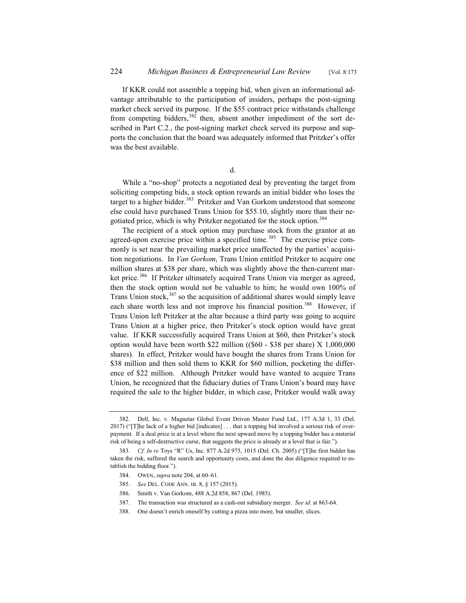If KKR could not assemble a topping bid, when given an informational advantage attributable to the participation of insiders, perhaps the post-signing market check served its purpose. If the \$55 contract price withstands challenge from competing bidders,  $382$  then, absent another impediment of the sort described in Part C.2., the post-signing market check served its purpose and supports the conclusion that the board was adequately informed that Pritzker's offer was the best available.

d.

While a "no-shop" protects a negotiated deal by preventing the target from soliciting competing bids, a stock option rewards an initial bidder who loses the target to a higher bidder.<sup>383</sup> Pritzker and Van Gorkom understood that someone else could have purchased Trans Union for \$55.10, slightly more than their negotiated price, which is why Pritzker negotiated for the stock option.<sup>384</sup>

The recipient of a stock option may purchase stock from the grantor at an agreed-upon exercise price within a specified time.<sup>385</sup> The exercise price commonly is set near the prevailing market price unaffected by the parties' acquisition negotiations. In *Van Gorkom*, Trans Union entitled Pritzker to acquire one million shares at \$38 per share, which was slightly above the then-current market price.<sup>386</sup> If Pritzker ultimately acquired Trans Union via merger as agreed, then the stock option would not be valuable to him; he would own 100% of Trans Union stock, $387$  so the acquisition of additional shares would simply leave each share worth less and not improve his financial position.<sup>388</sup> However, if Trans Union left Pritzker at the altar because a third party was going to acquire Trans Union at a higher price, then Pritzker's stock option would have great value. If KKR successfully acquired Trans Union at \$60, then Pritzker's stock option would have been worth \$22 million ((\$60 - \$38 per share) X 1,000,000 shares). In effect, Pritzker would have bought the shares from Trans Union for \$38 million and then sold them to KKR for \$60 million, pocketing the difference of \$22 million. Although Pritzker would have wanted to acquire Trans Union, he recognized that the fiduciary duties of Trans Union's board may have required the sale to the higher bidder, in which case, Pritzker would walk away

- 385. *See* DEL. CODE ANN. tit. 8, § 157 (2015).
- 386. Smith v. Van Gorkom, 488 A.2d 858, 867 (Del. 1985).
- 387. The transaction was structured as a cash-out subsidiary merger. *See id.* at 863-64.
- 388. One doesn't enrich oneself by cutting a pizza into more, but smaller, slices.

<sup>382.</sup> Dell, Inc. v. Magnetar Global Event Driven Master Fund Ltd., 177 A.3d 1, 33 (Del. 2017) ("[T]he lack of a higher bid [indicates] . . . that a topping bid involved a serious risk of overpayment. If a deal price is at a level where the next upward move by a topping bidder has a material risk of being a self-destructive curse, that suggests the price is already at a level that is fair.").

<sup>383.</sup> *Cf. In re* Toys "R" Us, Inc. 877 A.2d 975, 1015 (Del. Ch. 2005) ("[T]he first bidder has taken the risk, suffered the search and opportunity costs, and done the due diligence required to establish the bidding floor.").

<sup>384.</sup> OWEN, *supra* note 204, at 60–61.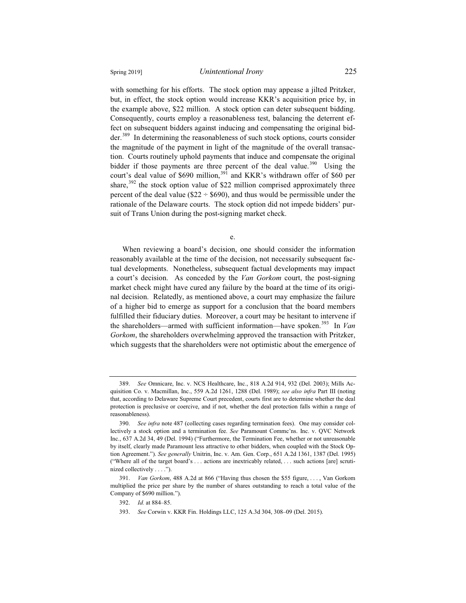with something for his efforts. The stock option may appease a jilted Pritzker, but, in effect, the stock option would increase KKR's acquisition price by, in the example above, \$22 million. A stock option can deter subsequent bidding. Consequently, courts employ a reasonableness test, balancing the deterrent effect on subsequent bidders against inducing and compensating the original bidder.<sup>389</sup> In determining the reasonableness of such stock options, courts consider the magnitude of the payment in light of the magnitude of the overall transac-

tion. Courts routinely uphold payments that induce and compensate the original bidder if those payments are three percent of the deal value.<sup>390</sup> Using the court's deal value of \$690 million,<sup>391</sup> and KKR's withdrawn offer of \$60 per share, $392$  the stock option value of \$22 million comprised approximately three percent of the deal value ( $$22 \div $690$ ), and thus would be permissible under the rationale of the Delaware courts. The stock option did not impede bidders' pursuit of Trans Union during the post-signing market check.

e.

When reviewing a board's decision, one should consider the information reasonably available at the time of the decision, not necessarily subsequent factual developments. Nonetheless, subsequent factual developments may impact a court's decision. As conceded by the *Van Gorkom* court, the post-signing market check might have cured any failure by the board at the time of its original decision. Relatedly, as mentioned above, a court may emphasize the failure of a higher bid to emerge as support for a conclusion that the board members fulfilled their fiduciary duties. Moreover, a court may be hesitant to intervene if the shareholders—armed with sufficient information—have spoken.<sup>393</sup> In *Van Gorkom*, the shareholders overwhelming approved the transaction with Pritzker, which suggests that the shareholders were not optimistic about the emergence of

<sup>389.</sup> *See* Omnicare, Inc. v. NCS Healthcare, Inc., 818 A.2d 914, 932 (Del. 2003); Mills Acquisition Co. v. Macmillan, Inc., 559 A.2d 1261, 1288 (Del. 1989); *see also infra* Part III (noting that, according to Delaware Supreme Court precedent, courts first are to determine whether the deal protection is preclusive or coercive, and if not, whether the deal protection falls within a range of reasonableness).

<sup>390.</sup> *See infra* note 487 (collecting cases regarding termination fees). One may consider collectively a stock option and a termination fee. *See* Paramount Commc'ns. Inc. v. QVC Network Inc., 637 A.2d 34, 49 (Del. 1994) ("Furthermore, the Termination Fee, whether or not unreasonable by itself, clearly made Paramount less attractive to other bidders, when coupled with the Stock Option Agreement."). *See generally* Unitrin, Inc. v. Am. Gen. Corp., 651 A.2d 1361, 1387 (Del. 1995) ("Where all of the target board's . . . actions are inextricably related, . . . such actions [are] scrutinized collectively . . . .").

<sup>391.</sup> *Van Gorkom*, 488 A.2d at 866 ("Having thus chosen the \$55 figure, . . . , Van Gorkom multiplied the price per share by the number of shares outstanding to reach a total value of the Company of \$690 million.").

<sup>392.</sup> *Id.* at 884–85.

<sup>393.</sup> *See* Corwin v. KKR Fin. Holdings LLC, 125 A.3d 304, 308–09 (Del. 2015).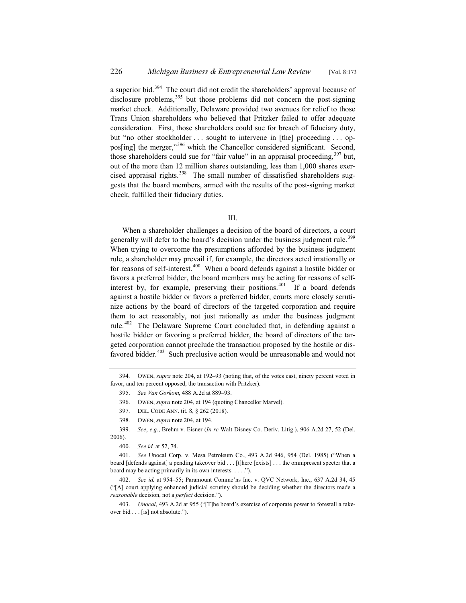a superior bid. $394$  The court did not credit the shareholders' approval because of disclosure problems,  $395$  but those problems did not concern the post-signing market check. Additionally, Delaware provided two avenues for relief to those Trans Union shareholders who believed that Pritzker failed to offer adequate consideration. First, those shareholders could sue for breach of fiduciary duty, but "no other stockholder ... sought to intervene in [the] proceeding ... oppos[ing] the merger,"396 which the Chancellor considered significant. Second, those shareholders could sue for "fair value" in an appraisal proceeding,  $397$  but, out of the more than 12 million shares outstanding, less than 1,000 shares exercised appraisal rights.<sup>398</sup> The small number of dissatisfied shareholders suggests that the board members, armed with the results of the post-signing market check, fulfilled their fiduciary duties.

## III.

When a shareholder challenges a decision of the board of directors, a court generally will defer to the board's decision under the business judgment rule.<sup>399</sup> When trying to overcome the presumptions afforded by the business judgment rule, a shareholder may prevail if, for example, the directors acted irrationally or for reasons of self-interest.<sup>400</sup> When a board defends against a hostile bidder or favors a preferred bidder, the board members may be acting for reasons of selfinterest by, for example, preserving their positions.<sup>401</sup> If a board defends against a hostile bidder or favors a preferred bidder, courts more closely scrutinize actions by the board of directors of the targeted corporation and require them to act reasonably, not just rationally as under the business judgment rule.402 The Delaware Supreme Court concluded that, in defending against a hostile bidder or favoring a preferred bidder, the board of directors of the targeted corporation cannot preclude the transaction proposed by the hostile or disfavored bidder. $403$  Such preclusive action would be unreasonable and would not

<sup>394.</sup> OWEN, *supra* note 204, at 192–93 (noting that, of the votes cast, ninety percent voted in favor, and ten percent opposed, the transaction with Pritzker).

<sup>395.</sup> *See Van Gorkom*, 488 A.2d at 889–93.

<sup>396.</sup> OWEN, *supra* note 204, at 194 (quoting Chancellor Marvel).

<sup>397.</sup> DEL. CODE ANN. tit. 8, § 262 (2018).

<sup>398.</sup> OWEN, *supra* note 204, at 194.

<sup>399.</sup> *See*, *e*.*g*., Brehm v. Eisner (*In re* Walt Disney Co. Deriv. Litig.), 906 A.2d 27, 52 (Del. 2006).

<sup>400.</sup> *See id.* at 52, 74.

<sup>401.</sup> *See* Unocal Corp. v. Mesa Petroleum Co., 493 A.2d 946, 954 (Del. 1985) ("When a board [defends against] a pending takeover bid . . . [t]here [exists] . . . the omnipresent specter that a board may be acting primarily in its own interests. . . . .").

<sup>402.</sup> *See id.* at 954–55; Paramount Commc'ns Inc. v. QVC Network, Inc., 637 A.2d 34, 45 ("[A] court applying enhanced judicial scrutiny should be deciding whether the directors made a *reasonable* decision, not a *perfect* decision.").

<sup>403.</sup> *Unocal*, 493 A.2d at 955 ("[T]he board's exercise of corporate power to forestall a takeover bid . . . [is] not absolute.").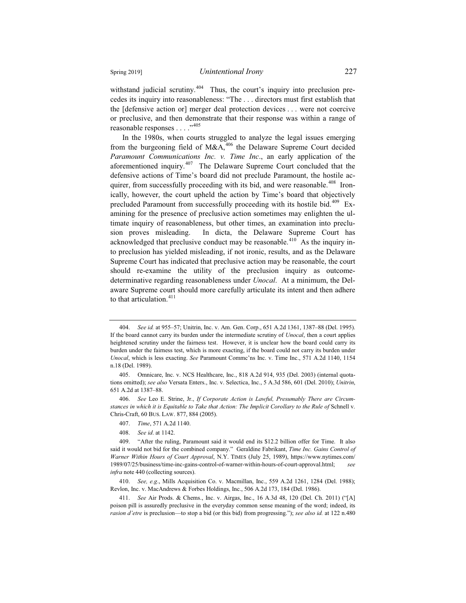withstand judicial scrutiny.<sup> $404$ </sup> Thus, the court's inquiry into preclusion precedes its inquiry into reasonableness: "The . . . directors must first establish that the [defensive action or] merger deal protection devices . . . were not coercive or preclusive, and then demonstrate that their response was within a range of reasonable responses . . . ."<sup>405</sup>

In the 1980s, when courts struggled to analyze the legal issues emerging from the burgeoning field of  $M&A<sub>106</sub>$  the Delaware Supreme Court decided *Paramount Communications Inc. v. Time Inc*., an early application of the aforementioned inquiry.<sup>407</sup> The Delaware Supreme Court concluded that the defensive actions of Time's board did not preclude Paramount, the hostile acquirer, from successfully proceeding with its bid, and were reasonable.<sup>408</sup> Ironically, however, the court upheld the action by Time's board that objectively precluded Paramount from successfully proceeding with its hostile bid.<sup>409</sup> Examining for the presence of preclusive action sometimes may enlighten the ultimate inquiry of reasonableness, but other times, an examination into preclusion proves misleading. In dicta, the Delaware Supreme Court has acknowledged that preclusive conduct may be reasonable.<sup>410</sup> As the inquiry into preclusion has yielded misleading, if not ironic, results, and as the Delaware Supreme Court has indicated that preclusive action may be reasonable, the court should re-examine the utility of the preclusion inquiry as outcomedeterminative regarding reasonableness under *Unocal*. At a minimum, the Delaware Supreme court should more carefully articulate its intent and then adhere to that articulation.<sup>411</sup>

<sup>404.</sup> *See id.* at 955–57; Unitrin, Inc. v. Am. Gen. Corp., 651 A.2d 1361, 1387–88 (Del. 1995). If the board cannot carry its burden under the intermediate scrutiny of *Unocal*, then a court applies heightened scrutiny under the fairness test. However, it is unclear how the board could carry its burden under the fairness test, which is more exacting, if the board could not carry its burden under *Unocal*, which is less exacting. *See* Paramount Commc'ns Inc. v. Time Inc., 571 A.2d 1140, 1154 n.18 (Del. 1989).

<sup>405.</sup> Omnicare, Inc. v. NCS Healthcare, Inc., 818 A.2d 914, 935 (Del. 2003) (internal quotations omitted); *see also* Versata Enters., Inc. v. Selectica, Inc., 5 A.3d 586, 601 (Del. 2010); *Unitrin*, 651 A.2d at 1387–88.

<sup>406.</sup> *See* Leo E. Strine, Jr., *If Corporate Action is Lawful, Presumably There are Circumstances in which it is Equitable to Take that Action: The Implicit Corollary to the Rule of* Schnell v. Chris-Craft, 60 BUS. LAW. 877, 884 (2005).

<sup>407.</sup> *Time*, 571 A.2d 1140.

<sup>408.</sup> *See id*. at 1142.

<sup>409. &</sup>quot;After the ruling, Paramount said it would end its \$12.2 billion offer for Time. It also said it would not bid for the combined company." Geraldine Fabrikant, *Time Inc. Gains Control of Warner Within Hours of Court Approval*, N.Y. TIMES (July 25, 1989), https://www.nytimes.com/ 1989/07/25/business/time-inc-gains-control-of-warner-within-hours-of-court-approval.html; *see infra* note 440 (collecting sources).

<sup>410.</sup> *See, e.g*., Mills Acquisition Co. v. Macmillan, Inc., 559 A.2d 1261, 1284 (Del. 1988); Revlon, Inc. v. MacAndrews & Forbes Holdings, Inc., 506 A.2d 173, 184 (Del. 1986).

<sup>411.</sup> *See* Air Prods. & Chems., Inc. v. Airgas, Inc., 16 A.3d 48, 120 (Del. Ch. 2011) ("[A] poison pill is assuredly preclusive in the everyday common sense meaning of the word; indeed, its *rasion d'etre* is preclusion—to stop a bid (or this bid) from progressing."); *see also id.* at 122 n.480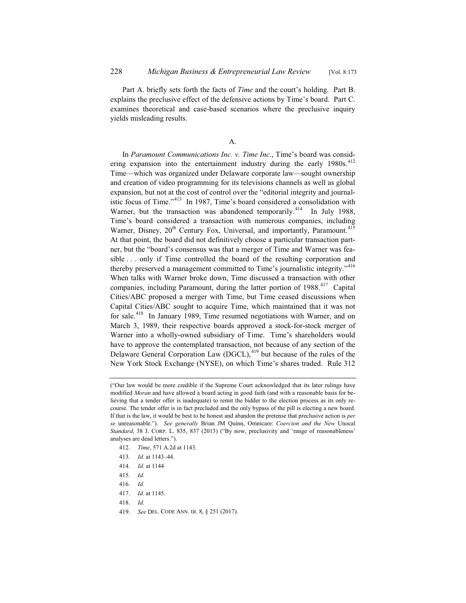Part A. briefly sets forth the facts of *Time* and the court's holding. Part B. explains the preclusive effect of the defensive actions by Time's board. Part C. examines theoretical and case-based scenarios where the preclusive inquiry yields misleading results.

## A.

In *Paramount Communications Inc. v. Time Inc*., Time's board was considering expansion into the entertainment industry during the early  $1980s$ .<sup>412</sup> Time—which was organized under Delaware corporate law—sought ownership and creation of video programming for its televisions channels as well as global expansion, but not at the cost of control over the "editorial integrity and journalistic focus of Time."<sup>413</sup> In 1987, Time's board considered a consolidation with Warner, but the transaction was abandoned temporarily.<sup>414</sup> In July 1988, Time's board considered a transaction with numerous companies, including Warner, Disney,  $20<sup>th</sup>$  Century Fox, Universal, and importantly, Paramount.<sup>415</sup> At that point, the board did not definitively choose a particular transaction partner, but the "board's consensus was that a merger of Time and Warner was feasible . . . only if Time controlled the board of the resulting corporation and thereby preserved a management committed to Time's journalistic integrity."<sup>416</sup> When talks with Warner broke down, Time discussed a transaction with other companies, including Paramount, during the latter portion of 1988.<sup>417</sup> Capital Cities/ABC proposed a merger with Time, but Time ceased discussions when Capital Cities/ABC sought to acquire Time, which maintained that it was not for sale.<sup>418</sup> In January 1989, Time resumed negotiations with Warner, and on March 3, 1989, their respective boards approved a stock-for-stock merger of Warner into a wholly-owned subsidiary of Time. Time's shareholders would have to approve the contemplated transaction, not because of any section of the Delaware General Corporation Law  $(DGCL)$ ,<sup>419</sup> but because of the rules of the New York Stock Exchange (NYSE), on which Time's shares traded. Rule 312

- 412. *Time*, 571 A.2d at 1143.
- 413. *Id.* at 1143–44.
- 414. *Id.* at 1144
- 415. *Id.*
- 416. *Id.*
- 417. *Id.* at 1145.
- 418. *Id.*
- 419. *See* DEL. CODE ANN. tit. 8, § 251 (2017).

<sup>(&</sup>quot;Our law would be more credible if the Supreme Court acknowledged that its later rulings have modified *Moran* and have allowed a board acting in good faith (and with a reasonable basis for believing that a tender offer is inadequate) to remit the bidder to the election process as its only recourse. The tender offer is in fact precluded and the only bypass of the pill is electing a new board. If that is the law, it would be best to be honest and abandon the pretense that preclusive action is *per se* unreasonable."). *See generally* Brian JM Quinn, Omnicare: *Coercion and the New* Unocal *Standard*, 38 J. CORP. L. 835, 837 (2013) ("By now, preclusivity and 'range of reasonableness' analyses are dead letters.").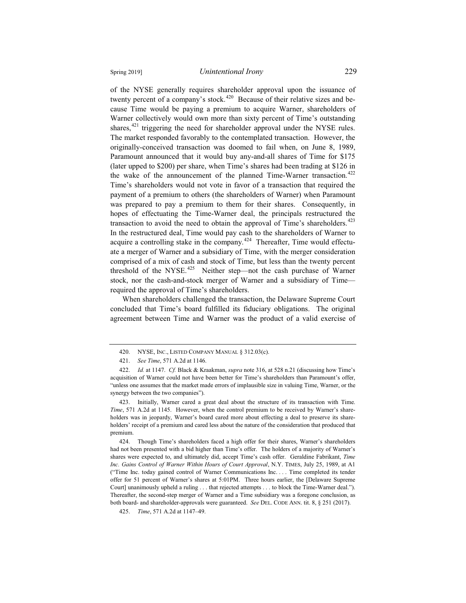of the NYSE generally requires shareholder approval upon the issuance of twenty percent of a company's stock.<sup>420</sup> Because of their relative sizes and because Time would be paying a premium to acquire Warner, shareholders of Warner collectively would own more than sixty percent of Time's outstanding shares, $421$  triggering the need for shareholder approval under the NYSE rules. The market responded favorably to the contemplated transaction. However, the originally-conceived transaction was doomed to fail when, on June 8, 1989, Paramount announced that it would buy any-and-all shares of Time for \$175 (later upped to \$200) per share, when Time's shares had been trading at \$126 in the wake of the announcement of the planned Time-Warner transaction.<sup>422</sup> Time's shareholders would not vote in favor of a transaction that required the payment of a premium to others (the shareholders of Warner) when Paramount was prepared to pay a premium to them for their shares. Consequently, in hopes of effectuating the Time-Warner deal, the principals restructured the transaction to avoid the need to obtain the approval of Time's shareholders.<sup>423</sup> In the restructured deal, Time would pay cash to the shareholders of Warner to acquire a controlling stake in the company.<sup>424</sup> Thereafter, Time would effectuate a merger of Warner and a subsidiary of Time, with the merger consideration comprised of a mix of cash and stock of Time, but less than the twenty percent threshold of the NYSE.<sup>425</sup> Neither step—not the cash purchase of Warner stock, nor the cash-and-stock merger of Warner and a subsidiary of Time required the approval of Time's shareholders.

When shareholders challenged the transaction, the Delaware Supreme Court concluded that Time's board fulfilled its fiduciary obligations. The original agreement between Time and Warner was the product of a valid exercise of

<sup>420.</sup> NYSE, INC., LISTED COMPANY MANUAL § 312.03(c).

<sup>421.</sup> *See Time*, 571 A.2d at 1146.

<sup>422.</sup> *Id.* at 1147. *Cf.* Black & Kraakman, *supra* note 316, at 528 n.21 (discussing how Time's acquisition of Warner could not have been better for Time's shareholders than Paramount's offer, "unless one assumes that the market made errors of implausible size in valuing Time, Warner, or the synergy between the two companies").

<sup>423.</sup> Initially, Warner cared a great deal about the structure of its transaction with Time. *Time*, 571 A.2d at 1145. However, when the control premium to be received by Warner's shareholders was in jeopardy, Warner's board cared more about effecting a deal to preserve its shareholders' receipt of a premium and cared less about the nature of the consideration that produced that premium.

<sup>424.</sup> Though Time's shareholders faced a high offer for their shares, Warner's shareholders had not been presented with a bid higher than Time's offer. The holders of a majority of Warner's shares were expected to, and ultimately did, accept Time's cash offer. Geraldine Fabrikant, *Time Inc. Gains Control of Warner Within Hours of Court Approval*, N.Y. TIMES, July 25, 1989, at A1 ("Time Inc. today gained control of Warner Communications Inc. . . . Time completed its tender offer for 51 percent of Warner's shares at 5:01PM. Three hours earlier, the [Delaware Supreme Court] unanimously upheld a ruling . . . that rejected attempts . . . to block the Time-Warner deal."). Thereafter, the second-step merger of Warner and a Time subsidiary was a foregone conclusion, as both board- and shareholder-approvals were guaranteed. *See* DEL. CODE ANN. tit. 8, § 251 (2017).

<sup>425.</sup> *Time*, 571 A.2d at 1147–49.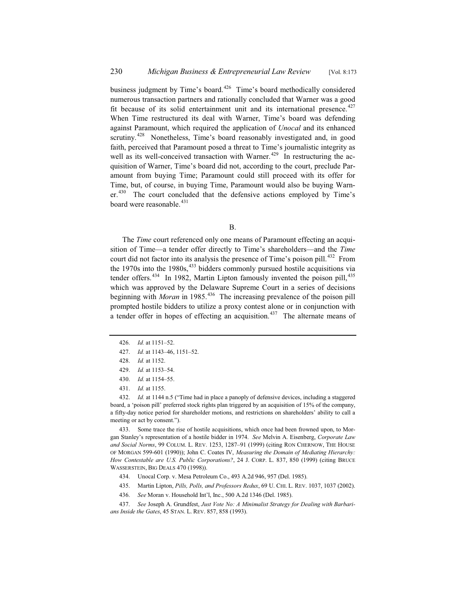business judgment by Time's board.<sup>426</sup> Time's board methodically considered numerous transaction partners and rationally concluded that Warner was a good fit because of its solid entertainment unit and its international presence. $427$ When Time restructured its deal with Warner, Time's board was defending against Paramount, which required the application of *Unocal* and its enhanced scrutiny.<sup>428</sup> Nonetheless, Time's board reasonably investigated and, in good faith, perceived that Paramount posed a threat to Time's journalistic integrity as well as its well-conceived transaction with Warner.<sup> $429$ </sup> In restructuring the acquisition of Warner, Time's board did not, according to the court, preclude Paramount from buying Time; Paramount could still proceed with its offer for Time, but, of course, in buying Time, Paramount would also be buying Warn $er<sup>430</sup>$  The court concluded that the defensive actions employed by Time's board were reasonable.<sup>431</sup>

B.

The *Time* court referenced only one means of Paramount effecting an acquisition of Time—a tender offer directly to Time's shareholders—and the *Time* court did not factor into its analysis the presence of Time's poison pill.<sup>432</sup> From the 1970s into the 1980s,  $433$  bidders commonly pursued hostile acquisitions via tender offers.<sup>434</sup> In 1982, Martin Lipton famously invented the poison pill,<sup>435</sup> which was approved by the Delaware Supreme Court in a series of decisions beginning with *Moran* in 1985.<sup>436</sup> The increasing prevalence of the poison pill prompted hostile bidders to utilize a proxy contest alone or in conjunction with a tender offer in hopes of effecting an acquisition.<sup>437</sup> The alternate means of

433. Some trace the rise of hostile acquisitions, which once had been frowned upon, to Morgan Stanley's representation of a hostile bidder in 1974. *See* Melvin A. Eisenberg, *Corporate Law and Social Norms*, 99 COLUM. L. REV. 1253, 1287–91 (1999) (citing RON CHERNOW, THE HOUSE OF MORGAN 599-601 (1990)); John C. Coates IV, *Measuring the Domain of Mediating Hierarchy: How Contestable are U.S. Public Corporations?*, 24 J. CORP. L. 837, 850 (1999) (citing BRUCE WASSERSTEIN, BIG DEALS 470 (1998)).

- 434. Unocal Corp. v. Mesa Petroleum Co., 493 A.2d 946, 957 (Del. 1985).
- 435. Martin Lipton, *Pills, Polls, and Professors Redux*, 69 U. CHI. L. REV. 1037, 1037 (2002).
- 436. *See* Moran v. Household Int'l, Inc., 500 A.2d 1346 (Del. 1985).
- 437. *See* Joseph A. Grundfest, *Just Vote No: A Minimalist Strategy for Dealing with Barbarians Inside the Gates*, 45 STAN. L. REV. 857, 858 (1993).

<sup>426.</sup> *Id.* at 1151–52.

<sup>427.</sup> *Id.* at 1143–46, 1151–52.

<sup>428.</sup> *Id.* at 1152.

<sup>429.</sup> *Id.* at 1153–54.

<sup>430.</sup> *Id.* at 1154–55.

<sup>431.</sup> *Id.* at 1155.

<sup>432.</sup> *Id.* at 1144 n.5 ("Time had in place a panoply of defensive devices, including a staggered board, a 'poison pill' preferred stock rights plan triggered by an acquisition of 15% of the company, a fifty-day notice period for shareholder motions, and restrictions on shareholders' ability to call a meeting or act by consent.").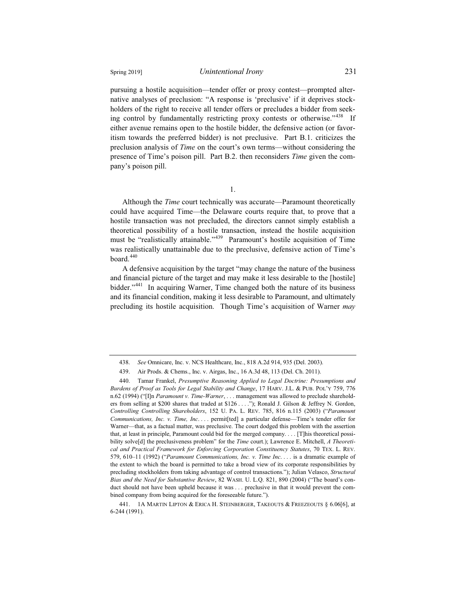pursuing a hostile acquisition—tender offer or proxy contest—prompted alternative analyses of preclusion: "A response is 'preclusive' if it deprives stockholders of the right to receive all tender offers or precludes a bidder from seeking control by fundamentally restricting proxy contests or otherwise."<sup>438</sup> If either avenue remains open to the hostile bidder, the defensive action (or favoritism towards the preferred bidder) is not preclusive. Part B.1. criticizes the preclusion analysis of *Time* on the court's own terms—without considering the presence of Time's poison pill. Part B.2. then reconsiders *Time* given the company's poison pill.

1.

Although the *Time* court technically was accurate—Paramount theoretically could have acquired Time—the Delaware courts require that, to prove that a hostile transaction was not precluded, the directors cannot simply establish a theoretical possibility of a hostile transaction, instead the hostile acquisition must be "realistically attainable."<sup>439</sup> Paramount's hostile acquisition of Time was realistically unattainable due to the preclusive, defensive action of Time's board. $440$ 

A defensive acquisition by the target "may change the nature of the business and financial picture of the target and may make it less desirable to the [hostile] bidder."<sup>441</sup> In acquiring Warner, Time changed both the nature of its business and its financial condition, making it less desirable to Paramount, and ultimately precluding its hostile acquisition. Though Time's acquisition of Warner *may*

<sup>438.</sup> *See* Omnicare, Inc. v. NCS Healthcare, Inc., 818 A.2d 914, 935 (Del. 2003).

<sup>439.</sup> Air Prods. & Chems., Inc. v. Airgas, Inc., 16 A.3d 48, 113 (Del. Ch. 2011).

<sup>440.</sup> Tamar Frankel, *Presumptive Reasoning Applied to Legal Doctrine: Presumptions and Burdens of Proof as Tools for Legal Stability and Change*, 17 HARV. J.L. & PUB. POL'Y 759, 776 n.62 (1994) ("[I]n *Paramount v. Time-Warner*, . . . management was allowed to preclude shareholders from selling at \$200 shares that traded at \$126 . . . ."); Ronald J. Gilson & Jeffrey N. Gordon, *Controlling Controlling Shareholders*, 152 U. PA. L. REV. 785, 816 n.115 (2003) ("*Paramount Communications, Inc. v. Time, Inc*. . . . permit[ted] a particular defense—Time's tender offer for Warner—that, as a factual matter, was preclusive. The court dodged this problem with the assertion that, at least in principle, Paramount could bid for the merged company. . . . [T]his theoretical possibility solve[d] the preclusiveness problem" for the *Time* court.); Lawrence E. Mitchell, *A Theoretical and Practical Framework for Enforcing Corporation Constituency Statutes*, 70 TEX. L. REV. 579, 610–11 (1992) ("*Paramount Communications, Inc. v. Time Inc*. . . . is a dramatic example of the extent to which the board is permitted to take a broad view of its corporate responsibilities by precluding stockholders from taking advantage of control transactions."); Julian Velasco, *Structural Bias and the Need for Substantive Review*, 82 WASH. U. L.Q. 821, 890 (2004) ("The board's conduct should not have been upheld because it was . . . preclusive in that it would prevent the combined company from being acquired for the foreseeable future.").

<sup>441. 1</sup>A MARTIN LIPTON & ERICA H. STEINBERGER, TAKEOUTS & FREEZEOUTS § 6.06[6], at 6-244 (1991).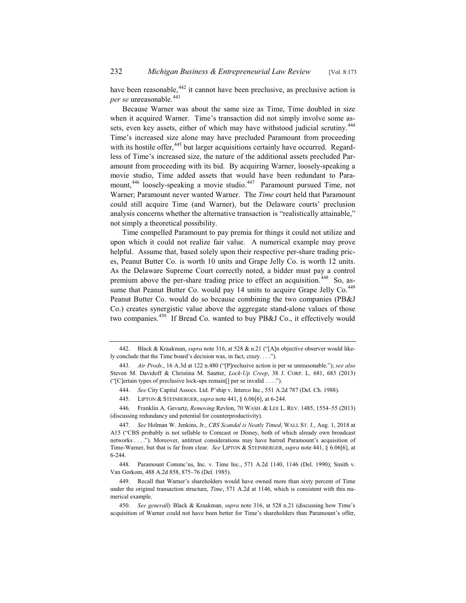have been reasonable,  $442$  it cannot have been preclusive, as preclusive action is *per se* unreasonable.<sup>443</sup>

Because Warner was about the same size as Time, Time doubled in size when it acquired Warner. Time's transaction did not simply involve some assets, even key assets, either of which may have withstood judicial scrutiny.<sup>444</sup> Time's increased size alone may have precluded Paramount from proceeding with its hostile offer,<sup>445</sup> but larger acquisitions certainly have occurred. Regardless of Time's increased size, the nature of the additional assets precluded Paramount from proceeding with its bid. By acquiring Warner, loosely-speaking a movie studio, Time added assets that would have been redundant to Paramount,<sup>446</sup> loosely-speaking a movie studio.<sup>447</sup> Paramount pursued Time, not Warner; Paramount never wanted Warner. The *Time* court held that Paramount could still acquire Time (and Warner), but the Delaware courts' preclusion analysis concerns whether the alternative transaction is "realistically attainable," not simply a theoretical possibility.

Time compelled Paramount to pay premia for things it could not utilize and upon which it could not realize fair value. A numerical example may prove helpful. Assume that, based solely upon their respective per-share trading prices, Peanut Butter Co. is worth 10 units and Grape Jelly Co. is worth 12 units. As the Delaware Supreme Court correctly noted, a bidder must pay a control premium above the per-share trading price to effect an acquisition.<sup>448</sup> So, assume that Peanut Butter Co. would pay 14 units to acquire Grape Jelly Co.<sup>449</sup> Peanut Butter Co. would do so because combining the two companies (PB&J Co.) creates synergistic value above the aggregate stand-alone values of those two companies.<sup>450</sup> If Bread Co. wanted to buy PB&J Co., it effectively would

446. Franklin A. Gevurtz, *Removing* Revlon, 70 WASH.&LEE L. REV. 1485, 1554–55 (2013) (discussing redundancy and potential for counterproductivity).

<sup>442.</sup> Black & Kraakman, *supra* note 316, at 528 & n.21 ("[A]n objective observer would likely conclude that the Time board's decision was, in fact, crazy. . . .").

<sup>443.</sup> *Air Prods*., 16 A.3d at 122 n.480 ("[P]reclusive action is per se unreasonable."); *see also* Steven M. Davidoff & Christina M. Sautter, *Lock-Up Creep*, 38 J. CORP. L. 681, 683 (2013) ("[C]ertain types of preclusive lock-ups remain[] per se invalid . . . .").

<sup>444.</sup> *See* City Capital Assocs. Ltd. P'ship v. Interco Inc., 551 A.2d 787 (Del. Ch. 1988).

<sup>445.</sup> LIPTON & STEINBERGER, *supra* note 441, § 6.06[6], at 6-244.

<sup>447.</sup> *See* Holman W. Jenkins, Jr., *CBS Scandal is Neatly Timed*, WALL ST. J., Aug. 1, 2018 at A15 ("CBS probably is not sellable to Comcast or Disney, both of which already own broadcast networks . . . ."). Moreover, antitrust considerations may have barred Paramount's acquisition of Time-Warner, but that is far from clear. *See* LIPTON & STEINBERGER, *supra* note 441, § 6.06[6], at 6-244.

<sup>448.</sup> Paramount Commc'ns, Inc. v. Time Inc., 571 A.2d 1140, 1146 (Del. 1990); Smith v. Van Gorkom, 488 A.2d 858, 875–76 (Del. 1985).

<sup>449.</sup> Recall that Warner's shareholders would have owned more than sixty percent of Time under the original transaction structure, *Time*, 571 A.2d at 1146, which is consistent with this numerical example.

<sup>450.</sup> *See generally* Black & Kraakman, *supra* note 316, at 528 n.21 (discussing how Time's acquisition of Warner could not have been better for Time's shareholders than Paramount's offer,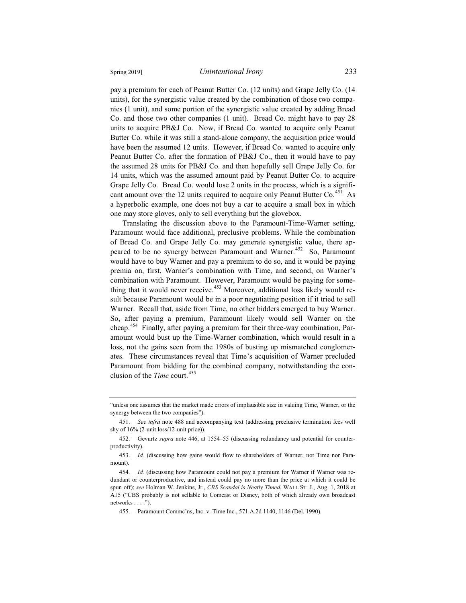pay a premium for each of Peanut Butter Co. (12 units) and Grape Jelly Co. (14 units), for the synergistic value created by the combination of those two companies (1 unit), and some portion of the synergistic value created by adding Bread Co. and those two other companies (1 unit). Bread Co. might have to pay 28 units to acquire PB&J Co. Now, if Bread Co. wanted to acquire only Peanut Butter Co. while it was still a stand-alone company, the acquisition price would have been the assumed 12 units. However, if Bread Co. wanted to acquire only Peanut Butter Co. after the formation of PB&J Co., then it would have to pay the assumed 28 units for PB&J Co. and then hopefully sell Grape Jelly Co. for 14 units, which was the assumed amount paid by Peanut Butter Co. to acquire Grape Jelly Co. Bread Co. would lose 2 units in the process, which is a significant amount over the 12 units required to acquire only Peanut Butter Co.<sup>451</sup> As a hyperbolic example, one does not buy a car to acquire a small box in which one may store gloves, only to sell everything but the glovebox.

Translating the discussion above to the Paramount-Time-Warner setting, Paramount would face additional, preclusive problems. While the combination of Bread Co. and Grape Jelly Co. may generate synergistic value, there appeared to be no synergy between Paramount and Warner.<sup>452</sup> So, Paramount would have to buy Warner and pay a premium to do so, and it would be paying premia on, first, Warner's combination with Time, and second, on Warner's combination with Paramount. However, Paramount would be paying for something that it would never receive.<sup>453</sup> Moreover, additional loss likely would result because Paramount would be in a poor negotiating position if it tried to sell Warner. Recall that, aside from Time, no other bidders emerged to buy Warner. So, after paying a premium, Paramount likely would sell Warner on the cheap.<sup>454</sup> Finally, after paying a premium for their three-way combination, Paramount would bust up the Time-Warner combination, which would result in a loss, not the gains seen from the 1980s of busting up mismatched conglomerates. These circumstances reveal that Time's acquisition of Warner precluded Paramount from bidding for the combined company, notwithstanding the conclusion of the *Time* court.<sup>455</sup>

<sup>&</sup>quot;unless one assumes that the market made errors of implausible size in valuing Time, Warner, or the synergy between the two companies").

<sup>451.</sup> *See infra* note 488 and accompanying text (addressing preclusive termination fees well shy of 16% (2-unit loss/12-unit price)).

<sup>452.</sup> Gevurtz *supra* note 446, at 1554–55 (discussing redundancy and potential for counterproductivity).

<sup>453.</sup> *Id.* (discussing how gains would flow to shareholders of Warner, not Time nor Paramount).

<sup>454.</sup> *Id.* (discussing how Paramount could not pay a premium for Warner if Warner was redundant or counterproductive, and instead could pay no more than the price at which it could be spun off); *see* Holman W. Jenkins, Jr., *CBS Scandal is Neatly Timed*, WALL ST. J., Aug. 1, 2018 at A15 ("CBS probably is not sellable to Comcast or Disney, both of which already own broadcast networks . . . .").

<sup>455.</sup> Paramount Commc'ns, Inc. v. Time Inc., 571 A.2d 1140, 1146 (Del. 1990).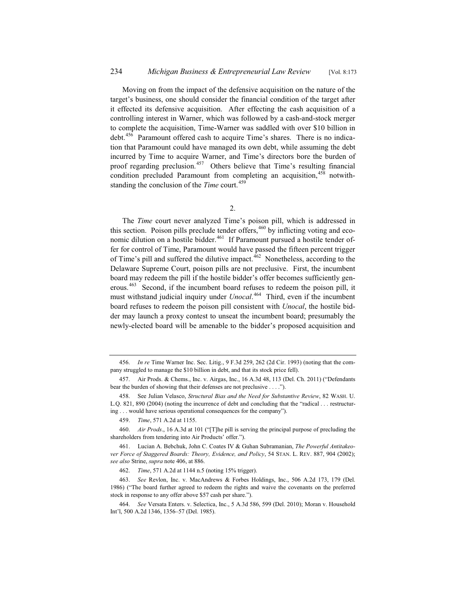Moving on from the impact of the defensive acquisition on the nature of the target's business, one should consider the financial condition of the target after it effected its defensive acquisition. After effecting the cash acquisition of a controlling interest in Warner, which was followed by a cash-and-stock merger to complete the acquisition, Time-Warner was saddled with over \$10 billion in debt.<sup>456</sup> Paramount offered cash to acquire Time's shares. There is no indication that Paramount could have managed its own debt, while assuming the debt incurred by Time to acquire Warner, and Time's directors bore the burden of proof regarding preclusion.<sup>457</sup> Others believe that Time's resulting financial condition precluded Paramount from completing an acquisition,<sup>458</sup> notwithstanding the conclusion of the *Time* court.<sup>459</sup>

The *Time* court never analyzed Time's poison pill, which is addressed in this section. Poison pills preclude tender offers,  $460$  by inflicting voting and economic dilution on a hostile bidder.<sup>461</sup> If Paramount pursued a hostile tender offer for control of Time, Paramount would have passed the fifteen percent trigger of Time's pill and suffered the dilutive impact.<sup>462</sup> Nonetheless, according to the Delaware Supreme Court, poison pills are not preclusive. First, the incumbent board may redeem the pill if the hostile bidder's offer becomes sufficiently generous.<sup>463</sup> Second, if the incumbent board refuses to redeem the poison pill, it must withstand judicial inquiry under *Unocal*. <sup>464</sup> Third, even if the incumbent board refuses to redeem the poison pill consistent with *Unocal*, the hostile bidder may launch a proxy contest to unseat the incumbent board; presumably the newly-elected board will be amenable to the bidder's proposed acquisition and

<sup>456.</sup> *In re* Time Warner Inc. Sec. Litig., 9 F.3d 259, 262 (2d Cir. 1993) (noting that the company struggled to manage the \$10 billion in debt, and that its stock price fell).

<sup>457.</sup> Air Prods. & Chems., Inc. v. Airgas, Inc., 16 A.3d 48, 113 (Del. Ch. 2011) ("Defendants bear the burden of showing that their defenses are not preclusive . . . .").

<sup>458.</sup> See Julian Velasco, *Structural Bias and the Need for Substantive Review*, 82 WASH. U. L.Q. 821, 890 (2004) (noting the incurrence of debt and concluding that the "radical . . . restructuring . . . would have serious operational consequences for the company").

<sup>459.</sup> *Time*, 571 A.2d at 1155.

<sup>460.</sup> *Air Prods*., 16 A.3d at 101 ("[T]he pill is serving the principal purpose of precluding the shareholders from tendering into Air Products' offer.").

<sup>461.</sup> Lucian A. Bebchuk, John C. Coates IV & Guhan Subramanian, *The Powerful Antitakeover Force of Staggered Boards: Theory, Evidence, and Policy*, 54 STAN. L. REV. 887, 904 (2002); *see also* Strine, *supra* note 406, at 886.

<sup>462.</sup> *Time*, 571 A.2d at 1144 n.5 (noting 15% trigger).

<sup>463.</sup> *See* Revlon, Inc. v. MacAndrews & Forbes Holdings, Inc., 506 A.2d 173, 179 (Del. 1986) ("The board further agreed to redeem the rights and waive the covenants on the preferred stock in response to any offer above \$57 cash per share.").

<sup>464.</sup> *See* Versata Enters. v. Selectica, Inc., 5 A.3d 586, 599 (Del. 2010); Moran v. Household Int'l, 500 A.2d 1346, 1356–57 (Del. 1985).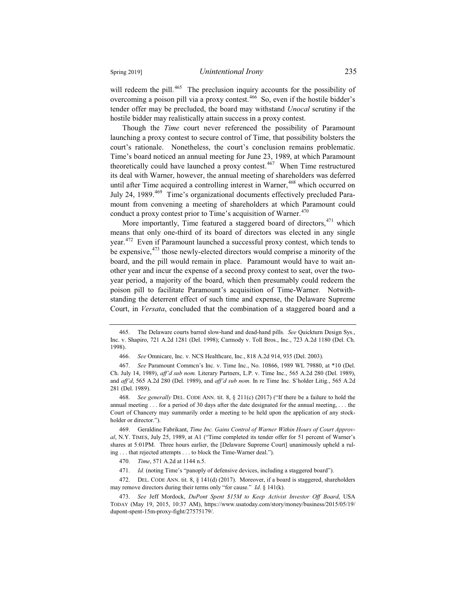will redeem the pill.<sup>465</sup> The preclusion inquiry accounts for the possibility of overcoming a poison pill via a proxy contest.<sup>466</sup> So, even if the hostile bidder's tender offer may be precluded, the board may withstand *Unocal* scrutiny if the hostile bidder may realistically attain success in a proxy contest.

Though the *Time* court never referenced the possibility of Paramount launching a proxy contest to secure control of Time, that possibility bolsters the court's rationale. Nonetheless, the court's conclusion remains problematic. Time's board noticed an annual meeting for June 23, 1989, at which Paramount theoretically could have launched a proxy contest.<sup>467</sup> When Time restructured its deal with Warner, however, the annual meeting of shareholders was deferred until after Time acquired a controlling interest in Warner,<sup>468</sup> which occurred on July 24, 1989.<sup>469</sup> Time's organizational documents effectively precluded Paramount from convening a meeting of shareholders at which Paramount could conduct a proxy contest prior to Time's acquisition of Warner.<sup>470</sup>

More importantly, Time featured a staggered board of directors, <sup>471</sup> which means that only one-third of its board of directors was elected in any single year.<sup>472</sup> Even if Paramount launched a successful proxy contest, which tends to be expensive,  $473$  those newly-elected directors would comprise a minority of the board, and the pill would remain in place. Paramount would have to wait another year and incur the expense of a second proxy contest to seat, over the twoyear period, a majority of the board, which then presumably could redeem the poison pill to facilitate Paramount's acquisition of Time-Warner. Notwithstanding the deterrent effect of such time and expense, the Delaware Supreme Court, in *Versata*, concluded that the combination of a staggered board and a

<sup>465.</sup> The Delaware courts barred slow-hand and dead-hand pills. *See* Quickturn Design Sys., Inc. v. Shapiro, 721 A.2d 1281 (Del. 1998); Carmody v. Toll Bros., Inc., 723 A.2d 1180 (Del. Ch. 1998).

<sup>466.</sup> *See* Omnicare, Inc. v. NCS Healthcare, Inc., 818 A.2d 914, 935 (Del. 2003).

<sup>467.</sup> *See* Paramount Commcn's Inc. v. Time Inc., No. 10866, 1989 WL 79880, at \*10 (Del. Ch. July 14, 1989), *aff'd sub nom.* Literary Partners, L.P. v. Time Inc., 565 A.2d 280 (Del. 1989), and *aff'd*, 565 A.2d 280 (Del. 1989), and *aff'd sub nom*. In re Time Inc. S'holder Litig., 565 A.2d 281 (Del. 1989).

<sup>468.</sup> *See generally* DEL. CODE ANN. tit. 8, § 211(c) (2017) ("If there be a failure to hold the annual meeting . . . for a period of 30 days after the date designated for the annual meeting, . . . the Court of Chancery may summarily order a meeting to be held upon the application of any stockholder or director.").

<sup>469.</sup> Geraldine Fabrikant, *Time Inc. Gains Control of Warner Within Hours of Court Approval*, N.Y. TIMES, July 25, 1989, at A1 ("Time completed its tender offer for 51 percent of Warner's shares at 5:01PM. Three hours earlier, the [Delaware Supreme Court] unanimously upheld a ruling . . . that rejected attempts . . . to block the Time-Warner deal.").

<sup>470.</sup> *Time*, 571 A.2d at 1144 n.5.

<sup>471.</sup> *Id.* (noting Time's "panoply of defensive devices, including a staggered board").

<sup>472.</sup> DEL. CODE ANN. tit. 8, § 141(d) (2017). Moreover, if a board is staggered, shareholders may remove directors during their terms only "for cause." *Id*. § 141(k).

<sup>473.</sup> *See* Jeff Mordock, *DuPont Spent \$15M to Keep Activist Investor Off Board*, USA TODAY (May 19, 2015, 10:37 AM), https://www.usatoday.com/story/money/business/2015/05/19/ dupont-spent-15m-proxy-fight/27575179/.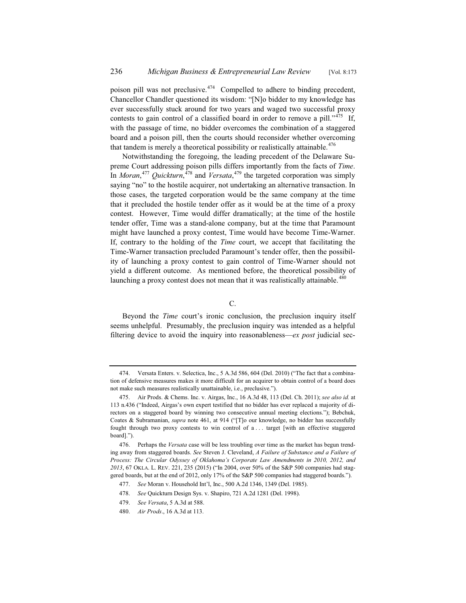poison pill was not preclusive.<sup>474</sup> Compelled to adhere to binding precedent, Chancellor Chandler questioned its wisdom: "[N]o bidder to my knowledge has ever successfully stuck around for two years and waged two successful proxy contests to gain control of a classified board in order to remove a pill."<sup>475</sup> If, with the passage of time, no bidder overcomes the combination of a staggered board and a poison pill, then the courts should reconsider whether overcoming that tandem is merely a theoretical possibility or realistically attainable.<sup>476</sup>

Notwithstanding the foregoing, the leading precedent of the Delaware Supreme Court addressing poison pills differs importantly from the facts of *Time*. In *Moran*, <sup>477</sup> *Quickturn*, <sup>478</sup> and *Versata*, <sup>479</sup> the targeted corporation was simply saying "no" to the hostile acquirer, not undertaking an alternative transaction. In those cases, the targeted corporation would be the same company at the time that it precluded the hostile tender offer as it would be at the time of a proxy contest. However, Time would differ dramatically; at the time of the hostile tender offer, Time was a stand-alone company, but at the time that Paramount might have launched a proxy contest, Time would have become Time-Warner. If, contrary to the holding of the *Time* court, we accept that facilitating the Time-Warner transaction precluded Paramount's tender offer, then the possibility of launching a proxy contest to gain control of Time-Warner should not yield a different outcome. As mentioned before, the theoretical possibility of launching a proxy contest does not mean that it was realistically attainable.<sup>480</sup>

C.

Beyond the *Time* court's ironic conclusion, the preclusion inquiry itself seems unhelpful. Presumably, the preclusion inquiry was intended as a helpful filtering device to avoid the inquiry into reasonableness—*ex post* judicial sec-

<sup>474.</sup> Versata Enters. v. Selectica, Inc., 5 A.3d 586, 604 (Del. 2010) ("The fact that a combination of defensive measures makes it more difficult for an acquirer to obtain control of a board does not make such measures realistically unattainable, i.e., preclusive.").

<sup>475.</sup> Air Prods. & Chems. Inc. v. Airgas, Inc., 16 A.3d 48, 113 (Del. Ch. 2011); *see also id.* at 113 n.436 ("Indeed, Airgas's own expert testified that no bidder has ever replaced a majority of directors on a staggered board by winning two consecutive annual meeting elections."); Bebchuk, Coates & Subramanian, *supra* note 461, at 914 ("[T]o our knowledge, no bidder has successfully fought through two proxy contests to win control of a . . . target [with an effective staggered board].").

<sup>476.</sup> Perhaps the *Versata* case will be less troubling over time as the market has begun trending away from staggered boards. *See* Steven J. Cleveland, *A Failure of Substance and a Failure of Process: The Circular Odyssey of Oklahoma's Corporate Law Amendments in 2010, 2012, and 2013*, 67 OKLA. L. REV. 221, 235 (2015) ("In 2004, over 50% of the S&P 500 companies had staggered boards, but at the end of 2012, only 17% of the S&P 500 companies had staggered boards.").

<sup>477.</sup> *See* Moran v. Household Int'l, Inc., 500 A.2d 1346, 1349 (Del. 1985).

<sup>478.</sup> *See* Quickturn Design Sys. v. Shapiro, 721 A.2d 1281 (Del. 1998).

<sup>479.</sup> *See Versata*, 5 A.3d at 588.

<sup>480.</sup> *Air Prods*., 16 A.3d at 113.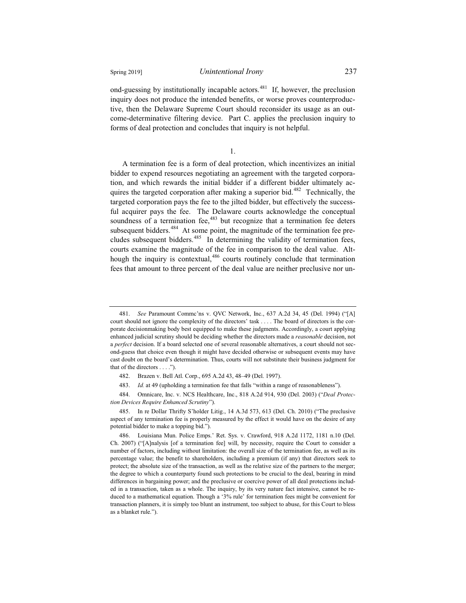ond-guessing by institutionally incapable actors.<sup>481</sup> If, however, the preclusion inquiry does not produce the intended benefits, or worse proves counterproductive, then the Delaware Supreme Court should reconsider its usage as an outcome-determinative filtering device. Part C. applies the preclusion inquiry to forms of deal protection and concludes that inquiry is not helpful.

1.

A termination fee is a form of deal protection, which incentivizes an initial bidder to expend resources negotiating an agreement with the targeted corporation, and which rewards the initial bidder if a different bidder ultimately acquires the targeted corporation after making a superior bid.<sup>482</sup> Technically, the targeted corporation pays the fee to the jilted bidder, but effectively the successful acquirer pays the fee. The Delaware courts acknowledge the conceptual soundness of a termination fee,<sup>483</sup> but recognize that a termination fee deters subsequent bidders.<sup>484</sup> At some point, the magnitude of the termination fee precludes subsequent bidders.<sup>485</sup> In determining the validity of termination fees, courts examine the magnitude of the fee in comparison to the deal value. Although the inquiry is contextual,<sup>486</sup> courts routinely conclude that termination fees that amount to three percent of the deal value are neither preclusive nor un-

<sup>481.</sup> *See* Paramount Commc'ns v. QVC Network, Inc., 637 A.2d 34, 45 (Del. 1994) ("[A] court should not ignore the complexity of the directors' task . . . . The board of directors is the corporate decisionmaking body best equipped to make these judgments. Accordingly, a court applying enhanced judicial scrutiny should be deciding whether the directors made a *reasonable* decision, not a *perfect* decision. If a board selected one of several reasonable alternatives, a court should not second-guess that choice even though it might have decided otherwise or subsequent events may have cast doubt on the board's determination. Thus, courts will not substitute their business judgment for that of the directors . . . .").

<sup>482.</sup> Brazen v. Bell Atl. Corp., 695 A.2d 43, 48–49 (Del. 1997).

<sup>483.</sup> *Id.* at 49 (upholding a termination fee that falls "within a range of reasonableness").

<sup>484.</sup> Omnicare, Inc. v. NCS Healthcare, Inc., 818 A.2d 914, 930 (Del. 2003) ("*Deal Protection Devices Require Enhanced Scrutiny*").

<sup>485.</sup> In re Dollar Thrifty S'holder Litig., 14 A.3d 573, 613 (Del. Ch. 2010) ("The preclusive aspect of any termination fee is properly measured by the effect it would have on the desire of any potential bidder to make a topping bid.").

<sup>486.</sup> Louisiana Mun. Police Emps.' Ret. Sys. v. Crawford, 918 A.2d 1172, 1181 n.10 (Del. Ch. 2007) ("[A]nalysis [of a termination fee] will, by necessity, require the Court to consider a number of factors, including without limitation: the overall size of the termination fee, as well as its percentage value; the benefit to shareholders, including a premium (if any) that directors seek to protect; the absolute size of the transaction, as well as the relative size of the partners to the merger; the degree to which a counterparty found such protections to be crucial to the deal, bearing in mind differences in bargaining power; and the preclusive or coercive power of all deal protections included in a transaction, taken as a whole. The inquiry, by its very nature fact intensive, cannot be reduced to a mathematical equation. Though a '3% rule' for termination fees might be convenient for transaction planners, it is simply too blunt an instrument, too subject to abuse, for this Court to bless as a blanket rule.").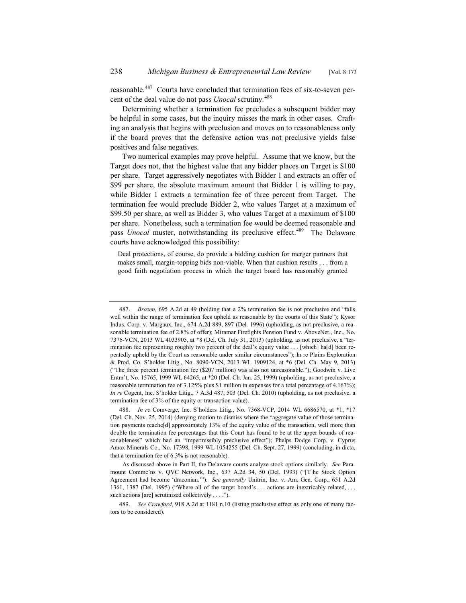reasonable.<sup>487</sup> Courts have concluded that termination fees of six-to-seven percent of the deal value do not pass *Unocal* scrutiny.<sup>488</sup>

Determining whether a termination fee precludes a subsequent bidder may be helpful in some cases, but the inquiry misses the mark in other cases. Crafting an analysis that begins with preclusion and moves on to reasonableness only if the board proves that the defensive action was not preclusive yields false positives and false negatives.

Two numerical examples may prove helpful. Assume that we know, but the Target does not, that the highest value that any bidder places on Target is \$100 per share. Target aggressively negotiates with Bidder 1 and extracts an offer of \$99 per share, the absolute maximum amount that Bidder 1 is willing to pay, while Bidder 1 extracts a termination fee of three percent from Target. The termination fee would preclude Bidder 2, who values Target at a maximum of \$99.50 per share, as well as Bidder 3, who values Target at a maximum of \$100 per share. Nonetheless, such a termination fee would be deemed reasonable and pass *Unocal* muster, notwithstanding its preclusive effect.<sup>489</sup> The Delaware courts have acknowledged this possibility:

Deal protections, of course, do provide a bidding cushion for merger partners that makes small, margin-topping bids non-viable. When that cushion results . . . from a good faith negotiation process in which the target board has reasonably granted

<sup>487.</sup> *Brazen*, 695 A.2d at 49 (holding that a 2% termination fee is not preclusive and "falls well within the range of termination fees upheld as reasonable by the courts of this State"); Kysor Indus. Corp. v. Margaux, Inc., 674 A.2d 889, 897 (Del. 1996) (upholding, as not preclusive, a reasonable termination fee of 2.8% of offer); Miramar Firefights Pension Fund v. AboveNet., Inc., No. 7376-VCN, 2013 WL 4033905, at \*8 (Del. Ch. July 31, 2013) (upholding, as not preclusive, a "termination fee representing roughly two percent of the deal's equity value . . . [which] ha[d] been repeatedly upheld by the Court as reasonable under similar circumstances"); In re Plains Exploration & Prod. Co. S'holder Litig., No. 8090-VCN, 2013 WL 1909124, at \*6 (Del. Ch. May 9, 2013) ("The three percent termination fee (\$207 million) was also not unreasonable."); Goodwin v. Live Entm't, No. 15765, 1999 WL 64265, at \*20 (Del. Ch. Jan. 25, 1999) (upholding, as not preclusive, a reasonable termination fee of 3.125% plus \$1 million in expenses for a total percentage of 4.167%); *In re* Cogent, Inc. S'holder Litig., 7 A.3d 487, 503 (Del. Ch. 2010) (upholding, as not preclusive, a termination fee of 3% of the equity or transaction value).

<sup>488.</sup> *In re* Comverge, Inc. S'holders Litig., No. 7368-VCP, 2014 WL 6686570, at \*1, \*17 (Del. Ch. Nov. 25, 2014) (denying motion to dismiss where the "aggregate value of those termination payments reache[d] approximately 13% of the equity value of the transaction, well more than double the termination fee percentages that this Court has found to be at the upper bounds of reasonableness" which had an "impermissibly preclusive effect"); Phelps Dodge Corp. v. Cyprus Amax Minerals Co., No. 17398, 1999 WL 1054255 (Del. Ch. Sept. 27, 1999) (concluding, in dicta, that a termination fee of 6.3% is not reasonable).

As discussed above in Part II, the Delaware courts analyze stock options similarly. *See* Paramount Commc'ns v. QVC Network, Inc., 637 A.2d 34, 50 (Del. 1993) ("[T]he Stock Option Agreement had become 'draconian.'"). *See generally* Unitrin, Inc. v. Am. Gen. Corp., 651 A.2d 1361, 1387 (Del. 1995) ("Where all of the target board's . . . actions are inextricably related, . . . such actions [are] scrutinized collectively . . . .").

<sup>489.</sup> *See Crawford*, 918 A.2d at 1181 n.10 (listing preclusive effect as only one of many factors to be considered).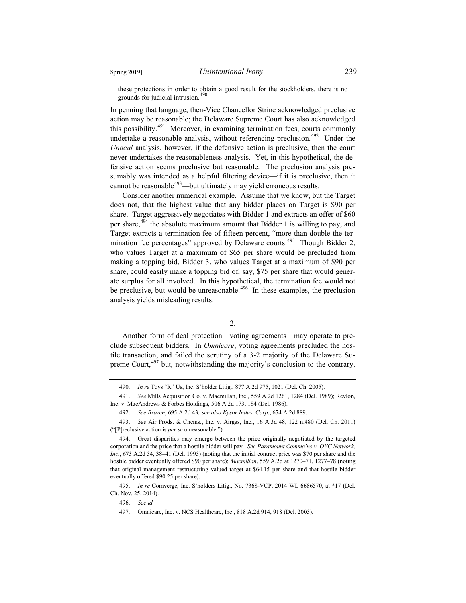these protections in order to obtain a good result for the stockholders, there is no grounds for judicial intrusion.<sup>490</sup>

In penning that language, then-Vice Chancellor Strine acknowledged preclusive action may be reasonable; the Delaware Supreme Court has also acknowledged this possibility.<sup> $491$ </sup> Moreover, in examining termination fees, courts commonly undertake a reasonable analysis, without referencing preclusion.<sup> $492$ </sup> Under the *Unocal* analysis, however, if the defensive action is preclusive, then the court never undertakes the reasonableness analysis. Yet, in this hypothetical, the defensive action seems preclusive but reasonable. The preclusion analysis presumably was intended as a helpful filtering device—if it is preclusive, then it cannot be reasonable<sup> $493$ </sup>—but ultimately may yield erroneous results.

Consider another numerical example. Assume that we know, but the Target does not, that the highest value that any bidder places on Target is \$90 per share. Target aggressively negotiates with Bidder 1 and extracts an offer of \$60 per share, $494$  the absolute maximum amount that Bidder 1 is willing to pay, and Target extracts a termination fee of fifteen percent, "more than double the termination fee percentages" approved by Delaware courts.<sup>495</sup> Though Bidder 2, who values Target at a maximum of \$65 per share would be precluded from making a topping bid, Bidder 3, who values Target at a maximum of \$90 per share, could easily make a topping bid of, say, \$75 per share that would generate surplus for all involved. In this hypothetical, the termination fee would not be preclusive, but would be unreasonable.<sup>496</sup> In these examples, the preclusion analysis yields misleading results.

2.

Another form of deal protection—voting agreements—may operate to preclude subsequent bidders. In *Omnicare*, voting agreements precluded the hostile transaction, and failed the scrutiny of a 3-2 majority of the Delaware Supreme Court,<sup>497</sup> but, notwithstanding the majority's conclusion to the contrary,

<sup>490.</sup> *In re* Toys "R" Us, Inc. S'holder Litig., 877 A.2d 975, 1021 (Del. Ch. 2005).

<sup>491.</sup> *See* Mills Acquisition Co. v. Macmillan, Inc., 559 A.2d 1261, 1284 (Del. 1989); Revlon, Inc. v. MacAndrews & Forbes Holdings, 506 A.2d 173, 184 (Del. 1986).

<sup>492.</sup> *See Brazen*, 695 A.2d 43*; see also Kysor Indus. Corp*., 674 A.2d 889.

<sup>493.</sup> *See* Air Prods. & Chems., Inc. v. Airgas, Inc., 16 A.3d 48, 122 n.480 (Del. Ch. 2011) ("[P]reclusive action is *per se* unreasonable.").

<sup>494.</sup> Great disparities may emerge between the price originally negotiated by the targeted corporation and the price that a hostile bidder will pay. *See Paramount Commc'ns v. QVC Network, Inc.*, 673 A.2d 34, 38–41 (Del. 1993) (noting that the initial contract price was \$70 per share and the hostile bidder eventually offered \$90 per share); *Macmillan*, 559 A.2d at 1270–71, 1277–78 (noting that original management restructuring valued target at \$64.15 per share and that hostile bidder eventually offered \$90.25 per share).

<sup>495.</sup> *In re* Comverge, Inc. S'holders Litig., No. 7368-VCP, 2014 WL 6686570, at \*17 (Del. Ch. Nov. 25, 2014).

<sup>496.</sup> *See id.*

<sup>497.</sup> Omnicare, Inc. v. NCS Healthcare, Inc., 818 A.2d 914, 918 (Del. 2003).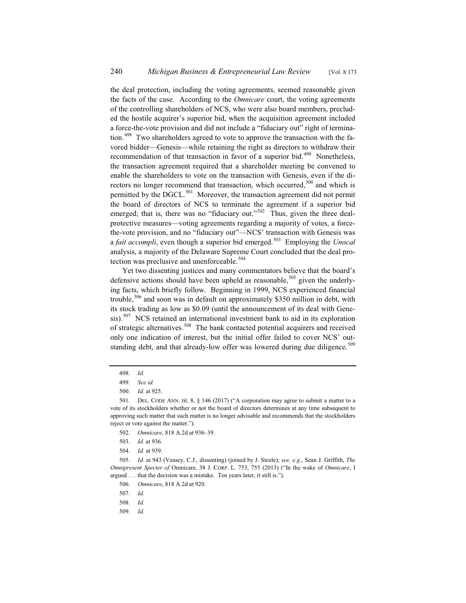the deal protection, including the voting agreements, seemed reasonable given the facts of the case. According to the *Omnicare* court, the voting agreements of the controlling shareholders of NCS, who were also board members, precluded the hostile acquirer's superior bid, when the acquisition agreement included a force-the-vote provision and did not include a "fiduciary out" right of termination.<sup>498</sup> Two shareholders agreed to vote to approve the transaction with the favored bidder—Genesis—while retaining the right as directors to withdraw their recommendation of that transaction in favor of a superior bid.<sup>499</sup> Nonetheless, the transaction agreement required that a shareholder meeting be convened to enable the shareholders to vote on the transaction with Genesis, even if the directors no longer recommend that transaction, which occurred,<sup>500</sup> and which is permitted by the DGCL.<sup>501</sup> Moreover, the transaction agreement did not permit the board of directors of NCS to terminate the agreement if a superior bid emerged; that is, there was no "fiduciary out."<sup>502</sup> Thus, given the three dealprotective measures—voting agreements regarding a majority of votes, a forcethe-vote provision, and no "fiduciary out"—NCS' transaction with Genesis was a *fait accompli*, even though a superior bid emerged.<sup>503</sup> Employing the *Unocal* analysis, a majority of the Delaware Supreme Court concluded that the deal protection was preclusive and unenforceable.<sup>504</sup>

Yet two dissenting justices and many commentators believe that the board's defensive actions should have been upheld as reasonable,  $505$  given the underlying facts, which briefly follow. Beginning in 1999, NCS experienced financial trouble,<sup>506</sup> and soon was in default on approximately \$350 million in debt, with its stock trading as low as \$0.09 (until the announcement of its deal with Genesis).<sup>507</sup> NCS retained an international investment bank to aid in its exploration of strategic alternatives.<sup>508</sup> The bank contacted potential acquirers and received only one indication of interest, but the initial offer failed to cover NCS' outstanding debt, and that already-low offer was lowered during due diligence.<sup>509</sup>

505. *Id.* at 943 (Veasey, C.J., dissenting) (joined by J. Steele); *see, e.g*., Sean J. Griffith, *The Omnipresent Specter of* Omnicare, 38 J. CORP. L. 753, 755 (2013) ("In the wake of *Omnicare*, I argued . . . that the decision was a mistake. Ten years later, it still is.").

- 508. *Id.*
- 509. *Id.*

<sup>498.</sup> *Id.*

<sup>499.</sup> *See id.*

<sup>500.</sup> *Id.* at 925.

<sup>501.</sup> DEL. CODE ANN. tit. 8, § 146 (2017) ("A corporation may agree to submit a matter to a vote of its stockholders whether or not the board of directors determines at any time subsequent to approving such matter that such matter is no longer advisable and recommends that the stockholders reject or vote against the matter.").

<sup>502.</sup> *Omnicare*, 818 A.2d at 936–39.

<sup>503.</sup> *Id.* at 936.

<sup>504.</sup> *Id.* at 939.

<sup>506.</sup> *Omnicare*, 818 A.2d at 920.

<sup>507.</sup> *Id.*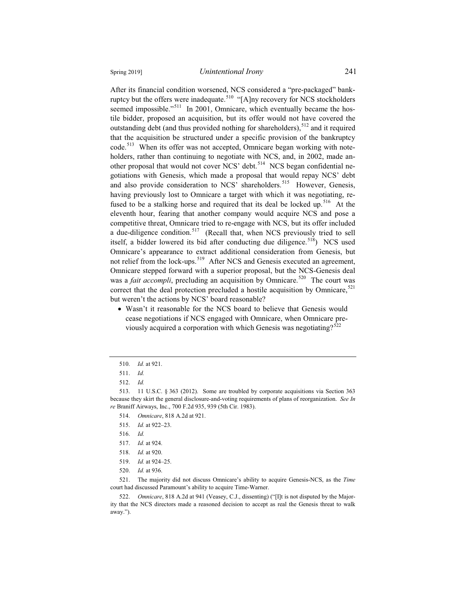After its financial condition worsened, NCS considered a "pre-packaged" bankruptcy but the offers were inadequate.<sup>510</sup> "[A]ny recovery for NCS stockholders seemed impossible."<sup>511</sup> In 2001, Omnicare, which eventually became the hostile bidder, proposed an acquisition, but its offer would not have covered the outstanding debt (and thus provided nothing for shareholders),<sup>512</sup> and it required that the acquisition be structured under a specific provision of the bankruptcy code.<sup>513</sup> When its offer was not accepted, Omnicare began working with noteholders, rather than continuing to negotiate with NCS, and, in 2002, made another proposal that would not cover NCS' debt.<sup>514</sup> NCS began confidential negotiations with Genesis, which made a proposal that would repay NCS' debt and also provide consideration to NCS' shareholders.<sup>515</sup> However, Genesis, having previously lost to Omnicare a target with which it was negotiating, refused to be a stalking horse and required that its deal be locked up.<sup>516</sup> At the eleventh hour, fearing that another company would acquire NCS and pose a competitive threat, Omnicare tried to re-engage with NCS, but its offer included a due-diligence condition.<sup>517</sup> (Recall that, when NCS previously tried to sell itself, a bidder lowered its bid after conducting due diligence.<sup>518</sup>) NCS used Omnicare's appearance to extract additional consideration from Genesis, but not relief from the lock-ups.<sup>519</sup> After NCS and Genesis executed an agreement, Omnicare stepped forward with a superior proposal, but the NCS-Genesis deal was a *fait accompli*, precluding an acquisition by Omnicare.<sup>520</sup> The court was correct that the deal protection precluded a hostile acquisition by Omnicare, $521$ but weren't the actions by NCS' board reasonable?

• Wasn't it reasonable for the NCS board to believe that Genesis would cease negotiations if NCS engaged with Omnicare, when Omnicare previously acquired a corporation with which Genesis was negotiating? $522$ 

<sup>510.</sup> *Id.* at 921.

<sup>511.</sup> *Id.*

<sup>512.</sup> *Id.*

<sup>513. 11</sup> U.S.C. § 363 (2012). Some are troubled by corporate acquisitions via Section 363 because they skirt the general disclosure-and-voting requirements of plans of reorganization. *See In re* Braniff Airways, Inc., 700 F.2d 935, 939 (5th Cir. 1983).

<sup>514.</sup> *Omnicare*, 818 A.2d at 921.

<sup>515.</sup> *Id.* at 922–23.

<sup>516.</sup> *Id.*

<sup>517.</sup> *Id.* at 924.

<sup>518.</sup> *Id.* at 920.

<sup>519.</sup> *Id.* at 924–25.

<sup>520.</sup> *Id.* at 936.

<sup>521.</sup> The majority did not discuss Omnicare's ability to acquire Genesis-NCS, as the *Time* court had discussed Paramount's ability to acquire Time-Warner.

<sup>522.</sup> *Omnicare*, 818 A.2d at 941 (Veasey, C.J., dissenting) ("[I]t is not disputed by the Majority that the NCS directors made a reasoned decision to accept as real the Genesis threat to walk away.").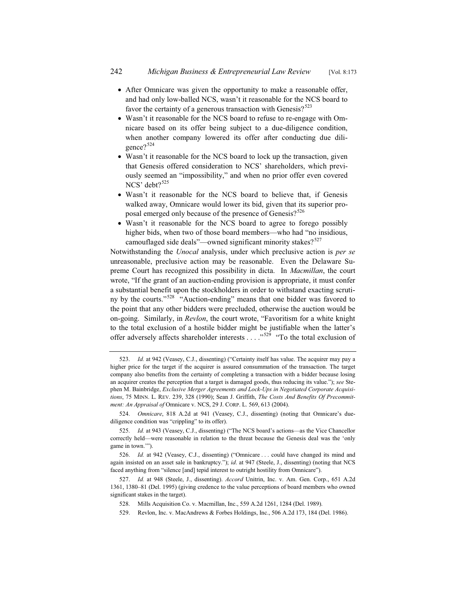- After Omnicare was given the opportunity to make a reasonable offer, and had only low-balled NCS, wasn't it reasonable for the NCS board to favor the certainty of a generous transaction with Genesis? $523$
- Wasn't it reasonable for the NCS board to refuse to re-engage with Omnicare based on its offer being subject to a due-diligence condition, when another company lowered its offer after conducting due diligence?<sup>524</sup>
- Wasn't it reasonable for the NCS board to lock up the transaction, given that Genesis offered consideration to NCS' shareholders, which previously seemed an "impossibility," and when no prior offer even covered NCS' debt?<sup>525</sup>
- Wasn't it reasonable for the NCS board to believe that, if Genesis walked away, Omnicare would lower its bid, given that its superior proposal emerged only because of the presence of Genesis?<sup>526</sup>
- Wasn't it reasonable for the NCS board to agree to forego possibly higher bids, when two of those board members—who had "no insidious, camouflaged side deals"—owned significant minority stakes? $527$

Notwithstanding the *Unocal* analysis, under which preclusive action is *per se* unreasonable, preclusive action may be reasonable. Even the Delaware Supreme Court has recognized this possibility in dicta. In *Macmillan*, the court wrote, "If the grant of an auction-ending provision is appropriate, it must confer a substantial benefit upon the stockholders in order to withstand exacting scrutiny by the courts."<sup>528</sup> "Auction-ending" means that one bidder was favored to the point that any other bidders were precluded, otherwise the auction would be on-going. Similarly, in *Revlon*, the court wrote, "Favoritism for a white knight to the total exclusion of a hostile bidder might be justifiable when the latter's offer adversely affects shareholder interests  $\ldots$ ."<sup>529</sup> "To the total exclusion of

<sup>523.</sup> *Id.* at 942 (Veasey, C.J., dissenting) ("Certainty itself has value. The acquirer may pay a higher price for the target if the acquirer is assured consummation of the transaction. The target company also benefits from the certainty of completing a transaction with a bidder because losing an acquirer creates the perception that a target is damaged goods, thus reducing its value."); *see* Stephen M. Bainbridge, *Exclusive Merger Agreements and Lock-Ups in Negotiated Corporate Acquisitions*, 75 MINN. L. REV. 239, 328 (1990); Sean J. Griffith, *The Costs And Benefits Of Precommitment: An Appraisal of* Omnicare v. NCS, 29 J. CORP. L. 569, 613 (2004).

<sup>524.</sup> *Omnicare*, 818 A.2d at 941 (Veasey, C.J., dissenting) (noting that Omnicare's duediligence condition was "crippling" to its offer).

<sup>525.</sup> *Id.* at 943 (Veasey, C.J., dissenting) ("The NCS board's actions—as the Vice Chancellor correctly held—were reasonable in relation to the threat because the Genesis deal was the 'only game in town.'").

<sup>526.</sup> *Id.* at 942 (Veasey, C.J., dissenting) ("Omnicare . . . could have changed its mind and again insisted on an asset sale in bankruptcy."); *id*. at 947 (Steele, J., dissenting) (noting that NCS faced anything from "silence [and] tepid interest to outright hostility from Omnicare").

<sup>527.</sup> *Id.* at 948 (Steele, J., dissenting). *Accord* Unitrin, Inc. v. Am. Gen. Corp., 651 A.2d 1361, 1380–81 (Del. 1995) (giving credence to the value perceptions of board members who owned significant stakes in the target).

<sup>528.</sup> Mills Acquisition Co. v. Macmillan, Inc., 559 A.2d 1261, 1284 (Del. 1989).

<sup>529.</sup> Revlon, Inc. v. MacAndrews & Forbes Holdings, Inc., 506 A.2d 173, 184 (Del. 1986).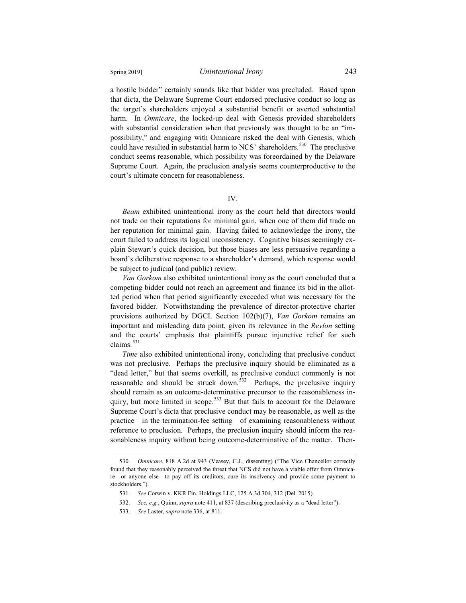a hostile bidder" certainly sounds like that bidder was precluded. Based upon that dicta, the Delaware Supreme Court endorsed preclusive conduct so long as the target's shareholders enjoyed a substantial benefit or averted substantial harm. In *Omnicare*, the locked-up deal with Genesis provided shareholders with substantial consideration when that previously was thought to be an "impossibility," and engaging with Omnicare risked the deal with Genesis, which could have resulted in substantial harm to NCS' shareholders.<sup>530</sup> The preclusive conduct seems reasonable, which possibility was foreordained by the Delaware Supreme Court. Again, the preclusion analysis seems counterproductive to the court's ultimate concern for reasonableness.

IV.

*Beam* exhibited unintentional irony as the court held that directors would not trade on their reputations for minimal gain, when one of them did trade on her reputation for minimal gain. Having failed to acknowledge the irony, the court failed to address its logical inconsistency. Cognitive biases seemingly explain Stewart's quick decision, but those biases are less persuasive regarding a board's deliberative response to a shareholder's demand, which response would be subject to judicial (and public) review.

*Van Gorkom* also exhibited unintentional irony as the court concluded that a competing bidder could not reach an agreement and finance its bid in the allotted period when that period significantly exceeded what was necessary for the favored bidder. Notwithstanding the prevalence of director-protective charter provisions authorized by DGCL Section 102(b)(7), *Van Gorkom* remains an important and misleading data point, given its relevance in the *Revlon* setting and the courts' emphasis that plaintiffs pursue injunctive relief for such claims.<sup>531</sup>

*Time* also exhibited unintentional irony, concluding that preclusive conduct was not preclusive. Perhaps the preclusive inquiry should be eliminated as a "dead letter," but that seems overkill, as preclusive conduct commonly is not reasonable and should be struck down.<sup>532</sup> Perhaps, the preclusive inquiry should remain as an outcome-determinative precursor to the reasonableness inquiry, but more limited in scope.<sup>533</sup> But that fails to account for the Delaware Supreme Court's dicta that preclusive conduct may be reasonable, as well as the practice—in the termination-fee setting—of examining reasonableness without reference to preclusion. Perhaps, the preclusion inquiry should inform the reasonableness inquiry without being outcome-determinative of the matter. Then-

<sup>530.</sup> *Omnicare*, 818 A.2d at 943 (Veasey, C.J., dissenting) ("The Vice Chancellor correctly found that they reasonably perceived the threat that NCS did not have a viable offer from Omnicare—or anyone else—to pay off its creditors, cure its insolvency and provide some payment to stockholders.").

<sup>531.</sup> *See* Corwin v. KKR Fin. Holdings LLC, 125 A.3d 304, 312 (Del. 2015).

<sup>532.</sup> *See, e.g.*, Quinn, *supra* note 411, at 837 (describing preclusivity as a "dead letter").

<sup>533.</sup> *See* Laster, *supra* note 336, at 811.